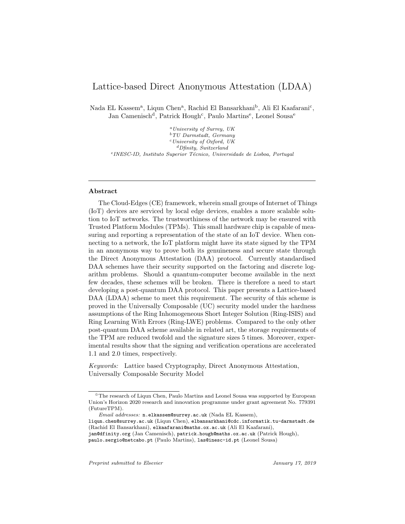# Lattice-based Direct Anonymous Attestation (LDAA)

Nada EL Kassem<sup>a</sup>, Liqun Chen<sup>a</sup>, Rachid El Bansarkhani<sup>b</sup>, Ali El Kaafarani<sup>c</sup>, Jan Camenisch<sup>d</sup>, Patrick Hough<sup>c</sup>, Paulo Martins<sup>e</sup>, Leonel Sousa<sup>e</sup>

 $^{a}$ University of Surrey, UK  $b\,TU$  Darmstadt, Germany  $c$  University of Oxford, UK  $\emph{^dD}$  finity, Switzerland <sup>e</sup> INESC-ID, Instituto Superior Técnico, Universidade de Lisboa, Portugal

#### Abstract

The Cloud-Edges (CE) framework, wherein small groups of Internet of Things (IoT) devices are serviced by local edge devices, enables a more scalable solution to IoT networks. The trustworthiness of the network may be ensured with Trusted Platform Modules (TPMs). This small hardware chip is capable of measuring and reporting a representation of the state of an IoT device. When connecting to a network, the IoT platform might have its state signed by the TPM in an anonymous way to prove both its genuineness and secure state through the Direct Anonymous Attestation (DAA) protocol. Currently standardised DAA schemes have their security supported on the factoring and discrete logarithm problems. Should a quantum-computer become available in the next few decades, these schemes will be broken. There is therefore a need to start developing a post-quantum DAA protocol. This paper presents a Lattice-based DAA (LDAA) scheme to meet this requirement. The security of this scheme is proved in the Universally Composable (UC) security model under the hardness assumptions of the Ring Inhomogeneous Short Integer Solution (Ring-ISIS) and Ring Learning With Errors (Ring-LWE) problems. Compared to the only other post-quantum DAA scheme available in related art, the storage requirements of the TPM are reduced twofold and the signature sizes 5 times. Moreover, experimental results show that the signing and verification operations are accelerated 1.1 and 2.0 times, respectively.

Keywords: Lattice based Cryptography, Direct Anonymous Attestation, Universally Composable Security Model

<sup>✩</sup>The research of Liqun Chen, Paulo Martins and Leonel Sousa was supported by European Union's Horizon 2020 research and innovation programme under grant agreement No. 779391 (FutureTPM).

Email addresses: n.elkassem@surrey.ac.uk (Nada EL Kassem),

liqun.chen@surrey.ac.uk (Liqun Chen), elbansarkhani@cdc.informatik.tu-darmstadt.de (Rachid El Bansarkhani), elkaafarani@maths.ox.ac.uk (Ali El Kaafarani),

jan@dfinity.org (Jan Camenisch), patrick.hough@maths.ox.ac.uk (Patrick Hough), paulo.sergio@netcabo.pt (Paulo Martins), las@inesc-id.pt (Leonel Sousa)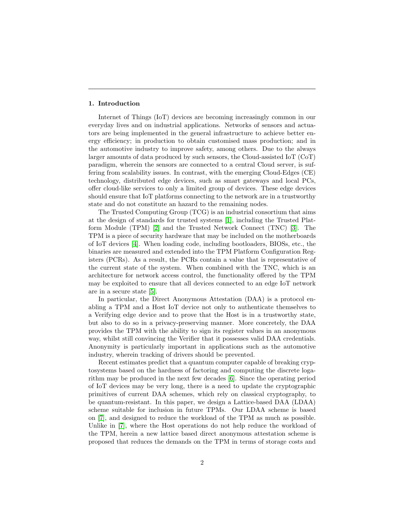#### 1. Introduction

Internet of Things (IoT) devices are becoming increasingly common in our everyday lives and on industrial applications. Networks of sensors and actuators are being implemented in the general infrastructure to achieve better energy efficiency; in production to obtain customised mass production; and in the automotive industry to improve safety, among others. Due to the always larger amounts of data produced by such sensors, the Cloud-assisted IoT (CoT) paradigm, wherein the sensors are connected to a central Cloud server, is suffering from scalability issues. In contrast, with the emerging Cloud-Edges (CE) technology, distributed edge devices, such as smart gateways and local PCs, offer cloud-like services to only a limited group of devices. These edge devices should ensure that IoT platforms connecting to the network are in a trustworthy state and do not constitute an hazard to the remaining nodes.

The Trusted Computing Group (TCG) is an industrial consortium that aims at the design of standards for trusted systems [\[1\]](#page-31-0), including the Trusted Platform Module (TPM) [\[2\]](#page-31-1) and the Trusted Network Connect (TNC) [\[3\]](#page-31-2). The TPM is a piece of security hardware that may be included on the motherboards of IoT devices [\[4\]](#page-31-3). When loading code, including bootloaders, BIOSs, etc., the binaries are measured and extended into the TPM Platform Configuration Registers (PCRs). As a result, the PCRs contain a value that is representative of the current state of the system. When combined with the TNC, which is an architecture for network access control, the functionality offered by the TPM may be exploited to ensure that all devices connected to an edge IoT network are in a secure state [\[5\]](#page-31-4).

In particular, the Direct Anonymous Attestation (DAA) is a protocol enabling a TPM and a Host IoT device not only to authenticate themselves to a Verifying edge device and to prove that the Host is in a trustworthy state, but also to do so in a privacy-preserving manner. More concretely, the DAA provides the TPM with the ability to sign its register values in an anonymous way, whilst still convincing the Verifier that it possesses valid DAA credentials. Anonymity is particularly important in applications such as the automotive industry, wherein tracking of drivers should be prevented.

Recent estimates predict that a quantum computer capable of breaking cryptosystems based on the hardness of factoring and computing the discrete logarithm may be produced in the next few decades [\[6\]](#page-32-0). Since the operating period of IoT devices may be very long, there is a need to update the cryptographic primitives of current DAA schemes, which rely on classical cryptography, to be quantum-resistant. In this paper, we design a Lattice-based DAA (LDAA) scheme suitable for inclusion in future TPMs. Our LDAA scheme is based on [\[7\]](#page-32-1), and designed to reduce the workload of the TPM as much as possible. Unlike in [\[7\]](#page-32-1), where the Host operations do not help reduce the workload of the TPM, herein a new lattice based direct anonymous attestation scheme is proposed that reduces the demands on the TPM in terms of storage costs and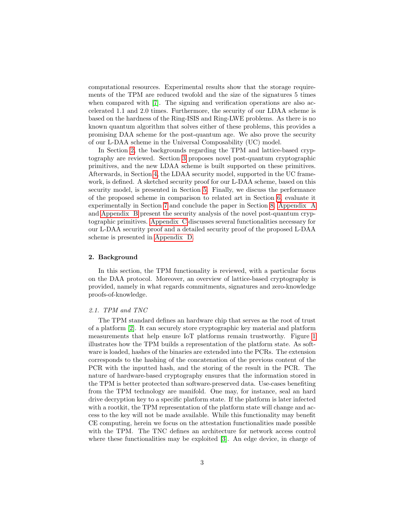computational resources. Experimental results show that the storage requirements of the TPM are reduced twofold and the size of the signatures 5 times when compared with [\[7\]](#page-32-1). The signing and verification operations are also accelerated 1.1 and 2.0 times. Furthermore, the security of our LDAA scheme is based on the hardness of the Ring-ISIS and Ring-LWE problems. As there is no known quantum algorithm that solves either of these problems, this provides a promising DAA scheme for the post-quantum age. We also prove the security of our L-DAA scheme in the Universal Composability (UC) model.

In Section [2,](#page-2-0) the backgrounds regarding the TPM and lattice-based cryptography are reviewed. Section [3](#page-7-0) proposes novel post-quantum cryptographic primitives, and the new LDAA scheme is built supported on these primitives. Afterwards, in Section [4,](#page-18-0) the LDAA security model, supported in the UC framework, is defined. A sketched security proof for our L-DAA scheme, based on this security model, is presented in Section [5.](#page-24-0) Finally, we discuss the performance of the proposed scheme in comparison to related art in Section [6,](#page-27-0) evaluate it experimentally in Section [7](#page-29-0) and conclude the paper in Section [8.](#page-30-0) [Appendix A](#page-35-0) and [Appendix B](#page-36-0) present the security analysis of the novel post-quantum cryptographic primitives. [Appendix C](#page-38-0) discusses several functionalities necessary for our L-DAA security proof and a detailed security proof of the proposed L-DAA scheme is presented in [Appendix D.](#page-40-0)

#### <span id="page-2-0"></span>2. Background

In this section, the TPM functionality is reviewed, with a particular focus on the DAA protocol. Moreover, an overview of lattice-based cryptography is provided, namely in what regards commitments, signatures and zero-knowledge proofs-of-knowledge.

#### 2.1. TPM and TNC

The TPM standard defines an hardware chip that serves as the root of trust of a platform [\[2\]](#page-31-1). It can securely store cryptographic key material and platform measurements that help ensure IoT platforms remain trustworthy. Figure [1](#page-3-0) illustrates how the TPM builds a representation of the platform state. As software is loaded, hashes of the binaries are extended into the PCRs. The extension corresponds to the hashing of the concatenation of the previous content of the PCR with the inputted hash, and the storing of the result in the PCR. The nature of hardware-based cryptography ensures that the information stored in the TPM is better protected than software-preserved data. Use-cases benefiting from the TPM technology are manifold. One may, for instance, seal an hard drive decryption key to a specific platform state. If the platform is later infected with a rootkit, the TPM representation of the platform state will change and access to the key will not be made available. While this functionality may benefit CE computing, herein we focus on the attestation functionalities made possible with the TPM. The TNC defines an architecture for network access control where these functionalities may be exploited [\[3\]](#page-31-2). An edge device, in charge of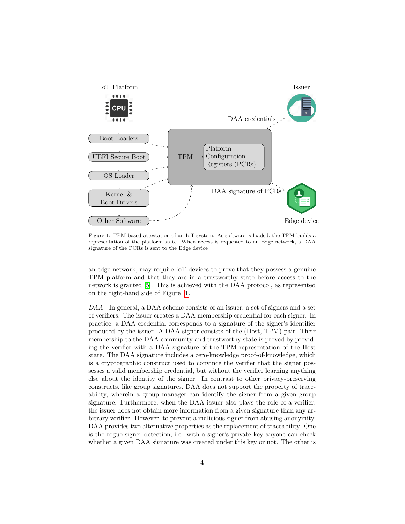<span id="page-3-0"></span>

Figure 1: TPM-based attestation of an IoT system. As software is loaded, the TPM builds a representation of the platform state. When access is requested to an Edge network, a DAA signature of the PCRs is sent to the Edge device

an edge network, may require IoT devices to prove that they possess a genuine TPM platform and that they are in a trustworthy state before access to the network is granted [\[5\]](#page-31-4). This is achieved with the DAA protocol, as represented on the right-hand side of Figure [1.](#page-3-0)

<span id="page-3-1"></span>DAA. In general, a DAA scheme consists of an issuer, a set of signers and a set of verifiers. The issuer creates a DAA membership credential for each signer. In practice, a DAA credential corresponds to a signature of the signer's identifier produced by the issuer. A DAA signer consists of the (Host, TPM) pair. Their membership to the DAA community and trustworthy state is proved by providing the verifier with a DAA signature of the TPM representation of the Host state. The DAA signature includes a zero-knowledge proof-of-knowledge, which is a cryptographic construct used to convince the verifier that the signer possesses a valid membership credential, but without the verifier learning anything else about the identity of the signer. In contrast to other privacy-preserving constructs, like group signatures, DAA does not support the property of traceability, wherein a group manager can identify the signer from a given group signature. Furthermore, when the DAA issuer also plays the role of a verifier, the issuer does not obtain more information from a given signature than any arbitrary verifier. However, to prevent a malicious signer from abusing anonymity, DAA provides two alternative properties as the replacement of traceability. One is the rogue signer detection, i.e. with a signer's private key anyone can check whether a given DAA signature was created under this key or not. The other is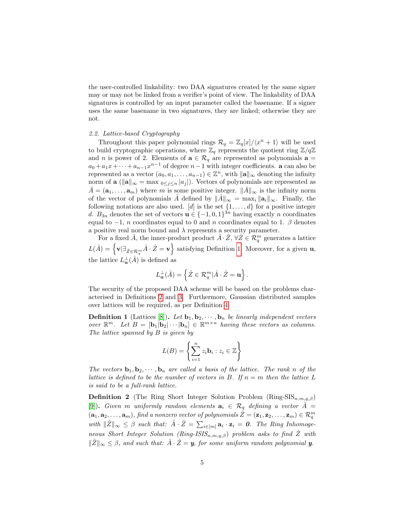the user-controlled linkability: two DAA signatures created by the same signer may or may not be linked from a verifier's point of view. The linkability of DAA signatures is controlled by an input parameter called the basename. If a signer uses the same basename in two signatures, they are linked; otherwise they are not.

#### 2.2. Lattice-based Cryptography

Throughout this paper polynomial rings  $\mathcal{R}_q = \mathbb{Z}_q[x]/\langle x^n + 1 \rangle$  will be used to build cryptographic operations, where  $\mathbb{Z}_q$  represents the quotient ring  $\mathbb{Z}/q\mathbb{Z}$ and *n* is power of 2. Elements of  $\mathbf{a} \in \mathcal{R}_q$  are represented as polynomials  $\mathbf{a} =$  $a_0 + a_1x + \cdots + a_{n-1}x^{n-1}$  of degree  $n-1$  with integer coefficients. **a** can also be represented as a vector  $(a_0, a_1, \ldots, a_{n-1}) \in \mathbb{Z}^n$ , with  $\|\mathbf{a}\|_{\infty}$  denoting the infinity norm of a ( $\|\mathbf{a}\|_{\infty} = \max_{0 \leq j \leq n} |a_j|$ ). Vectors of polynomials are represented as  $\hat{A} = (\mathbf{a}_1, \dots, \mathbf{a}_m)$  where m is some positive integer.  $\|\hat{A}\|_{\infty}$  is the infinity norm of the vector of polynomials  $\hat{A}$  defined by  $\|\hat{A}\|_{\infty} = \max_{i} \|\mathbf{a}_{i}\|_{\infty}$ . Finally, the following notations are also used. [d] is the set  $\{1, \ldots, d\}$  for a positive integer d.  $B_{3n}$  denotes the set of vectors  $\mathbf{u} \in \{-1,0,1\}^{3n}$  having exactly n coordinates equal to  $-1$ , n coordinates equal to 0 and n coordinates equal to 1.  $\beta$  denotes a positive real norm bound and  $\lambda$  represents a security parameter.

For a fixed  $\hat{A}$ , the inner-product product  $\hat{A} \cdot \hat{Z}$ ,  $\forall \hat{Z} \in \mathcal{R}_q^m$  generates a lattice  $L(\hat{A}) = \left\{ \mathbf{v} | \exists_{\hat{Z} \in \mathcal{R}_q^m} \hat{A} \cdot \hat{Z} = \mathbf{v} \right\}$  satisfying Definition [1.](#page-4-0) Moreover, for a given **u**, the lattice  $L_{\mathbf{u}}^{\perp}(\hat{A})$  is defined as

$$
L_{\mathbf{u}}^{\perp}(\hat{A}) = \left\{ \hat{Z} \in \mathcal{R}_q^m | \hat{A} \cdot \hat{Z} = \mathbf{u} \right\}.
$$

The security of the proposed DAA scheme will be based on the problems characterised in Definitions [2](#page-4-1) and [3.](#page-5-0) Furthermore, Gaussian distributed samples over lattices will be required, as per Definition [4.](#page-5-1)

<span id="page-4-0"></span>**Definition 1** (Lattices [\[8\]](#page-32-2)). Let  $\mathbf{b}_1, \mathbf{b}_2, \cdots, \mathbf{b}_n$  be linearly independent vectors over  $\mathbb{R}^m$ . Let  $B = [\mathbf{b}_1 | \mathbf{b}_2 | \cdots | \mathbf{b}_n] \in \mathbb{R}^{m \times n}$  having these vectors as columns. The lattice spanned by B is given by

$$
L(B) = \left\{ \sum_{i=1}^{n} z_i \mathbf{b}_i : z_i \in \mathbb{Z} \right\}
$$

The vectors  $\mathbf{b}_1, \mathbf{b}_2, \cdots, \mathbf{b}_n$  are called a basis of the lattice. The rank n of the lattice is defined to be the number of vectors in B. If  $n = m$  then the lattice L is said to be a full-rank lattice.

<span id="page-4-1"></span>**Definition 2** (The Ring Short Integer Solution Problem (Ring-SIS<sub>n,m,q, $\beta$ )</sub> [\[9\]](#page-32-3)). Given m uniformly random elements  $a_i \in \mathcal{R}_q$  defining a vector  $\hat{A} =$  $(a_1, a_2, \ldots, a_m)$ , find a nonzero vector of polynomials  $\hat{Z} = (\mathbf{z}_1, \mathbf{z}_2, \ldots, \mathbf{z}_m) \in \mathcal{R}_q^m$ with  $\|\hat{Z}\|_{\infty} \leq \beta$  such that:  $\hat{A} \cdot \hat{Z} = \sum_{i \in [m]} \mathbf{a}_i \cdot \mathbf{z}_i = \mathbf{0}$ . The Ring Inhomogeneous Short Integer Solution (Ring-ISIS<sub>n,m,a,β</sub>) problem asks to find  $\hat{Z}$  with  $\|\hat{Z}\|_{\infty} \leq \beta$ , and such that:  $\hat{A} \cdot \hat{Z} = y$ , for some uniform random polynomial y.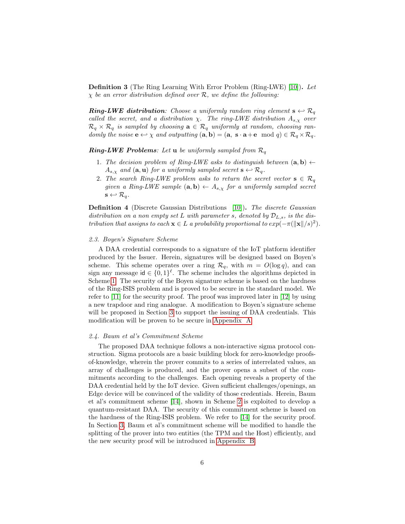<span id="page-5-0"></span>Definition 3 (The Ring Learning With Error Problem (Ring-LWE) [\[10\]](#page-32-4)). Let  $\chi$  be an error distribution defined over  $\mathcal{R}$ , we define the following:

**Ring-LWE distribution**: Choose a uniformly random ring element  $s \leftrightarrow \mathcal{R}_q$ called the secret, and a distribution  $\chi$ . The ring-LWE distribution  $A_{s,\chi}$  over  $\mathcal{R}_q \times \mathcal{R}_q$  is sampled by choosing  $\mathbf{a} \in \mathcal{R}_q$  uniformly at random, choosing randomly the noise  $\mathbf{e} \leftrightarrow \chi$  and outputting  $(\mathbf{a}, \mathbf{b}) = (\mathbf{a}, \mathbf{s} \cdot \mathbf{a} + \mathbf{e} \mod q) \in \mathcal{R}_q \times \mathcal{R}_q$ .

**Ring-LWE Problems**: Let **u** be uniformly sampled from  $\mathcal{R}_q$ 

- 1. The decision problem of Ring-LWE asks to distinguish between  $(a, b) \leftarrow$  $A_{s,\chi}$  and  $(\mathbf{a}, \mathbf{u})$  for a uniformly sampled secret  $\mathbf{s} \leftrightarrow \mathcal{R}_q$ .
- 2. The search Ring-LWE problem asks to return the secret vector  $s \in \mathcal{R}_q$ given a Ring-LWE sample  $(\mathbf{a}, \mathbf{b}) \leftarrow A_{s,x}$  for a uniformly sampled secret  $\mathbf{s} \leftarrow \mathcal{R}_q$ .

<span id="page-5-1"></span>Definition 4 (Discrete Gaussian Distributions [\[10\]](#page-32-4)). The discrete Gaussian distribution on a non empty set L with parameter s, denoted by  $\mathcal{D}_{L,s}$ , is the distribution that assigns to each  $\mathbf{x} \in L$  a probability proportional to  $exp(-\pi(||\mathbf{x}||/s)^2)$ .

#### 2.3. Boyen's Signature Scheme

A DAA credential corresponds to a signature of the IoT platform identifier produced by the Issuer. Herein, signatures will be designed based on Boyen's scheme. This scheme operates over a ring  $\mathcal{R}_q$ , with  $m = O(\log q)$ , and can sign any message  $id \in \{0,1\}^{\ell}$ . The scheme includes the algorithms depicted in Scheme [1.](#page-6-0) The security of the Boyen signature scheme is based on the hardness of the Ring-ISIS problem and is proved to be secure in the standard model. We refer to [\[11\]](#page-32-5) for the security proof. The proof was improved later in [\[12\]](#page-32-6) by using a new trapdoor and ring analogue. A modification to Boyen's signature scheme will be proposed in Section [3](#page-7-0) to support the issuing of DAA credentials. This modification will be proven to be secure in [Appendix A.](#page-35-0)

#### <span id="page-5-2"></span>2.4. Baum et al's Commitment Scheme

The proposed DAA technique follows a non-interactive sigma protocol construction. Sigma protocols are a basic building block for zero-knowledge proofsof-knowledge, wherein the prover commits to a series of interrelated values, an array of challenges is produced, and the prover opens a subset of the commitments according to the challenges. Each opening reveals a property of the DAA credential held by the IoT device. Given sufficient challenges/openings, an Edge device will be convinced of the validity of those credentials. Herein, Baum et al's commitment scheme [\[14\]](#page-32-7), shown in Scheme [2](#page-6-1) is exploited to develop a quantum-resistant DAA. The security of this commitment scheme is based on the hardness of the Ring-ISIS problem. We refer to [\[14\]](#page-32-7) for the security proof. In Section [3,](#page-7-0) Baum et al's commitment scheme will be modified to handle the splitting of the prover into two entities (the TPM and the Host) efficiently, and the new security proof will be introduced in [Appendix B.](#page-36-0)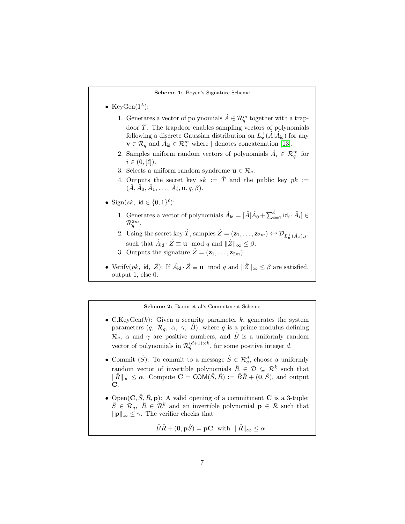#### Scheme 1: Boyen's Signature Scheme

- <span id="page-6-0"></span>• KeyGen $(1^{\lambda})$ :
	- 1. Generates a vector of polynomials  $\hat{A} \in \mathcal{R}_q^m$  together with a trapdoor  $\hat{T}$ . The trapdoor enables sampling vectors of polynomials following a discrete Gaussian distribution on  $L^{\perp}_{\mathbf{v}}(\hat{A}|\tilde{A}_{\mathsf{id}})$  for any  $\mathbf{v} \in \mathcal{R}_q$  and  $\hat{A}_{\mathsf{id}} \in \mathcal{R}_q^m$  where | denotes concatenation [\[13\]](#page-32-8).
	- 2. Samples uniform random vectors of polynomials  $\hat{A}_i \in \mathcal{R}_q^m$  for  $i \in (0, [\ell]).$
	- 3. Selects a uniform random syndrome  $\mathbf{u} \in \mathcal{R}_q$ .
	- 4. Outputs the secret key  $sk := \hat{T}$  and the public key  $pk :=$  $(\hat{A}, \hat{A}_0, \hat{A}_1, \ldots, \hat{A}_\ell, \mathbf{u}, q, \beta).$
- Sign(sk, id  $\in \{0,1\}^{\ell}$ ):
	- 1. Generates a vector of polynomials  $\hat{A}_{id} = [\hat{A} | \hat{A}_0 + \sum_{i=1}^{\ell} id_i \cdot \hat{A}_i] \in$  $\mathcal{R}_q^{2m}.$
	- 2. Using the secret key  $\hat{T}$ , samples  $\hat{Z} = (\mathbf{z}_1, \dots, \mathbf{z}_{2m}) \leftrightarrow \mathcal{D}_{L_{\mathbf{u}}^{\perp}(\hat{A}_{\mathbf{d}}),s}$ , such that  $\hat{A}_{\mathsf{id}} \cdot \hat{Z} \equiv \mathbf{u} \mod q$  and  $\|\hat{Z}\|_{\infty} \leq \beta$ .
	- 3. Outputs the signature  $\hat{Z} = (\mathbf{z}_1, \dots, \mathbf{z}_{2m}).$
- Verify(pk, id,  $\hat{Z}$ ): If  $\hat{A}_{\mathsf{id}} \cdot \hat{Z} \equiv \mathbf{u} \mod q$  and  $\|\hat{Z}\|_{\infty} \leq \beta$  are satisfied, output 1, else 0.

Scheme 2: Baum et al's Commitment Scheme

- <span id="page-6-1"></span>• C.KeyGen $(k)$ : Given a security parameter k, generates the system parameters  $(q, \mathcal{R}_q, \alpha, \gamma, \hat{B})$ , where q is a prime modulus defining  $\mathcal{R}_q$ ,  $\alpha$  and  $\gamma$  are positive numbers, and  $\hat{B}$  is a uniformly random vector of polynomials in  $\mathcal{R}_q^{(d+1)\times k}$ , for some positive integer d.
- Commit  $(\hat{S})$ : To commit to a message  $\hat{S} \in \mathcal{R}_q^d$ , choose a uniformly random vector of invertible polynomials  $\hat{R} \in \mathcal{D} \subseteq \mathcal{R}^k$  such that  $\|\hat{R}\|_{\infty} \leq \alpha$ . Compute **C** = **COM** $(\hat{S}, \hat{R}) := \hat{B}\hat{R} + (\mathbf{0}, \hat{S})$ , and output C.
- Open $(C, \hat{S}, \hat{R}, \mathbf{p})$ : A valid opening of a commitment C is a 3-tuple:  $\hat{S} \in \mathcal{R}_q$ ,  $\hat{R} \in \mathcal{R}^k$  and an invertible polynomial  $p \in \mathcal{R}$  such that  $\|\mathbf{p}\|_{\infty} \leq \gamma$ . The verifier checks that

$$
\hat{B}\hat{R} + (\mathbf{0}, \mathbf{p}\hat{S}) = \mathbf{pC} \quad \text{with} \quad \|\hat{R}\|_{\infty} \le \alpha
$$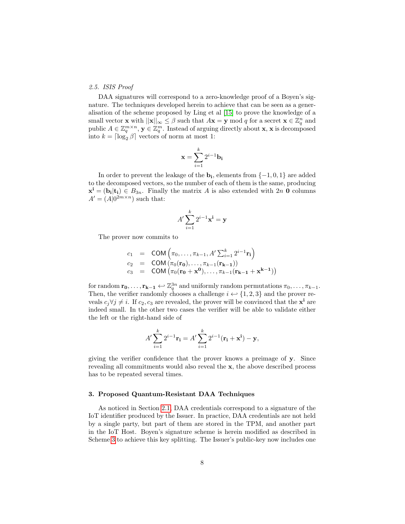#### <span id="page-7-1"></span>2.5. ISIS Proof

DAA signatures will correspond to a zero-knowledge proof of a Boyen's signature. The techniques developed herein to achieve that can be seen as a generalisation of the scheme proposed by Ling et al [\[15\]](#page-32-9) to prove the knowledge of a small vector **x** with  $||\mathbf{x}||_{\infty} \leq \beta$  such that  $A\mathbf{x} = \mathbf{y} \mod q$  for a secret  $\mathbf{x} \in \mathbb{Z}_q^n$  and public  $A \in \mathbb{Z}_q^{m \times n}$ ,  $\mathbf{y} \in \mathbb{Z}_q^m$ . Instead of arguing directly about **x**, **x** is decomposed into  $k = \lceil \log_2 \beta \rceil$  vectors of norm at most 1:

$$
\mathbf{x} = \sum_{i=1}^{k} 2^{i-1} \mathbf{b_i}
$$

In order to prevent the leakage of the  $\mathbf{b_i}$ , elements from  $\{-1,0,1\}$  are added to the decomposed vectors, so the number of each of them is the same, producing  $\mathbf{x}^{\mathbf{i}} = (\mathbf{b}_{\mathbf{i}} | \mathbf{t}_{\mathbf{i}}) \in B_{3n}$ . Finally the matrix A is also extended with  $2n \mathbf{0}$  columns  $A' = (A|0^{2m \times n})$  such that:

$$
A' \sum_{i=1}^{k} 2^{i-1} \mathbf{x}^i = \mathbf{y}
$$

The prover now commits to

$$
c_1 = \text{COM} \left( \pi_0, \dots, \pi_{k-1}, A' \sum_{i=1}^k 2^{i-1} \mathbf{r_i} \right)
$$
  
\n
$$
c_2 = \text{COM} \left( \pi_0(\mathbf{r_0}), \dots, \pi_{k-1}(\mathbf{r_{k-1}}) \right)
$$
  
\n
$$
c_3 = \text{COM} \left( \pi_0(\mathbf{r_0} + \mathbf{x^0}), \dots, \pi_{k-1}(\mathbf{r_{k-1}} + \mathbf{x^{k-1}}) \right)
$$

for random  $\mathbf{r_0}, \ldots, \mathbf{r_{k-1}} \leftrightarrow \mathbb{Z}_q^{3n}$  and uniformly random permutations  $\pi_0, \ldots, \pi_{k-1}$ . Then, the verifier randomly chooses a challenge  $i \leftrightarrow \{1, 2, 3\}$  and the prover reveals  $c_j \forall j \neq i$ . If  $c_2, c_3$  are revealed, the prover will be convinced that the  $\mathbf{x}^i$  are indeed small. In the other two cases the verifier will be able to validate either the left or the right-hand side of

$$
A' \sum_{i=1}^{k} 2^{i-1} \mathbf{r_i} = A' \sum_{i=1}^{k} 2^{i-1} (\mathbf{r_i} + \mathbf{x^{i}}) - \mathbf{y},
$$

giving the verifier confidence that the prover knows a preimage of y. Since revealing all commitments would also reveal the x, the above described process has to be repeated several times.

#### <span id="page-7-0"></span>3. Proposed Quantum-Resistant DAA Techniques

As noticed in Section [2.1,](#page-3-1) DAA credentials correspond to a signature of the IoT identifier produced by the Issuer. In practice, DAA credentials are not held by a single party, but part of them are stored in the TPM, and another part in the IoT Host. Boyen's signature scheme is herein modified as described in Scheme [3](#page-8-0) to achieve this key splitting. The Issuer's public-key now includes one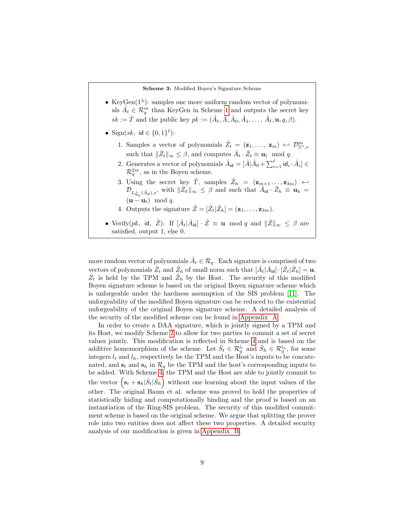#### Scheme 3: Modified Boyen's Signature Scheme

- <span id="page-8-0"></span>• KeyGen $(1^{\lambda})$ : samples one more uniform random vector of polynomials  $\hat{A}_t \in \mathcal{R}_q^m$  than KeyGen in Scheme [1](#page-6-0) and outputs the secret key  $sk := \hat{T}$  and the public key  $pk := (\hat{A}_t, \hat{A}, \hat{A}_0, \hat{A}_1, \dots, \hat{A}_\ell, \mathbf{u}, q, \beta).$
- Sign(sk, id  $\in \{0,1\}^{\ell}$ ):
	- 1. Samples a vector of polynomials  $\hat{Z}_t = (\mathbf{z}_1, \ldots, \mathbf{z}_m) \leftrightarrow \mathcal{D}^m_{\mathbb{Z}^n, s}$ such that  $\|\hat{Z}_t\|_{\infty} \leq \beta$ , and computes  $\hat{A}_t \cdot \hat{Z}_t \equiv \mathbf{u}_t \mod q$ .
	- 2. Generates a vector of polynomials  $\hat{A}_{id} = [\hat{A} | \hat{A}_0 + \sum_{i=1}^{\ell} id_i \cdot \hat{A}_i] \in$  $\mathcal{R}_q^{2m}$ , as in the Boyen scheme.
	- 3. Using the secret key  $\hat{T}$ , samples  $\hat{Z}_h = (\mathbf{z}_{m+1} \dots, \mathbf{z}_{3m}) \leftrightarrow$  $\mathcal{D}_{L^{\perp}_{\mathbf{u}_h}(\hat{A}_{\mathsf{id}}),s}$ , with  $\|\hat{Z}_h\|_{\infty} \leq \beta$  and such that  $\hat{A}_{\mathsf{id}} \cdot \hat{Z}_h \equiv \mathbf{u}_h =$  $(\mathbf{u} - \mathbf{u}_t) \mod q$ .
	- 4. Outputs the signature  $\hat{Z} = [\hat{Z}_t | \hat{Z}_h] = (\mathbf{z}_1, \dots, \mathbf{z}_{3m}).$
- Verify(pk, id,  $\hat{Z}$ ): If  $[\hat{A}_t | \hat{A}_{id}] \cdot \hat{Z} \equiv \mathbf{u} \mod q$  and  $\|\hat{Z}\|_{\infty} \leq \beta$  are satisfied, output 1, else 0.

more random vector of polynomials  $\hat{A}_t \in \mathcal{R}_q$ . Each signature is comprised of two vectors of polynomials  $\hat{Z}_t$  and  $\hat{Z}_h$  of small norm such that  $[\hat{A}_t|\hat{A}_{\text{id}}] \cdot [\hat{Z}_t|\hat{Z}_h] = \mathbf{u}$ .  $\hat{Z}_t$  is held by the TPM and  $\hat{Z}_h$  by the Host. The security of this modified Boyen signature scheme is based on the original Boyen signature scheme which is unforgeable under the hardness assumption of the SIS problem [\[11\]](#page-32-5). The unforgeability of the modified Boyen signature can be reduced to the existential unforgeability of the original Boyen signature scheme. A detailed analysis of the security of the modified scheme can be found in [Appendix A.](#page-35-0)

In order to create a DAA signature, which is jointly signed by a TPM and its Host, we modify Scheme [2](#page-6-1) to allow for two parties to commit a set of secret values jointly. This modification is reflected in Scheme [4](#page-9-0) and is based on the additive homomorphism of the scheme. Let  $\hat{S}_t \in \mathcal{R}_q^{l_t}$  and  $\hat{S}_h \in \mathcal{R}_q^{l_h}$ , for some integers  $l_t$  and  $l_h$ , respectively be the TPM and the Host's inputs to be concatenated, and  $s_t$  and  $s_h$  in  $\mathcal{R}_q$  be the TPM and the host's corresponding inputs to be added. With Scheme [4,](#page-9-0) the TPM and the Host are able to jointly commit to the vector  $(s_t + s_h | \hat{S}_t | \hat{S}_h)$  without one learning about the input values of the other. The original Baum et al. scheme was proved to hold the properties of statistically hiding and computationally binding and the proof is based on an instantiation of the Ring-SIS problem. The security of this modified commitment scheme is based on the original scheme. We argue that splitting the prover role into two entities does not affect these two properties. A detailed security analysis of our modification is given in [Appendix B.](#page-36-0)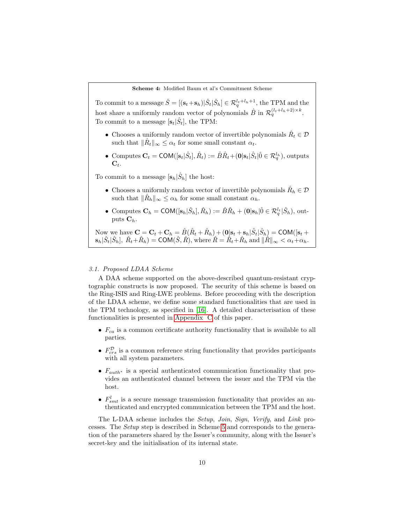<span id="page-9-0"></span>To commit to a message  $\hat{S} = [(\mathbf{s}_t + \mathbf{s}_h) | \hat{S}_t | \hat{S}_h] \in \mathcal{R}_q^{l_t + l_h + 1}$ , the TPM and the host share a uniformly random vector of polynomials  $\hat{B}$  in  $\mathcal{R}_q^{(l_t+l_h+2)\times k}$ . To commit to a message  $[\mathbf{s}_t|\hat{S}_t]$ , the TPM:

- Chooses a uniformly random vector of invertible polynomials  $\hat{R}_t \in \mathcal{D}$ such that  $\|\hat{R}_t\|_{\infty} \leq \alpha_t$  for some small constant  $\alpha_t$ .
- Computes  $\mathbf{C}_t = \textsf{COM}([\mathbf{s}_t|\hat{S}_t], \hat{R}_t) := \hat{B}\hat{R}_t + (\mathbf{0}|\mathbf{s}_t|\hat{S}_t|\hat{0} \in \mathcal{R}_q^{l_h})$ , outputs  $\mathbf{C}_t$ .

To commit to a message  $[\mathbf{s}_h|\hat{S}_h]$  the host:

- Chooses a uniformly random vector of invertible polynomials  $\hat{R}_h \in \mathcal{D}$ such that  $\|\hat{R}_h\|_{\infty} \leq \alpha_h$  for some small constant  $\alpha_h$ .
- Computes  $\mathbf{C}_h = \text{COM}([\mathbf{s}_h | \hat{S}_h], \hat{R}_h) := \hat{B}\hat{R}_h + (\mathbf{0}|\mathbf{s}_h | \hat{0} \in \mathcal{R}_q^{l_t} | \hat{S}_h)$ , outputs  $\mathbf{C}_h$ .

Now we have  $C = C_t + C_h = \hat{B}(\hat{R}_t + \hat{R}_h) + (0|s_t + s_h|\hat{S}_t|\hat{S}_h) = \text{COM}([s_t +$  $\|\mathbf{s}_h|\hat{S}_t|\hat{S}_h], \ \hat{R}_t+\hat{R}_h) = \textsf{COM}(\hat{S},\hat{R}), \text{ where } \hat{R} = \hat{R}_t+\hat{R}_h \text{ and } \|\hat{R}\|_{\infty} < \alpha_t+\alpha_h.$ 

#### 3.1. Proposed LDAA Scheme

A DAA scheme supported on the above-described quantum-resistant cryptographic constructs is now proposed. The security of this scheme is based on the Ring-ISIS and Ring-LWE problems. Before proceeding with the description of the LDAA scheme, we define some standard functionalities that are used in the TPM technology, as specified in [\[16\]](#page-32-10). A detailed characterisation of these functionalities is presented in [Appendix C](#page-38-0) of this paper.

- $F_{ca}$  is a common certificate authority functionality that is available to all parties.
- $F_{crs}^{\mathcal{D}}$  is a common reference string functionality that provides participants with all system parameters.
- $F_{auth*}$  is a special authenticated communication functionality that provides an authenticated channel between the issuer and the TPM via the host.
- $F_{smt}^l$  is a secure message transmission functionality that provides an authenticated and encrypted communication between the TPM and the host.

The L-DAA scheme includes the Setup, Join, Sign, Verify, and Link processes. The Setup step is described in Scheme [5](#page-10-0) and corresponds to the generation of the parameters shared by the Issuer's community, along with the Issuer's secret-key and the initialisation of its internal state.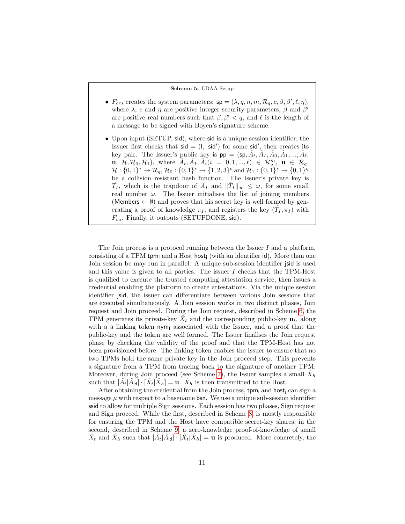#### Scheme 5: LDAA Setup

- <span id="page-10-0"></span>•  $F_{crs}$  creates the system parameters:  $sp = (\lambda, q, n, m, \mathcal{R}_q, c, \beta, \beta', \ell, \eta),$ where  $\lambda$ , c and  $\eta$  are positive integer security parameters,  $\beta$  and  $\beta'$ are positive real numbers such that  $\beta, \beta' < q$ , and  $\ell$  is the length of a message to be signed with Boyen's signature scheme.
- Upon input (SETUP, sid), where sid is a unique session identifier, the Issuer first checks that  $sid = (1, sid')$  for some sid', then creates its key pair. The Issuer's public key is  $pp = (sp, \hat{A}_t, \hat{A}_I, \hat{A}_0, \hat{A}_1, ..., \hat{A}_\ell,$  $\mathbf{u}, \ \mathcal{H}, \mathcal{H}_0, \mathcal{H}_1$ , where  $\hat{A}_t, \hat{A}_I, \hat{A}_i (i = 0, 1, ..., \ell) \in \mathcal{R}_q^m, \ \mathbf{u} \in \mathcal{R}_q$ ,  $\mathcal{H}:\{0,1\}^*\rightarrow \mathcal{R}_q, \mathcal{H}_0:\{0,1\}^*\rightarrow \{1,2,3\}^c \text{ and } \mathcal{H}_1:\{0,\hat{1}\}^*\rightarrow \{0,1\}^\eta$ be a collision resistant hash function. The Issuer's private key is  $\hat{T}_I$ , which is the trapdoor of  $\hat{A}_I$  and  $\|\hat{T}_I\|_{\infty} \leq \omega$ , for some small real number  $\omega$ . The Issuer initialises the list of joining members (Members  $\leftarrow \emptyset$ ) and proves that his secret key is well formed by generating a proof of knowledge  $\pi_I$ , and registers the key  $(\hat{T}_I, \pi_I)$  with  $F_{ca}$ . Finally, it outputs (SETUPDONE, sid).

The Join process is a protocol running between the Issuer  $I$  and a platform, consisting of a TPM tpm<sub>i</sub> and a Host host<sub>i</sub> (with an identifier id). More than one Join session be may run in parallel. A unique sub-session identifier jsid is used and this value is given to all parties. The issuer  $I$  checks that the TPM-Host is qualified to execute the trusted computing attestation service, then issues a credential enabling the platform to create attestations. Via the unique session identifier jsid, the issuer can differentiate between various Join sessions that are executed simultaneously. A Join session works in two distinct phases, Join request and Join proceed. During the Join request, described in Scheme [6,](#page-11-0) the TPM generates its private-key  $\tilde{X}_t$  and the corresponding public-key  $\mathbf{u}_t$ , along with a a linking token  $nym<sub>l</sub>$  associated with the Issuer, and a proof that the public-key and the token are well formed. The Issuer finalises the Join request phase by checking the validity of the proof and that the TPM-Host has not been provisioned before. The linking token enables the Issuer to ensure that no two TPMs hold the same private key in the Join proceed step. This prevents a signature from a TPM from tracing back to the signature of another TPM. Moreover, during Join proceed (see Scheme [7\)](#page-12-0), the Issuer samples a small  $\hat{X}_h$ such that  $[\hat{A}_t | \hat{A}_{\text{id}}] \cdot [\hat{X}_t | \hat{X}_h] = \mathbf{u}$ .  $\hat{X}_h$  is then transmitted to the Host.

After obtaining the credential from the Join process,  $\text{tpm}_i$  and host<sub>i</sub> can sign a message  $\mu$  with respect to a basename **bsn.** We use a unique sub-session identifier ssid to allow for multiple Sign sessions. Each session has two phases, Sign request and Sign proceed. While the first, described in Scheme [8,](#page-13-0) is mostly responsible for ensuring the TPM and the Host have compatible secret-key shares; in the second, described in Scheme [9,](#page-14-0) a zero-knowledge proof-of-knowledge of small  $\hat{X}_t$  and  $\hat{X}_h$  such that  $[\hat{A}_t|\hat{A}_{td}] \cdot [\hat{X}_t|\hat{X}_h] = \mathbf{u}$  is produced. More concretely, the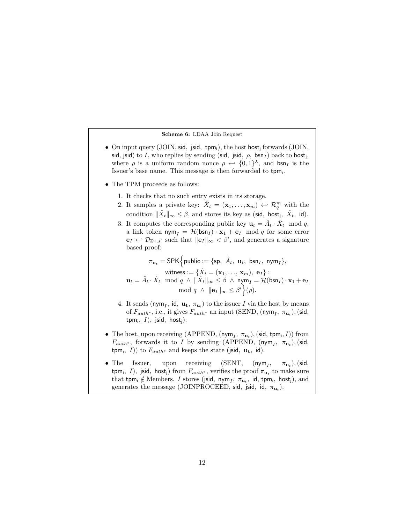#### Scheme 6: LDAA Join Request

- <span id="page-11-0"></span>• On input query (JOIN, sid, jsid, tpm;), the host host; forwards (JOIN, sid, jsid) to I, who replies by sending (sid, jsid,  $\rho$ , bsn $_I$ ) back to host<sub>j</sub>, where  $\rho$  is a uniform random nonce  $\rho \leftrightarrow \{0,1\}^{\lambda}$ , and  $\mathsf{bsn}_I$  is the Issuer's base name. This message is then forwarded to tpm.
- The TPM proceeds as follows:
	- 1. It checks that no such entry exists in its storage.
	- 2. It samples a private key:  $\hat{X}_t = (\mathbf{x}_1, \dots, \mathbf{x}_m) \leftrightarrow \mathcal{R}_q^m$  with the condition  $\|\hat{X}_t\|_{\infty} \leq \beta$ , and stores its key as (sid, host<sub>j</sub>,  $\hat{X}_t$ , id).
	- 3. It computes the corresponding public key  $\mathbf{u}_t = \hat{A}_t \cdot \hat{X}_t \mod q$ , a link token  $\mathsf{nym}_I = \mathcal{H}(\mathsf{bsn}_I) \cdot \mathbf{x}_1 + \mathbf{e}_I \mod q$  for some error  $\mathbf{e}_I \leftrightarrow \mathcal{D}_{\mathbb{Z}^n,s'}$  such that  $\|\mathbf{e}_I\|_{\infty} < \beta'$ , and generates a signature based proof:

 $\pi_{\mathbf{u}_t} = \textsf{SPK}\Big\{\textsf{public} := \{\textsf{sp},~\hat{A}_t,~\mathbf{u}_t,~\textsf{bsn}_I,~\textsf{nym}_I\},$ witness  $:=\{\hat{X}_t=(\mathbf{x}_1,\ldots,\,\mathbf{x}_m),\;\mathbf{e}_I\}$  :  $\mathbf{u}_t = \hat{A}_t \cdot \hat{X}_t \mod q \ \wedge \ \|\hat{X}_t\|_{\infty} \leq \beta \ \wedge \ \mathsf{nym}_I = \mathcal{H}(\mathsf{bsn}_I) \cdot \mathbf{x}_1 + \mathbf{e}_I$ mod  $q \wedge ||e_I||_{\infty} \leq \beta' \bigg\{(\rho).$ 

- 4. It sends (nym<sub>I</sub>, id,  $\mathbf{u_t}$ ,  $\pi_{\mathbf{u_t}}$ ) to the issuer I via the host by means of  $F_{auth^*}$ , i.e., it gives  $F_{auth^*}$  an input (SEND, (nym<sub>I</sub>,  $\pi_{\mathbf{u}_t}$ ), (sid,  $\mathsf{tpm_i},\ I),\ \mathsf{jsid},\ \mathsf{host_j}).$
- The host, upon receiving (APPEND,  $(\mathsf{nym}_I, \pi_{\mathbf{u}_t}), (\mathsf{sid}, \mathsf{tpm}_i, I))$  from  $F_{auth^*}$ , forwards it to I by sending (APPEND, (nym<sub>I</sub>,  $\pi_{\mathbf{u}_t}$ ), (sid, tpm<sub>i</sub>, *I*)) to  $F_{auth^*}$  and keeps the state (jsid,  $\mathbf{u_t}$ , id).
- The Issuer, upon receiving  $(SENT, (nym<sub>I</sub>,$  $,\quad \pi_{\mathbf{u}_t}),(\mathsf{sid},$ tpm<sub>i</sub>, *I*), jsid, host<sub>j</sub>) from  $F_{auth^*}$ , verifies the proof  $\pi_{\mathbf{u}_t}$  to make sure that tpm;  $\notin$  Members. I stores (jsid, nym<sub>I</sub>,  $\pi_{\mathbf{u}_t}$ , id, tpm;, host<sub>j</sub>), and generates the message (JOINPROCEED, sid, jsid, id,  $\pi_{\mathbf{u}_t}$ ).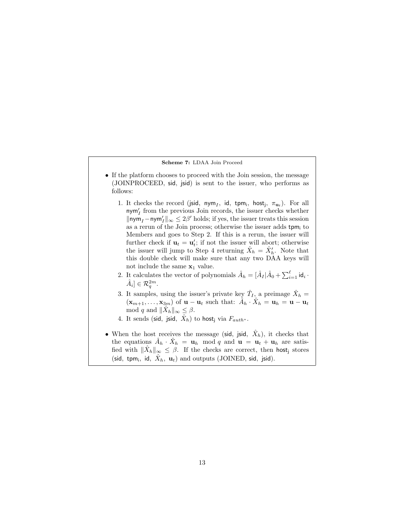#### Scheme 7: LDAA Join Proceed

- <span id="page-12-0"></span>• If the platform chooses to proceed with the Join session, the message (JOINPROCEED, sid, jsid) is sent to the issuer, who performs as follows:
	- 1. It checks the record (jsid, nym<sub>I</sub>, id, tpm<sub>i</sub>, host<sub>j</sub>,  $\pi_{\mathbf{u}_t}$ ). For all  $\mathsf{nym}_I'$  from the previous Join records, the issuer checks whether  $\|\mathsf{nym}_I - \mathsf{nym}_I'\|_\infty \leq 2\beta'$  holds; if yes, the issuer treats this session as a rerun of the Join process; otherwise the issuer adds  $t_{\text{pm}}$  to Members and goes to Step 2. If this is a rerun, the issuer will further check if  $\mathbf{u}_t = \mathbf{u}'_t$ ; if not the issuer will abort; otherwise the issuer will jump to Step 4 returning  $\hat{X}_h = \hat{X}'_h$ . Note that this double check will make sure that any two DAA keys will not include the same  $x_1$  value.
	- 2. It calculates the vector of polynomials  $\hat{A}_h = [\hat{A}_I | \hat{A}_0 + \sum_{i=1}^{\ell} id_i \cdot \hat{A}_i]$  $\hat{A}_i] \in \mathcal{R}_q^{2m}$ .
	- 3. It samples, using the issuer's private key  $\hat{T}_I$ , a preimage  $\hat{X}_h$  =  $(\mathbf{x}_{m+1}, \ldots, \mathbf{x}_{3m})$  of  $\mathbf{u} - \mathbf{u}_t$  such that:  $\hat{A}_h \cdot \hat{X}_h = \mathbf{u}_h = \mathbf{u} - \mathbf{u}_t$ mod q and  $\|\hat{X}_h\|_{\infty} \leq \beta$ .
	- 4. It sends (sid, jsid,  $\hat{X}_h$ ) to host<sub>j</sub> via  $F_{auth^*}.$
- When the host receives the message (sid, jsid,  $\hat{X}_h$ ), it checks that the equations  $\hat{A}_h \cdot \hat{X}_h = \mathbf{u}_h \mod q$  and  $\mathbf{u} = \mathbf{u}_t + \mathbf{u}_h$  are satisfied with  $\|\hat{X}_h\|_{\infty} \leq \beta$ . If the checks are correct, then host<sub>j</sub> stores (sid, tpm<sub>i</sub>, id,  $\hat{X}_h$ ,  $\mathbf{u}_t$ ) and outputs (JOINED, sid, jsid).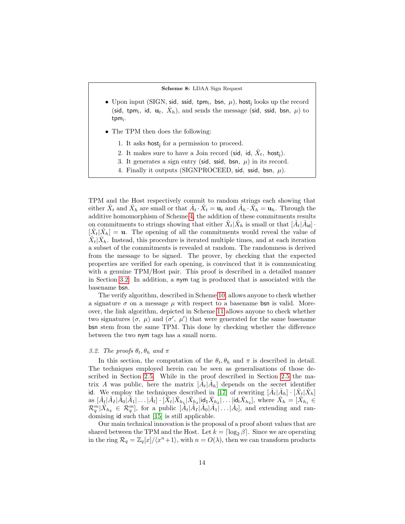Scheme 8: LDAA Sign Request

- <span id="page-13-0"></span>• Upon input (SIGN, sid, ssid, tpm;, bsn,  $\mu$ ), host<sub>j</sub> looks up the record (sid, tpm<sub>i</sub>, id,  $\mathbf{u}_t$ ,  $\hat{X}_h$ ), and sends the message (sid, ssid, bsn,  $\mu$ ) to tpm<sub>i</sub>.
- The TPM then does the following:
	- 1. It asks host for a permission to proceed.
	- 2. It makes sure to have a Join record (sid, id,  $\hat{X}_t$ , host<sub>j</sub>).
	- 3. It generates a sign entry (sid, ssid, bsn,  $\mu$ ) in its record.
	- 4. Finally it outputs (SIGNPROCEED, sid, ssid, bsn,  $\mu$ ).

TPM and the Host respectively commit to random strings each showing that either  $\hat{X}_t$  and  $\hat{X}_h$  are small or that  $\hat{A}_t \cdot \hat{X}_t = \mathbf{u}_t$  and  $\hat{A}_h \cdot \hat{X}_h = \mathbf{u}_h$ . Through the additive homomorphism of Scheme [4,](#page-9-0) the addition of these commitments results on commitments to strings showing that either  $\hat{X}_t | \hat{X}_h$  is small or that  $[\hat{A}_t | \hat{A}_{\text{id}}]$ .  $[\hat{X}_t|\hat{X}_h] = \mathbf{u}$ . The opening of all the commitments would reveal the value of  $\hat{X}_t|\hat{X}_h$ . Instead, this procedure is iterated multiple times, and at each iteration a subset of the commitments is revealed at random. The randomness is derived from the message to be signed. The prover, by checking that the expected properties are verified for each opening, is convinced that it is communicating with a genuine TPM/Host pair. This proof is described in a detailed manner in Section [3.2.](#page-13-1) In addition, a nym tag is produced that is associated with the basename bsn.

The verify algorithm, described in Scheme [10,](#page-15-0) allows anyone to check whether a signature  $\sigma$  on a message  $\mu$  with respect to a basename bsn is valid. Moreover, the link algorithm, depicted in Scheme [11](#page-15-1) allows anyone to check whether two signatures  $(\sigma, \mu)$  and  $(\sigma', \mu')$  that were generated for the same basename bsn stem from the same TPM. This done by checking whether the difference between the two nym tags has a small norm.

## <span id="page-13-1"></span>3.2. The proofs  $\theta_t$ ,  $\theta_h$  and  $\pi$

In this section, the computation of the  $\theta_t$ ,  $\theta_h$  and  $\pi$  is described in detail. The techniques employed herein can be seen as generalisations of those described in Section [2.5.](#page-7-1) While in the proof described in Section [2.5](#page-7-1) the matrix A was public, here the matrix  $[\hat{A}_t|\hat{A}_h]$  depends on the secret identifier id. We employ the techniques described in [\[17\]](#page-33-0) of rewriting  $[\hat{A}_t|\hat{A}_h] \cdot [\hat{X}_t|\hat{X}_h]$ as  $[\hat{A}_t|\hat{A}_I|\hat{A}_0|\hat{A}_1|\dots|\hat{A}_l]\cdot[\hat{X}_t|\hat{X}_{h_1}|\hat{X}_{h_2}|\text{id}_1\hat{X}_{h_2}|\dots|\text{id}_l\hat{X}_{h_2}],$  where  $\hat{X}_h=[\hat{X}_{h_1}\in\mathbb{C}\setminus\{0,1\}]$  $\mathcal{R}_q^m|\hat{X}_{h_2} \in \mathcal{R}_q^m$ , for a public  $[\hat{A}_t|\hat{A}_I|\hat{A}_0|\hat{A}_1|\dots|\hat{A}_l],$  and extending and randomising id such that [\[15\]](#page-32-9) is still applicable.

Our main technical innovation is the proposal of a proof about values that are shared between the TPM and the Host. Let  $k = \lceil \log_2 \beta \rceil$ . Since we are operating in the ring  $\mathcal{R}_q = \mathbb{Z}_q[x]/\langle x^n+1\rangle$ , with  $n = O(\lambda)$ , then we can transform products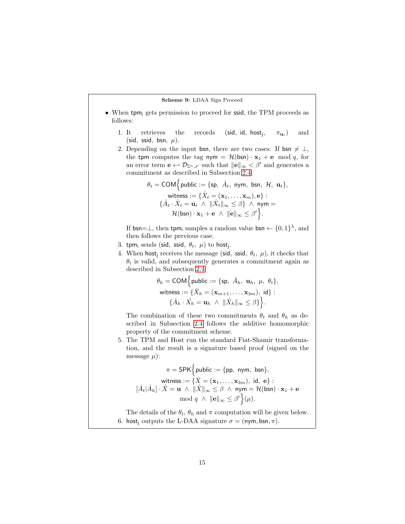#### Scheme 9: LDAA Sign Proceed

- <span id="page-14-0"></span>• When tpm<sub>i</sub> gets permission to proceed for ssid, the TPM proceeds as follows:
	- 1. It retrieves the records (sid, id, host $_i$ ,  $\pi_{\mathbf{u}_t}$ ) and (sid, ssid, bsn,  $\mu$ ).
	- 2. Depending on the input bsn, there are two cases: If bsn  $\neq \perp$ , the tpm computes the tag nym =  $\mathcal{H}(\mathsf{bsn}) \cdot \mathbf{x}_1 + \mathbf{e} \mod q$ , for an error term  $\mathbf{e} \leftarrow \mathcal{D}_{\mathbb{Z}^n, s'}$  such that  $\|\mathbf{e}\|_{\infty} < \beta'$  and generates a commitment as described in Subsection [2.4:](#page-5-2)

$$
\theta_t = \text{COM}\Big\{\text{public} := \{\text{sp}, \ \hat{A}_t, \ \text{nym}, \ \text{bsn}, \ \mathcal{H}, \ \mathbf{u}_t\},
$$
\n
$$
\text{witness} := \{\hat{X}_t = (\mathbf{x}_1, \dots, \mathbf{x}_m), \mathbf{e}\}:
$$
\n
$$
\{\hat{A}_t \cdot \hat{X}_t = \mathbf{u}_t \ \wedge \ \|\hat{X}_t\|_{\infty} \leq \beta\} \ \wedge \ \text{nym} =
$$
\n
$$
\mathcal{H}(\text{bsn}) \cdot \mathbf{x}_1 + \mathbf{e} \ \wedge \ \|\mathbf{e}\|_{\infty} \leq \beta'\Big\}.
$$

If  $bsn=\perp$ , then  $tpm_i$  samples a random value  $bsn \leftarrow \{0,1\}^{\lambda}$ , and then follows the previous case.

- 3. tpm; sends (sid, ssid,  $\theta_t$ ,  $\mu$ ) to host<sub>j</sub>.
- 4. When host<sub>i</sub> receives the message (sid, ssid,  $\theta_t$ ,  $\mu$ ), it checks that  $\theta_t$  is valid, and subsequently generates a commitment again as described in Subsection [2.4:](#page-5-2)

$$
\theta_h = \text{COM}\Big\{\text{public} := \{\text{sp}, \ \hat{A}_h, \ \mathbf{u}_h, \ \mu, \ \theta_t\},\
$$
  
withess :=  $\{\hat{X}_h = (\mathbf{x}_{m+1}, \dots, \mathbf{x}_{3m}), \text{ id}\} : \{\hat{A}_h \cdot \hat{X}_h = \mathbf{u}_h \ \wedge \ \|\hat{X}_h\|_{\infty} \leq \beta\} \Big\}.$ 

The combination of these two commitments  $\theta_t$  and  $\theta_h$  as described in Subsection [2.4](#page-5-2) follows the additive homomorphic property of the commitment scheme.

5. The TPM and Host run the standard Fiat-Shamir transformation, and the result is a signature based proof (signed on the message  $\mu$ :

$$
\pi = \mathsf{SPK}\Big\{\text{public} := \{\mathsf{pp}, \text{ nym, bsn}\},\
$$
\n
$$
\text{witness} := \{\hat{X} = (\mathbf{x}_1, \dots, \mathbf{x}_{3m}), \text{ id, e}\}:
$$
\n
$$
[\hat{A}_t | \hat{A}_h] \cdot \hat{X} = \mathbf{u} \land ||\hat{X}||_{\infty} \leq \beta \land \text{ nym} = \mathcal{H}(\text{bsn}) \cdot \mathbf{x}_1 + \mathbf{e} \mod q \land ||\mathbf{e}||_{\infty} \leq \beta' \Big\}(\mu).
$$

The details of the  $\theta_t$ ,  $\theta_h$  and  $\pi$  computation will be given below. 6. host<sub>j</sub> outputs the L-DAA signature  $\sigma = (\text{nym}, \text{bsn}, \pi)$ .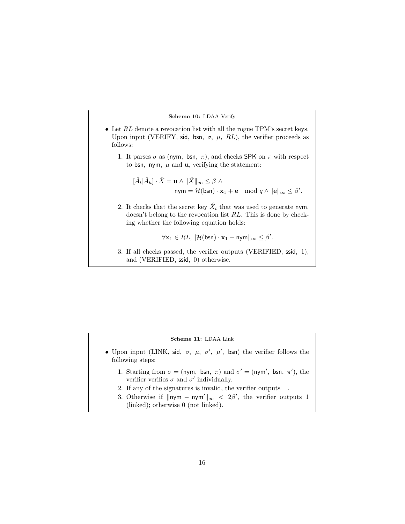#### Scheme 10: LDAA Verify

- <span id="page-15-0"></span>• Let  $RL$  denote a revocation list with all the rogue TPM's secret keys. Upon input (VERIFY, sid, bsn,  $\sigma$ ,  $\mu$ , RL), the verifier proceeds as follows:
	- 1. It parses  $\sigma$  as (nym, bsn,  $\pi$ ), and checks SPK on  $\pi$  with respect to bsn, nym,  $\mu$  and **u**, verifying the statement:

$$
[\hat{A}_t | \hat{A}_h] \cdot \hat{X} = \mathbf{u} \wedge ||\hat{X}||_{\infty} \leq \beta \wedge
$$
  
 
$$
\mathsf{nym} = \mathcal{H}(\mathsf{bsn}) \cdot \mathbf{x}_1 + \mathbf{e} \mod q \wedge ||\mathbf{e}||_{\infty} \leq \beta'.
$$

2. It checks that the secret key  $\hat{X}_t$  that was used to generate nym, doesn't belong to the revocation list RL. This is done by checking whether the following equation holds:

$$
\forall \mathbf{x}_1 \in RL, \|\mathcal{H}(\mathsf{bsn}) \cdot \mathbf{x}_1 - \mathsf{nym}\|_{\infty} \leq \beta'.
$$

3. If all checks passed, the verifier outputs (VERIFIED, ssid, 1), and (VERIFIED, ssid, 0) otherwise.

#### Scheme 11: LDAA Link

- <span id="page-15-1"></span>• Upon input (LINK, sid,  $\sigma$ ,  $\mu$ ,  $\sigma'$ ,  $\mu'$ , bsn) the verifier follows the following steps:
	- 1. Starting from  $\sigma = (nym, bsn, \pi)$  and  $\sigma' = (nym', bsn, \pi')$ , the verifier verifies  $\sigma$  and  $\sigma'$  individually.
	- 2. If any of the signatures is invalid, the verifier outputs ⊥.
	- 3. Otherwise if  $\|\mathsf{nym} \mathsf{nym}'\|_{\infty} < 2\beta'$ , the verifier outputs 1 (linked); otherwise 0 (not linked).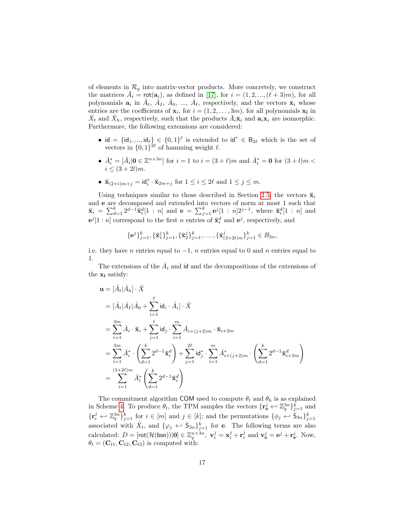of elements in  $\mathcal{R}_q$  into matrix-vector products. More concretely, we construct the matrices  $\overline{A}_i = \text{rot}(\mathbf{a}_i)$ , as defined in [\[17\]](#page-33-0), for  $i = (1, 2, ..., (\ell + 3)m)$ , for all polynomials  $a_i$  in  $\hat{A}_t$ ,  $\hat{A}_I$ ,  $\hat{A}_0$ , ...,  $\hat{A}_\ell$ , respectively, and the vectors  $\bar{x}_i$  whose entries are the coefficients of  $\mathbf{x}_i$ , for  $i = (1, 2, \ldots, 3m)$ , for all polynomials  $\mathbf{x}_i$  in  $\hat{X}_t$  and  $\hat{X}_h$ , respectively, such that the products  $\bar{A}_i \bar{\mathbf{x}}_i$  and  $\mathbf{a}_i \mathbf{x}_i$  are isomorphic. Furthermore, the following extensions are considered:

- id = {id<sub>1</sub>, ..., id<sub> $\ell$ </sub>}  $\in$  {0, 1}<sup> $\ell$ </sup> is extended to id<sup>\*</sup>  $\in$  B<sub>2 $\ell$ </sub> which is the set of vectors in  $\{0,1\}^{2\ell}$  of hamming weight  $\ell$ .
- $\bar{A}_i^* = [\bar{A}_i | \mathbf{0} \in \mathbb{Z}^{n \times 3n}]$  for  $i = 1$  to  $i = (3 + \ell)m$  and  $\bar{A}_i^* = \mathbf{0}$  for  $(3 + l)m <$  $i \leq (3 + 2l)m$ .
- $\bar{\mathbf{x}}_{(2+i)m+j} = \mathrm{id}_i^* \cdot \bar{\mathbf{x}}_{2m+j}$  for  $1 \leq i \leq 2\ell$  and  $1 \leq j \leq m$ .

Using techniques similar to those described in Section [2.5,](#page-7-1) the vectors  $\bar{\mathbf{x}}_i$ and e are decomposed and extended into vectors of norm at most 1 such that  $\bar{\mathbf{x}}_i = \sum_{d=1}^k 2^{d-1} \bar{\mathbf{x}}_i^d [1:n]$  and  $\mathbf{e} = \sum_{j=1}^k \mathbf{e}^j [1:n] 2^{j-1}$ , where  $\bar{\mathbf{x}}_i^d [1:n]$  and  $e^j[1:n]$  correspond to the first n entries of  $\bar{\mathbf{x}}_i^d$  and  $e^j$ , respectively, and

$$
\{\mathbf e^j\}_{j=1}^k, \{\bar{\mathbf x}_1^j\}_{j=1}^k, \{\bar{\mathbf x}_2^j\}_{j=1}^k, \dots, \{\bar{\mathbf x}_{(3+2l)m}^j\}_{j=1}^k \in B_{3n},
$$

i.e. they have n entries equal to  $-1$ , n entries equal to 0 and n entries equal to 1.

The extensions of the  $\overline{A}_i$  and id and the decompositions of the extensions of the  $x_i$  satisfy:

$$
\mathbf{u} = [\hat{A}_t | \hat{A}_h] \cdot \hat{X}
$$
  
\n
$$
= [\hat{A}_t | \hat{A}_I | \hat{A}_0 + \sum_{i=1}^{\ell} \mathrm{id}_i \cdot \hat{A}_i] \cdot \hat{X}
$$
  
\n
$$
= \sum_{i=1}^{3m} \bar{A}_i \cdot \bar{\mathbf{x}}_i + \sum_{j=1}^{\ell} \mathrm{id}_j \cdot \sum_{i=1}^{m} \bar{A}_{i+(j+2)m} \cdot \bar{\mathbf{x}}_{i+2m}
$$
  
\n
$$
= \sum_{i=1}^{3m} \bar{A}_i^* \cdot \left( \sum_{d=1}^{k} 2^{d-1} \bar{\mathbf{x}}_i^d \right) + \sum_{j=1}^{2\ell} \mathrm{id}_j^* \cdot \sum_{i=1}^{m} \bar{A}_{i+(j+2)m}^* \cdot \left( \sum_{d=1}^{k} 2^{d-1} \bar{\mathbf{x}}_{i+2m}^d \right)
$$
  
\n
$$
= \sum_{i=1}^{(3+2\ell)m} \hat{A}_i^* \left( \sum_{d=1}^{k} 2^{d-1} \bar{\mathbf{x}}_i^d \right)
$$

The commitment algorithm COM used to compute  $\theta_t$  and  $\theta_h$  is as explained in Scheme [4.](#page-9-0) To produce  $\theta_t$ , the TPM samples the vectors  $\{ \mathbf{r}_e^j \leftrightarrow \mathbb{Z}_q^{3n} \}_{j=1}^k$  and  $\{r_i^j \leftrightarrow \mathbb{Z}_q^{3n}\}_{j=1}^k$  for  $i \in [m]$  and  $j \in [k]$ ; and the permutations  $\{\phi_j \leftrightarrow \mathsf{S}_{3n}\}_{j=1}^k$ associated with  $\hat{X}_t$ , and  $\{\varphi_j \leftrightarrow \mathsf{S}_{3n}\}_{j=1}^k$  for **e**. The following terms are also calculated:  $D = [\text{rot}(\mathcal{H}(\text{bsn}))|0] \in \mathbb{Z}_q^{n \times 3n}$ ,  $\mathbf{v}_i^j = \mathbf{x}_i^j + \mathbf{r}_i^j$  and  $\mathbf{v}_e^j = \mathbf{e}^j + \mathbf{r}_e^j$ . Now,  $\theta_t = (\mathbf{C}_{t1}, \mathbf{C}_{t2}, \mathbf{C}_{t3})$  is computed with: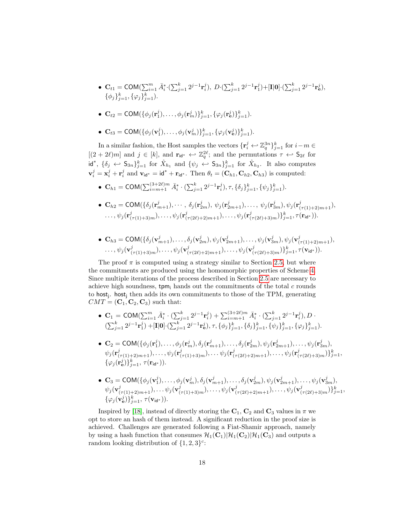•  $\mathbf{C}_{t1} = \text{COM}(\sum_{i=1}^{m} \bar{A}_{i}^{*} \cdot (\sum_{j=1}^{k} 2^{j-1} \mathbf{r}_{i}^{j}), \ D \cdot (\sum_{j=1}^{k} 2^{j-1} \mathbf{r}_{1}^{j}) + [\mathbf{I} | \mathbf{0}] \cdot (\sum_{j=1}^{k} 2^{j-1} \mathbf{r}_{e}^{j}),$  $\{\phi_j\}_{j=1}^k, \{\varphi_j\}_{j=1}^k$ ).

• 
$$
\mathbf{C}_{t2} = \text{COM}(\{\phi_j(\mathbf{r}_1^j), \dots, \phi_j(\mathbf{r}_m^j)\}_{j=1}^k, \{\varphi_j(\mathbf{r}_e^j)\}_{j=1}^k).
$$

•  $\mathbf{C}_{t3} = \text{COM}(\{\phi_j(\mathbf{v}_1^j), \dots, \phi_j(\mathbf{v}_m^j)\}_{j=1}^k, \{\varphi_j(\mathbf{v}_{\mathbf{e}}^j)\}_{j=1}^k).$ 

In a similar fashion, the Host samples the vectors  $\{r_i^j \leftrightarrow \mathbb{Z}_q^{3n}\}_{j=1}^k$  for  $i-m \in$  $[(2+2\ell)m]$  and  $j \in [k]$ , and  $\mathbf{r}_{id^*} \leftarrow \mathbb{Z}_q^{2\ell}$ ; and the permutations  $\tau \leftarrow \mathsf{S}_{2\ell}$  for id<sup>\*</sup>,  $\{\delta_j \leftrightarrow \mathsf{S}_{3n}\}_{j=1}^k$  for  $\hat{X}_{h_1}$  and  $\{\psi_j \leftrightarrow \mathsf{S}_{3n}\}_{j=1}^k$  for  $\hat{X}_{h_2}$ . It also computes  $\mathbf{v}_i^j = \mathbf{x}_i^j + \mathbf{r}_i^j$  and  $\mathbf{v}_{\mathsf{id}^*} = \mathsf{id}^* + \mathbf{r}_{\mathsf{id}^*}$ . Then  $\theta_t = (\mathbf{C}_{h1}, \mathbf{C}_{h2}, \mathbf{C}_{h3})$  is computed:

- $\mathbf{C}_{h1} = \text{COM}(\sum_{i=m+1}^{(3+2\ell)m} \bar{A}_i^* \cdot (\sum_{j=1}^k 2^{j-1} \mathbf{r}_i^j), \tau, \{\delta_j\}_{j=1}^k, \{\psi_j\}_{j=1}^k).$
- $\mathbf{C}_{h2} = \textsf{COM}(\{\delta_j(\mathbf{r}_{m+1}^j), \cdots, \delta_j(\mathbf{r}_{2m}^j), \psi_j(\mathbf{r}_{2m+1}^j), \ldots, \psi_j(\mathbf{r}_{3m}^j), \psi_j(\mathbf{r}_{(\tau(1)+2)m+1}^j),$  $\ldots, \psi_j(\mathbf{r}^j_{(\tau(1)+3)m}), \ldots, \psi_j(\mathbf{r}^j_{(\tau(2\ell)+2)m+1}), \ldots, \psi_j(\mathbf{r}^j_{(\tau(2\ell)+3)m})\}_{j=1}^k, \tau(\mathbf{r}_{\mathbf{id}^*})).$
- $\mathbf{C}_{h3} = \text{COM}(\{\delta_j(\mathbf{v}_{m+1}^j), \ldots, \delta_j(\mathbf{v}_{2m}^j), \psi_j(\mathbf{v}_{2m+1}^j), \ldots, \psi_j(\mathbf{v}_{3m}^j), \psi_j(\mathbf{v}_{(\tau(1)+2)m+1}^j),$  $\ldots, \psi_j(\mathbf{v}^j_{(\tau(1)+3)m}), \ldots, \psi_j(\mathbf{v}^j_{(\tau(2\ell)+2)m+1}), \ldots, \psi_j(\mathbf{v}^j_{(\tau(2\ell)+3)m})\}_{j=1}^k, \tau(\mathbf{v}_\mathsf{id^*})).$

The proof  $\pi$  is computed using a strategy similar to Section [2.5,](#page-7-1) but where the commitments are produced using the homomorphic properties of Scheme [4.](#page-9-0) Since multiple iterations of the process described in Section [2.5](#page-7-1) are necessary to achieve high soundness,  $t_{\text{pm}}$  hands out the commitments of the total c rounds to host<sub>j</sub>. host<sub>j</sub> then adds its own commitments to those of the TPM, generating  $CMT = (\mathbf{C}_1, \mathbf{C}_2, \mathbf{C}_3)$  such that:

- $\mathbf{C}_1 = \textsf{COM}(\sum_{i=1}^m \bar{A}_i^* \cdot (\sum_{j=1}^k 2^{j-1} \mathbf{r}_i^j) + \sum_{i=m+1}^{(3+2\ell)m} \bar{A}_i^* \cdot (\sum_{j=1}^k 2^{j-1} \mathbf{r}_i^j), D$  $(\sum_{j=1}^k 2^{j-1} \mathbf{r}_1^j) + [\mathbf{I} | \mathbf{0}] \cdot (\sum_{j=1}^k 2^{j-1} \mathbf{r}_{\mathbf{e}}^j), \tau, {\{\phi_j\}}_{j=1}^k, {\{\delta_j\}}_{j=1}^k, {\{\psi_j\}}_{j=1}^k, {\{\varphi_j\}}_{j=1}^k).$
- $\mathbf{C}_2 = \textsf{COM}(\{\phi_j(\mathbf{r}_1^j), \dots, \phi_j(\mathbf{r}_m^j), \delta_j(\mathbf{r}_{m+1}^j), \dots, \delta_j(\mathbf{r}_{2m}^j), \psi_j(\mathbf{r}_{2m+1}^j), \dots, \psi_j(\mathbf{r}_{3m}^j),$  $\psi_j(\mathbf{r}^j_{(\tau(1)+2)m+1}),\ldots,\psi_j(\mathbf{r}^j_{(\tau(1)+3)m}),\ldots\psi_j(\mathbf{r}^j_{(\tau(2\ell)+2)m+1}),\ldots,\psi_j(\mathbf{r}^j_{(\tau(2\ell)+3)m})\}_{j=1}^k,$  $\{\varphi_j(\mathbf{r}_\mathbf{e}^j)\}_{j=1}^k$ ,  $\tau(\mathbf{r}_{\mathsf{id}^*})$ ).
- $\mathbf{C}_3 = \textsf{COM}(\{\phi_j(\mathbf{v}_1^j), \dots, \phi_j(\mathbf{v}_m^j), \delta_j(\mathbf{v}_{m+1}^j), \dots, \delta_j(\mathbf{v}_{2m}^j), \psi_j(\mathbf{v}_{2m+1}^j), \dots, \psi_j(\mathbf{v}_{3m}^j),$ 1  $\psi_j(\mathbf{v}^j_{(\tau(1)+2)m+1}), \ldots \psi_j(\mathbf{v}^j_{(\tau(1)+3)m}), \ldots, \psi_j(\mathbf{v}^j_{(\tau(2\ell)+2)m+1}), \ldots, \psi_j(\mathbf{v}^j_{(\tau(2\ell)+3)m})\}_{j=1}^k,$  $\{\varphi_j(\mathbf{v}_{\mathbf{e}}^j)\}_{j=1}^k$ ,  $\tau(\mathbf{v}_{\mathsf{id}^*})$ ).

Inspired by [\[18\]](#page-33-1), instead of directly storing the  $C_1$ ,  $C_2$  and  $C_3$  values in  $\pi$  we opt to store an hash of them instead. A significant reduction in the proof size is achieved. Challenges are generated following a Fiat-Shamir approach, namely by using a hash function that consumes  $\mathcal{H}_1(\mathbf{C}_1)|\mathcal{H}_1(\mathbf{C}_2)|\mathcal{H}_1(\mathbf{C}_3)$  and outputs a random looking distribution of  $\{1,2,3\}^c$ :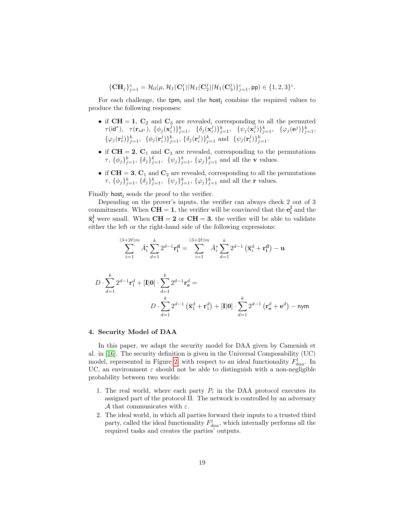$$
\{\mathbf{C}\mathbf{H}_j\}_{j=1}^c = \mathcal{H}_0(\mu, \mathcal{H}_1(\mathbf{C}_1^j) | \mathcal{H}_1(\mathbf{C}_2^j) | \mathcal{H}_1(\mathbf{C}_3^j)\}_{j=1}^c, \mathsf{pp}) \in \{1, 2, 3\}^c.
$$

For each challenge, the tpm<sub>i</sub> and the host<sub>i</sub> combine the required values to produce the following responses:

- if  $CH = 1$ ,  $C_2$  and  $C_3$  are revealed, corresponding to all the permuted  $\tau(\mathsf{id}^*),~~ \tau(\mathbf{r}_{id^*}),~\{\phi_j(\mathbf{x}_i^j)\}_{j=1}^k,~~\{\delta_j(\mathbf{x}_i^j)\}_{j=1}^k,~~\{\psi_j(\mathbf{x}_i^j)\}_{j=1}^k,~~\{\varphi_j(\mathbf{e}^j)\}_{j=1}^k,$  $\{\varphi_j(\mathbf{r}_e^j)\}_{j=1}^k$ ,  $\{\phi_j(\mathbf{r}_i^j)\}_{j=1}^k$ ,  $\{\delta_j(\mathbf{r}_i^j)\}_{j=1}^k$  and  $\{\psi_j(\mathbf{r}_i^j)\}_{j=1}^k$ .
- if  $\text{CH} = 2$ ,  $\text{C}_1$  and  $\text{C}_3$  are revealed, corresponding to the permutations  $\tau$ ,  $\{\phi_j\}_{j=1}^k$ ,  $\{\delta_j\}_{j=1}^k$ ,  $\{\psi_j\}_{j=1}^k$ ,  $\{\varphi_j\}_{j=1}^k$  and all the **v** values.
- if  $CH = 3$ ,  $C_1$  and  $C_2$  are revealed, corresponding to all the permutations  $\tau$ ,  $\{\phi_j\}_{j=1}^k$ ,  $\{\delta_j\}_{j=1}^k$ ,  $\{\psi_j\}_{j=1}^k$ ,  $\{\varphi_j\}_{j=1}^k$  and all the **r** values.

Finally host; sends the proof to the verifier.

Depending on the prover's inputs, the verifier can always check 2 out of 3 commitments. When  $\overline{CH} = 1$ , the verifier will be convinced that the  $e_i^j$  and the  $\bar{\mathbf{x}}_i^j$  were small. When  $\mathbf{CH} = 2$  or  $\mathbf{CH} = 3$ , the verifier will be able to validate either the left or the right-hand side of the following expressions:

$$
\sum_{i=1}^{(3+2\ell)m} \hat{A}_i^* \sum_{d=1}^k 2^{d-1} \mathbf{r}_i^{\mathbf{d}} = \sum_{i=1}^{(3+2\ell)m} \hat{A}_i^* \sum_{d=1}^k 2^{d-1} \left( \bar{\mathbf{x}}_i^d + \mathbf{r}_i^{\mathbf{d}} \right) - \mathbf{u}
$$

$$
D \cdot \sum_{d=1}^{k} 2^{d-1} \mathbf{r}_1^d + [\mathbf{I}|\mathbf{0}] \cdot \sum_{d=1}^{k} 2^{d-1} \mathbf{r}_\mathbf{e}^d =
$$
  

$$
D \cdot \sum_{d=1}^{k} 2^{d-1} (\bar{\mathbf{x}}_1^d + \mathbf{r}_1^d) + [\mathbf{I}|\mathbf{0}] \cdot \sum_{d=1}^{k} 2^{d-1} (\mathbf{r}_\mathbf{e}^d + \mathbf{e}^d) - \mathbf{n} \mathbf{y} \mathbf{m}
$$

#### <span id="page-18-0"></span>4. Security Model of DAA

In this paper, we adapt the security model for DAA given by Camenish et al. in [\[16\]](#page-32-10). The security definition is given in the Universal Composability (UC) model, represented in Figure [2,](#page-19-0) with respect to an ideal functionality  $F_{daa}^l$ . In UC, an environment  $\varepsilon$  should not be able to distinguish with a non-negligible probability between two worlds:

- 1. The real world, where each party  $P_i$  in the DAA protocol executes its assigned part of the protocol Π. The network is controlled by an adversary A that communicates with  $\varepsilon$ .
- 2. The ideal world, in which all parties forward their inputs to a trusted third party, called the ideal functionality  $F_{daa}^l$ , which internally performs all the required tasks and creates the parties' outputs.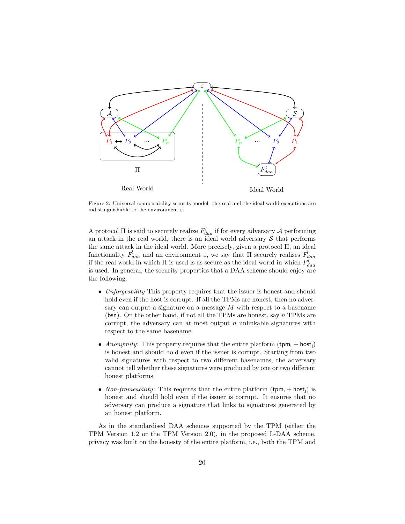<span id="page-19-0"></span>

Figure 2: Universal composability security model: the real and the ideal world executions are indistinguishable to the environment  $\varepsilon$ .

A protocol  $\Pi$  is said to securely realize  $F_{daa}^{l}$  if for every adversary A performing an attack in the real world, there is an ideal world adversary  $\mathcal S$  that performs the same attack in the ideal world. More precisely, given a protocol Π, an ideal functionality  $F_{daa}$  and an environment  $\varepsilon$ , we say that  $\Pi$  securely realises  $F_{daa}$ if the real world in which  $\Pi$  is used is as secure as the ideal world in which  $F_{daa}^l$ is used. In general, the security properties that a DAA scheme should enjoy are the following:

- Unforgeability This property requires that the issuer is honest and should hold even if the host is corrupt. If all the TPMs are honest, then no adversary can output a signature on a message  $M$  with respect to a basename (bsn). On the other hand, if not all the TPMs are honest, say  $n$  TPMs are corrupt, the adversary can at most output  $n$  unlinkable signatures with respect to the same basename.
- Anonymity: This property requires that the entire platform  $(\text{tpm}_i + \text{host}_i)$ is honest and should hold even if the issuer is corrupt. Starting from two valid signatures with respect to two different basenames, the adversary cannot tell whether these signatures were produced by one or two different honest platforms.
- Non-frameability: This requires that the entire platform  $(\text{tpm}_i + \text{host}_i)$  is honest and should hold even if the issuer is corrupt. It ensures that no adversary can produce a signature that links to signatures generated by an honest platform.

As in the standardised DAA schemes supported by the TPM (either the TPM Version 1.2 or the TPM Version 2.0), in the proposed L-DAA scheme, privacy was built on the honesty of the entire platform, i.e., both the TPM and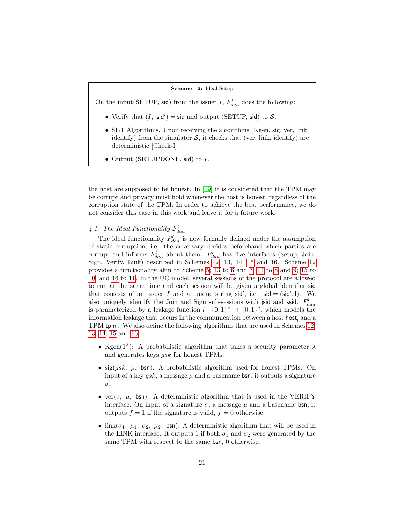#### Scheme 12: Ideal Setup

<span id="page-20-0"></span>On the input(SETUP, sid) from the issuer I,  $F_{daa}^{l}$  does the following:

- Verify that  $(I, \text{sid'}) = \text{sid}$  and output (SETUP, sid) to S.
- SET Algorithms. Upon receiving the algorithms (Kgen, sig, ver, link, identify) from the simulator  $S$ , it checks that (ver, link, identify) are deterministic [Check-I].
- Output (SETUPDONE, sid) to I.

the host are supposed to be honest. In [\[19\]](#page-33-2) it is considered that the TPM may be corrupt and privacy must hold whenever the host is honest, regardless of the corruption state of the TPM. In order to achieve the best performance, we do not consider this case in this work and leave it for a future work.

# 4.1. The Ideal Functionality  $F_{daa}^l$

The ideal functionality  $F_{daa}^{l}$  is now formally defined under the assumption of static corruption, i.e., the adversary decides beforehand which parties are corrupt and informs  $F_{daa}^{l}$  about them.  $F_{daa}^{l}$  has five interfaces (Setup, Join, Sign, Verify, Link) described in Schemes [12,](#page-20-0) [13,](#page-21-0) [14,](#page-22-0) [15](#page-23-0) and [16.](#page-23-1) Scheme [12](#page-20-0) provides a functionality akin to Scheme [5;](#page-10-0) [13](#page-21-0) to [6](#page-11-0) and [7;](#page-12-0) [14](#page-22-0) to [8](#page-13-0) and [9;](#page-14-0) [15](#page-23-0) to [10;](#page-15-0) and [16](#page-23-1) to [11.](#page-15-1) In the UC model, several sessions of the protocol are allowed to run at the same time and each session will be given a global identifier sid that consists of an issuer I and a unique string  $sid'$ , i.e.  $sid = (sid', I)$ . We also uniquely identify the Join and Sign sub-sessions with jsid and ssid.  $F_{daa}^l$ is parameterized by a leakage function  $l: \{0,1\}^* \to \{0,1\}^*$ , which models the information leakage that occurs in the communication between a host host, and a TPM tpm<sub>i</sub>. We also define the following algorithms that are used in Schemes [12,](#page-20-0) [13,](#page-21-0) [14,](#page-22-0) [15](#page-23-0) and [16:](#page-23-1)

- Kgen( $1^{\lambda}$ ): A probabilistic algorithm that takes a security parameter  $\lambda$ and generates keys gsk for honest TPMs.
- sig(*gsk*,  $\mu$ , bsn): A probabilistic algorithm used for honest TPMs. On input of a key *qsk*, a message  $\mu$  and a basename **bsn**, it outputs a signature σ.
- ver( $\sigma$ ,  $\mu$ , bsn): A deterministic algorithm that is used in the VERIFY interface. On input of a signature  $\sigma$ , a message  $\mu$  and a basename bsn, it outputs  $f = 1$  if the signature is valid,  $f = 0$  otherwise.
- link( $\sigma_1$ ,  $\mu_1$ ,  $\sigma_2$ ,  $\mu_2$ , bsn): A deterministic algorithm that will be used in the LINK interface. It outputs 1 if both  $\sigma_1$  and  $\sigma_2$  were generated by the same TPM with respect to the same bsn, 0 otherwise.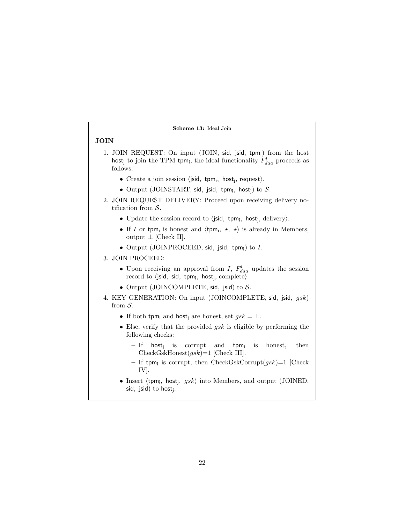#### Scheme 13: Ideal Join

#### <span id="page-21-0"></span>JOIN

- 1. JOIN REQUEST: On input (JOIN, sid, jsid, tpm;) from the host host<sub>j</sub> to join the TPM tpm<sub>i</sub>, the ideal functionality  $F_{daa}^{l}$  proceeds as follows:
	- Create a join session  $\langle$  jsid, tpm<sub>i</sub>, host<sub>j</sub>, request $\rangle$ .
	- Output (JOINSTART, sid, jsid, tpm;, host;) to  $S$ .
- 2. JOIN REQUEST DELIVERY: Proceed upon receiving delivery notification from  $S$ .
	- Update the session record to  $\langle$  jsid, tpm<sub>i</sub>, host<sub>j</sub>, delivery $\rangle$ .
	- If I or tpm<sub>i</sub> is honest and  $\langle$ tpm<sub>i</sub>,  $\star$ ,  $\star$  $\rangle$  is already in Members, output  $\perp$  [Check II].
	- Output (JOINPROCEED, sid, jsid, tpm;) to  $I$ .

#### 3. JOIN PROCEED:

- Upon receiving an approval from I,  $F_{daa}^{l}$  updates the session record to  $\langle$ jsid, sid, tpm<sub>i</sub>, host<sub>j</sub>, complete $\rangle$ .
- Output (JOINCOMPLETE, sid, jsid) to  $S$ .
- 4. KEY GENERATION: On input (JOINCOMPLETE, sid, jsid, gsk) from S.
	- If both tpm<sub>i</sub> and host<sub>i</sub> are honest, set  $gsk = \bot$ .
	- Else, verify that the provided  $gsk$  is eligible by performing the following checks:
		- If host<sub>j</sub> is corrupt and tpm<sub>i</sub> is honest, then  $CheckGskHonest(gsk)=1$  [Check III].
		- If tpm<sub>i</sub> is corrupt, then CheckGskCorrupt $(gsk)$ =1 [Check IV].
	- Insert  $\langle \text{tpm}_i, \text{host}_j, gsk \rangle$  into Members, and output (JOINED, sid, jsid) to host<sub>j</sub>.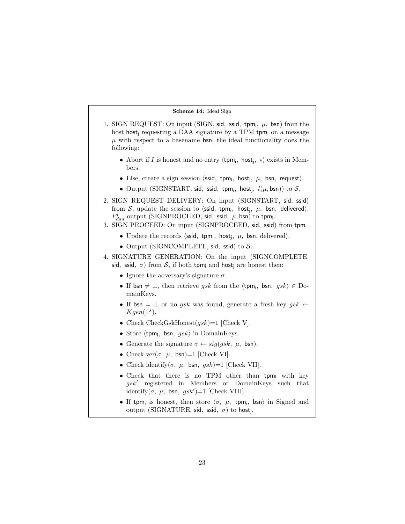#### Scheme 14: Ideal Sign

- <span id="page-22-0"></span>1. SIGN REQUEST: On input (SIGN, sid, ssid, tpm;,  $\mu$ , bsn) from the host host requesting a DAA signature by a TPM tpm<sub>i</sub> on a message  $\mu$  with respect to a basename bsn, the ideal functionality does the following:
	- Abort if I is honest and no entry  $\langle \text{tpm}_i, \text{host}_j, \star \rangle$  exists in Members.
	- Else, create a sign session  $\langle \textsf{ssid}, \textsf{tpm}_i, \textsf{host}_j, \mu, \textsf{bsn}, \textsf{request} \rangle$ .
	- Output (SIGNSTART, sid, ssid, tpm;, host;,  $l(\mu, \text{bsn})$ ) to  $S$ .
- 2. SIGN REQUEST DELIVERY: On input (SIGNSTART, sid, ssid) from  $\mathcal{S}$ , update the session to  $\langle$ ssid, tpm<sub>i</sub>, host<sub>j</sub>,  $\mu$ , bsn, delivered $\rangle$ .  $F_{daa}^{l}$  output (SIGNPROCEED, sid, ssid,  $\mu$ , bsn) to tpm<sub>i</sub>.
- 3. SIGN PROCEED: On input (SIGNPROCEED, sid, ssid) from tpm<sup>i</sup>
	- Update the records  $\langle \text{ssid}, \text{tpm}_i, \text{host}_j, \mu, \text{bsn}, \text{delivered} \rangle$ .
	- Output (SIGNCOMPLETE, sid, ssid) to  $S$ .
- 4. SIGNATURE GENERATION: On the input (SIGNCOMPLETE, sid, ssid,  $\sigma$ ) from S, if both tpm<sub>i</sub> and host<sub>i</sub> are honest then:
	- Ignore the adversary's signature  $\sigma$ .
	- If bsn  $\neq \perp$ , then retrieve gsk from the  $\langle$ tpm<sub>i</sub>, bsn, gsk $\rangle \in$  DomainKeys.
	- If  $bsn = \perp$  or no gsk was found, generate a fresh key gsk  $\leftarrow$  $Kgen(1<sup>\lambda</sup>)$ .
	- Check CheckGskHonest $(gsk)$ =1 [Check V].
	- Store  $\langle$ tpm<sub>i</sub>, bsn, gsk $\rangle$  in DomainKeys.
	- Generate the signature  $\sigma \leftarrow sig(gsk, \mu, \text{bsn}).$
	- Check ver $(\sigma, \mu, \text{bsn})=1$  [Check VI].
	- Check identify( $\sigma$ ,  $\mu$ , bsn,  $gsk$ )=1 [Check VII].
	- Check that there is no TPM other than tpm; with key  $gsk'$  registered in Members or DomainKeys such that identify $(\sigma, \mu, \text{bsn}, gsk')=1$  [Check VIII].
	- If tpm<sub>i</sub> is honest, then store  $\langle \sigma, \mu, \text{ tym}_i, \text{bsn} \rangle$  in Signed and output (SIGNATURE, sid, ssid,  $\sigma$ ) to host<sub>j</sub>.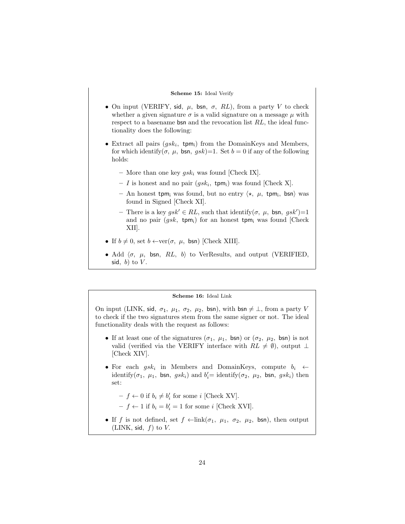#### Scheme 15: Ideal Verify

- <span id="page-23-0"></span>• On input (VERIFY, sid,  $\mu$ , bsn,  $\sigma$ , RL), from a party V to check whether a given signature  $\sigma$  is a valid signature on a message  $\mu$  with respect to a basename bsn and the revocation list RL, the ideal functionality does the following:
- Extract all pairs  $(gsk_i, \text{ tym}_i)$  from the DomainKeys and Members, for which identify $(\sigma, \mu, \text{bsn}, gsk)$ =1. Set  $b = 0$  if any of the following holds:
	- More than one key  $gsk_i$  was found [Check IX].
	- I is honest and no pair  $(gsk_i, \text{ tym}_i)$  was found [Check X].
	- An honest tpm<sub>i</sub> was found, but no entry  $\langle \star, \mu, \text{ tpm}_i, \text{ bsn} \rangle$  was found in Signed [Check XI].
	- There is a key  $gsk' \in RL$ , such that identify $(\sigma, \mu, \text{bsn}, gsk')=1$ and no pair  $(gsk, \text{ tym}_i)$  for an honest tpm<sub>i</sub> was found [Check] XII].
- If  $b \neq 0$ , set  $b \leftarrow \text{ver}(\sigma, \mu, \text{bsn})$  [Check XIII].
- Add  $\langle \sigma, \mu, \text{bsn}, RL, b \rangle$  to VerResults, and output (VERIFIED, sid,  $b)$  to  $V$ .

#### Scheme 16: Ideal Link

<span id="page-23-1"></span>On input (LINK, sid,  $\sigma_1$ ,  $\mu_1$ ,  $\sigma_2$ ,  $\mu_2$ , bsn), with bsn  $\neq \bot$ , from a party V to check if the two signatures stem from the same signer or not. The ideal functionality deals with the request as follows:

- If at least one of the signatures  $(\sigma_1, \mu_1, \text{bsn})$  or  $(\sigma_2, \mu_2, \text{bsn})$  is not valid (verified via the VERIFY interface with  $RL \neq \emptyset$ ), output ⊥ [Check XIV].
- For each  $gsk_i$  in Members and DomainKeys, compute  $b_i \leftarrow$ identify( $\sigma_1$ ,  $\mu_1$ , bsn,  $gsk_i$ ) and  $b'_i$  = identify( $\sigma_2$ ,  $\mu_2$ , bsn,  $gsk_i$ ) then set:
	- $f \leftarrow 0$  if  $b_i \neq b'_i$  for some i [Check XV].
	- $-f \leftarrow 1$  if  $b_i = b'_i = 1$  for some i [Check XVI].
- If f is not defined, set  $f \leftarrow \text{link}(\sigma_1, \mu_1, \sigma_2, \mu_2, \text{bsn})$ , then output (LINK, sid,  $f$ ) to  $V$ .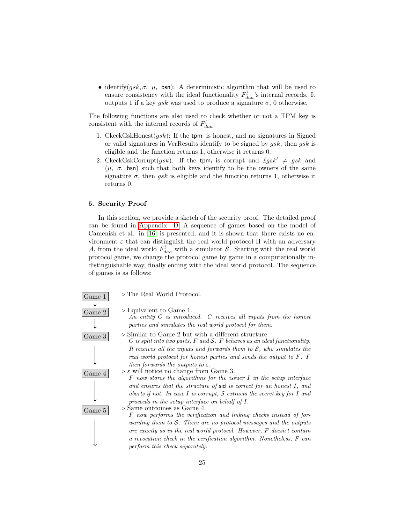• identify( $gsk, \sigma, \mu$ , bsn): A deterministic algorithm that will be used to ensure consistency with the ideal functionality  $F_{daa}^l$ 's internal records. It outputs 1 if a key *gsk* was used to produce a signature  $\sigma$ , 0 otherwise.

The following functions are also used to check whether or not a TPM key is consistent with the internal records of  $F_{daa}^l$ :

- 1. CkeckGskHonest $(gsk)$ : If the tpm<sub>i</sub> is honest, and no signatures in Signed or valid signatures in VerResults identify to be signed by gsk, then gsk is eligible and the function returns 1, otherwise it returns 0.
- 2. CkeckGskCorrupt $(gsk)$ : If the tpm<sub>i</sub> is corrupt and  $\exists gsk' \neq gsk$  and  $(\mu, \sigma, \text{bsn})$  such that both keys identify to be the owners of the same signature  $\sigma$ , then *ask* is eligible and the function returns 1, otherwise it returns 0.

## <span id="page-24-0"></span>5. Security Proof

In this section, we provide a sketch of the security proof. The detailed proof can be found in [Appendix D.](#page-40-0) A sequence of games based on the model of Camenish et al. in [\[16\]](#page-32-10) is presented, and it is shown that there exists no environment  $\varepsilon$  that can distinguish the real world protocol  $\Pi$  with an adversary A, from the ideal world  $F_{daa}^l$  with a simulator S. Starting with the real world protocol game, we change the protocol game by game in a computationally indistinguishable way, finally ending with the ideal world protocol. The sequence of games is as follows:

Game 1  $\triangleright$  The Real World Protocol.



Game 2  $\triangleright$  Equivalent to Game 1. An entity  $C$  is introduced.  $C$  receives all inputs from the honest parties and simulates the real world protocol for them.

 $\boxed{\text{Game } 3}$   $\rightarrow$  Similar to Game 2 but with a different structure.

 $C$  is split into two parts,  $F$  and  $S$ .  $F$  behaves as an ideal functionality. It receives all the inputs and forwards them to  $S$ , who simulates the real world protocol for honest parties and sends the output to F. F then forwards the outputs to  $\varepsilon$ .

Game 4  $\triangleright \varepsilon$  will notice no change from Game 3.  $F$  now stores the algorithms for the issuer  $I$  in the setup interface and ensures that the structure of sid is correct for an honest I, and aborts if not. In case  $I$  is corrupt,  $S$  extracts the secret key for  $I$  and proceeds in the setup interface on behalf of I.

Game  $5$  > Same outcomes as Game 4. F now performs the verification and linking checks instead of forwarding them to  $S$ . There are no protocol messages and the outputs are exactly as in the real world protocol. However, F doesn't contain a revocation check in the verification algorithm. Nonetheless, F can perform this check separately.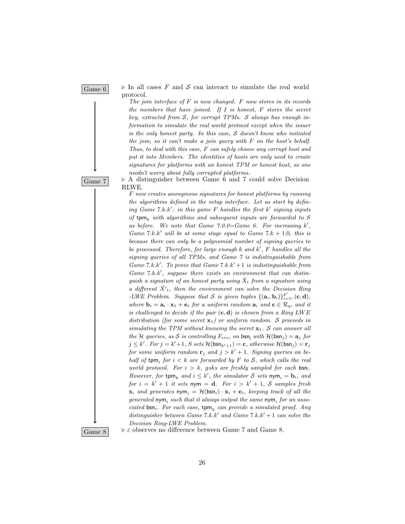Game 6  $\triangleright$  In all cases F and S can interact to simulate the real world protocol.

> The join interface of  $F$  is now changed.  $F$  now stores in its records the members that have joined. If  $I$  is honest,  $F$  stores the secret key, extracted from  $S$ , for corrupt TPMs.  $S$  always has enough information to simulate the real world protocol except when the issuer is the only honest party. In this case,  $S$  doesn't know who initiated the join, so it can't make a join query with  $F$  on the host's behalf. Thus, to deal with this case, F can safely choose any corrupt host and put it into Members. The identities of hosts are only used to create signatures for platforms with an honest TPM or honest host, so one needn't worry about fully corrupted platforms.

 $\overline{Game 7}$   $\triangleright$  A distinguisher between Game 6 and 7 could solve Decision RLWE.

> F now creates anonymous signatures for honest platforms by running the algorithms defined in the setup interface. Let us start by defining Game  $7.k.k'$ : in this game F handles the first  $k'$  signing inputs of tpm<sub>k</sub> with algorithms and subsequent inputs are forwarded to S as before. We note that Game  $7.0.0 =$ Game 6. For increasing  $k'$ , Game 7.k.k' will be at some stage equal to Game 7.k + 1.0, this is because there can only be a polynomial number of signing queries to be processed. Therefore, for large enough  $k$  and  $k'$ ,  $F$  handles all the signing queries of all TPMs, and Game 7 is indistinguishable from Game 7.k.k'. To prove that Game  $7.k.k'+1$  is indistinguishable from Game  $7.k.k'$ , suppose there exists an environment that can distinquish a signature of an honest party using  $\hat{X}_t$  from a signature using a different  $\hat{X'}_t$ , then the environment can solve the Decision Ring -LWE Problem. Suppose that S is given tuples  $\{(\mathbf{a}_i, \mathbf{b}_i)\}_{i=1}^{k'}$ ,  $(\mathbf{c}, \mathbf{d})$ , where  $\mathbf{b}_i = \mathbf{a}_i \cdot \mathbf{x}_1 + \mathbf{e}_i$  for a uniform random  $\mathbf{a}_i$  and  $\mathbf{c} \in \mathcal{R}_q$ , and it is challenged to decide if the pair  $(c, d)$  is chosen from a Ring LWE distribution (for some secret  $\mathbf{x}_1$ ) or uniform random. S proceeds in simulating the TPM without knowing the secret  $x_1$ . S can answer all the H queries, as S is controlling  $F_{crs}$ , on bsn<sub>i</sub> with  $H(bsn<sub>i</sub>) = a<sub>i</sub>$  for  $j \leq k'$ . For  $j = k' + 1$ , S sets  $\mathcal{H}(\mathsf{bsn}_{k'+1}) = \mathbf{c}$ , otherwise  $\mathcal{H}(\mathsf{bsn}_j) = \mathbf{r}_j$ for some uniform random  $\mathbf{r}_i$  and  $j > k' + 1$ . Signing queries on behalf of  $\text{tpm}_i$  for  $i < k$  are forwarded by F to S, which calls the real world protocol. For  $i > k$ , gsks are freshly sampled for each bsni. However, for  $\tt temp<sub>k</sub>$  and  $i \leq k'$ , the simulator S sets  $\text{nym}_i = \textbf{b}_i$ , and for  $i = k' + 1$  it sets nym = d. For  $i > k' + 1$ , S samples fresh  $\mathbf{x}_i$  and generates  $\mathsf{nym}_i = \mathcal{H}(\mathsf{bsn}_i) \cdot \mathbf{x}_i + \mathbf{e}_i$ , keeping track of all the  $generated \; \mathsf{nym}_i \; such \; that \; it \; always \; output \; the \; same \; \mathsf{nym}_i \; for \; an \; associated \; \mathsf{map} \; \mathsf{map} \; \mathsf{map} \; \mathsf{map} \; \mathsf{map} \; \mathsf{map} \; \mathsf{map} \; \mathsf{map} \; \mathsf{map} \; \mathsf{map} \; \mathsf{map} \; \mathsf{map} \; \mathsf{map} \; \mathsf{map} \; \mathsf{map} \; \mathsf{map} \; \mathsf{map} \; \mathsf{map} \; \mathsf{map} \; \mathsf{map} \; \mathsf{map} \; \$ ciated  $bsn_i$ . For each case,  $top_k$  can provide a simulated proof. Any distinguisher between Game  $7.k.k'$  and Game  $7.k.k'+1$  can solve the Decision Ring-LWE Problem.

Game 8  $\vert$  >  $\epsilon$  observes no difference between Game 7 and Game 8.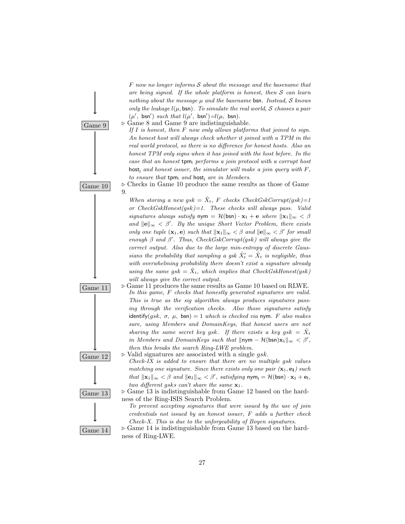$F$  now no longer informs  $S$  about the message and the basename that are being signed. If the whole platform is honest, then  $S$  can learn nothing about the message  $\mu$  and the basename bsn. Instead, S knows only the leakage  $l(\mu, \text{bsn})$ . To simulate the real world, S chooses a pair  $(\mu', \text{bsn}')$  such that  $l(\mu', \text{bsn}') = l(\mu, \text{bsn})$ .



Game 9  $\rightarrow$  Game 8 and Game 9 are indistinguishable.

If  $I$  is honest, then  $F$  now only allows platforms that joined to sign. An honest host will always check whether it joined with a TPM in the real world protocol, so there is no difference for honest hosts. Also an honest TPM only signs when it has joined with the host before. In the case that an honest  $\mathsf{tpm}_i$  performs a join protocol with a corrupt host host<sub>i</sub> and honest issuer, the simulator will make a join query with  $F$ . to ensure that  $tpm_i$  and host; are in Members.



 $\overline{\text{Game 10}}$   $\triangleright$  Checks in Game 10 produce the same results as those of Game 9.

> When storing a new gsk =  $\hat{X}_t$ , F checks CheckGskCorrupt(gsk)=1 or  $CheckGskHonest(gsk)=1$ . These checks will always pass. Valid signatures always satisfy nym =  $\mathcal{H}(\mathsf{bsn}) \cdot \mathbf{x}_1 + \mathbf{e}$  where  $\|\mathbf{x}_1\|_{\infty} < \beta$ and  $\|\mathbf{e}\|_{\infty} < \beta'$ . By the unique Short Vector Problem, there exists only one tuple  $(\mathbf{x}_1, \mathbf{e})$  such that  $\|\mathbf{x}_1\|_{\infty} < \beta$  and  $\|\mathbf{e}\|_{\infty} < \beta'$  for small enough  $\beta$  and  $\beta'$ . Thus, CheckGskCorrupt(gsk) will always give the correct output. Also due to the large min-entropy of discrete Gaussians the probability that sampling a gsk  $\hat{X}'_t = \hat{X}_t$  is negligible, thus with overwhelming probability there doesn't exist a signature already using the same  $gsk = \hat{X}_t$ , which implies that CheckGskHonest(gsk) will always give the correct output.







- Game 11  $\Box$   $\triangleright$  Game 11 produces the same results as Game 10 based on RLWE. In this game, F checks that honestly generated signatures are valid. This is true as the sig algorithm always produces signatures passing through the verification checks. Also those signatures satisfy identify(gsk,  $\sigma$ ,  $\mu$ , bsn) = 1 which is checked via nym. F also makes sure, using Members and DomainKeys, that honest users are not sharing the same secret key gsk. If there exists a key gsk =  $\hat{X}_t$ in Members and DomainKeys such that  $\|\textsf{nym} - \mathcal{H}(\textsf{bsn})\mathbf{x}_1\|_{\infty} < \beta'$ , then this breaks the search Ring-LWE problem.
- Game 12  $\triangleright$  Valid signatures are associated with a single gsk.
	- $Check$ -IX is added to ensure that there are no multiple gsk values matching one signature. Since there exists only one pair  $(\mathbf{x}_1, \mathbf{e}_I)$  such that  $\|\mathbf{x}_1\|_{\infty} < \beta$  and  $\|\mathbf{e}_I\|_{\infty} < \beta'$ , satisfying  $\mathsf{nym_I} = \mathcal{H}(\mathsf{bsn}) \cdot \mathbf{x}_1 + \mathbf{e}_I$ , two different gsks can't share the same  $\mathbf{x}_1$ .

Game 13  $\rightarrow$  Game 13 is indistinguishable from Game 12 based on the hardness of the Ring-ISIS Search Problem.

> To prevent accepting signatures that were issued by the use of join credentials not issued by an honest issuer, F adds a further check Check-X. This is due to the unforgeability of Boyen signatures.

Game 14  $\vert$   $\triangleright$  Game 14 is indistinguishable from Game 13 based on the hardness of Ring-LWE.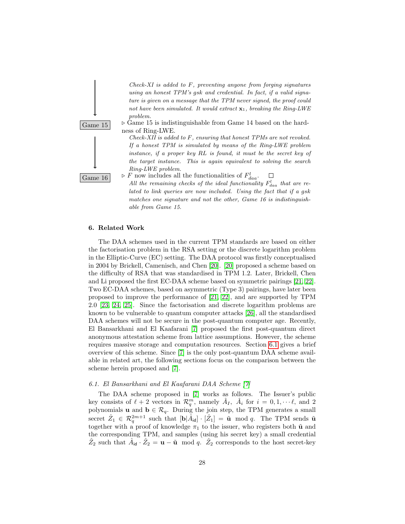



 $\overline{\text{Game 15}}$   $\triangleright$  Game 15 is indistinguishable from Game 14 based on the hardness of Ring-LWE.

> Check-XII is added to F, ensuring that honest TPMs are not revoked. If a honest TPM is simulated by means of the Ring-LWE problem instance, if a proper key RL is found, it must be the secret key of the target instance. This is again equivalent to solving the search Ring-LWE problem.



Game 16  $\triangleright F$  now includes all the functionalities of  $F_{daa}^l$ .  $\Box$ 

All the remaining checks of the ideal functionality  $F_{daa}^l$  that are related to link queries are now included. Using the fact that if a gsk matches one signature and not the other, Game 16 is indistinguishable from Game 15.

#### <span id="page-27-0"></span>6. Related Work

The DAA schemes used in the current TPM standards are based on either the factorisation problem in the RSA setting or the discrete logarithm problem in the Elliptic-Curve (EC) setting. The DAA protocol was firstly conceptualised in 2004 by Brickell, Camenisch, and Chen [\[20\]](#page-33-3). [\[20\]](#page-33-3) proposed a scheme based on the difficulty of RSA that was standardised in TPM 1.2. Later, Brickell, Chen and Li proposed the first EC-DAA scheme based on symmetric pairings [\[21,](#page-33-4) [22\]](#page-33-5). Two EC-DAA schemes, based on asymmetric (Type 3) pairings, have later been proposed to improve the performance of [\[21,](#page-33-4) [22\]](#page-33-5), and are supported by TPM 2.0 [\[23,](#page-33-6) [24,](#page-33-7) [25\]](#page-33-8). Since the factorisation and discrete logarithm problems are known to be vulnerable to quantum computer attacks [\[26\]](#page-34-0), all the standardised DAA schemes will not be secure in the post-quantum computer age. Recently, El Bansarkhani and El Kaafarani [\[7\]](#page-32-1) proposed the first post-quantum direct anonymous attestation scheme from lattice assumptions. However, the scheme requires massive storage and computation resources. Section [6.1](#page-27-1) gives a brief overview of this scheme. Since [\[7\]](#page-32-1) is the only post-quantum DAA scheme available in related art, the following sections focus on the comparison between the scheme herein proposed and [\[7\]](#page-32-1).

## <span id="page-27-1"></span>6.1. El Bansarkhani and El Kaafarani DAA Scheme [\[7\]](#page-32-1)

The DAA scheme proposed in [\[7\]](#page-32-1) works as follows. The Issuer's public key consists of  $\ell + 2$  vectors in  $\mathcal{R}_q^m$ , namely  $\hat{A}_I$ ,  $\hat{A}_i$  for  $i = 0, 1, \dots, \ell$ , and 2 polynomials **u** and  $\mathbf{b} \in \mathcal{R}_q$ . During the join step, the TPM generates a small secret  $\hat{Z}_1 \in \mathcal{R}_q^{2m+1}$  such that  $[\mathbf{b}|\hat{A}_{\mathsf{id}}] \cdot [\hat{Z}_1] = \tilde{\mathbf{u}} \mod q$ . The TPM sends  $\tilde{\mathbf{u}}$ together with a proof of knowledge  $\pi_1$  to the issuer, who registers both  $\tilde{u}$  and the corresponding TPM, and samples (using his secret key) a small credential  $\hat{Z}_2$  such that  $\hat{A}_{id} \cdot \hat{Z}_2 = \mathbf{u} - \tilde{\mathbf{u}} \mod q$ .  $\hat{Z}_2$  corresponds to the host secret-key

28

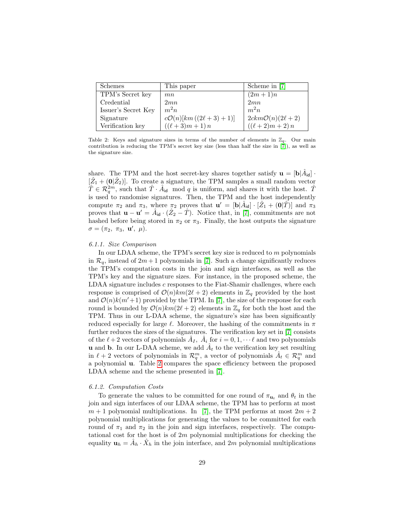<span id="page-28-0"></span>

| Schemes             | This paper                         | Scheme in [7]                 |
|---------------------|------------------------------------|-------------------------------|
| TPM's Secret key    | mn                                 | $(2m+1)n$                     |
| Credential          | 2mn                                | 2mn                           |
| Issuer's Secret Key | $m^2n$                             | $m^2n$                        |
| Signature           | $c\mathcal{O}(n)[km((2\ell+3)+1)]$ | $2ckm\mathcal{O}(n)(2\ell+2)$ |
| Verification key    | $((\ell+3)m+1)n$                   | $((\ell+2)m+2)n$              |

Table 2: Keys and signature sizes in terms of the number of elements in  $\mathbb{Z}_q$ . Our main contribution is reducing the TPM's secret key size (less than half the size in [\[7\]](#page-32-1)), as well as the signature size.

share. The TPM and the host secret-key shares together satisfy  $\mathbf{u} = [\mathbf{b} | \hat{A}_{\mathsf{id}}]$ .  $[\hat{Z}_1 + (0|\hat{Z}_2)]$ . To create a signature, the TPM samples a small random vector  $\hat{T} \in \mathcal{R}_q^{2m}$ , such that  $\hat{T} \cdot \hat{A}_{\mathsf{id}}$  mod q is uniform, and shares it with the host.  $\hat{T}$ is used to randomise signatures. Then, the TPM and the host independently compute  $\pi_2$  and  $\pi_3$ , where  $\pi_2$  proves that  $\mathbf{u}' = [\mathbf{b}|\hat{A}_{\mathsf{id}}] \cdot [\hat{Z}_1 + (\mathbf{0}|\hat{T})]$  and  $\pi_3$ proves that  $\mathbf{u} - \mathbf{u}' = \hat{A}_{id} \cdot (\hat{Z}_2 - \hat{T})$ . Notice that, in [\[7\]](#page-32-1), commitments are not hashed before being stored in  $\pi_2$  or  $\pi_3$ . Finally, the host outputs the signature  $\sigma = (\pi_2, \ \pi_3, \ \mathbf{u}', \ \mu).$ 

#### <span id="page-28-1"></span>6.1.1. Size Comparison

In our LDAA scheme, the TPM's secret key size is reduced to  $m$  polynomials in  $\mathcal{R}_q$ , instead of  $2m+1$  polynomials in [\[7\]](#page-32-1). Such a change significantly reduces the TPM's computation costs in the join and sign interfaces, as well as the TPM's key and the signature sizes. For instance, in the proposed scheme, the LDAA signature includes c responses to the Fiat-Shamir challenges, where each response is comprised of  $\mathcal{O}(n)km(2\ell + 2)$  elements in  $\mathbb{Z}_q$  provided by the host and  $\mathcal{O}(n)k(m'+1)$  provided by the TPM. In [\[7\]](#page-32-1), the size of the response for each round is bounded by  $\mathcal{O}(n)km(2\ell + 2)$  elements in  $\mathbb{Z}_q$  for both the host and the TPM. Thus in our L-DAA scheme, the signature's size has been significantly reduced especially for large  $\ell$ . Moreover, the hashing of the commitments in  $\pi$ further reduces the sizes of the signatures. The verification key set in [\[7\]](#page-32-1) consists of the  $\ell + 2$  vectors of polynomials  $\hat{A}_I$ ,  $\hat{A}_i$  for  $i = 0, 1, \cdots \ell$  and two polynomials **u** and **b**. In our L-DAA scheme, we add  $A_t$  to the verification key set resulting in  $\ell + 2$  vectors of polynomials in  $\mathcal{R}_q^m$ , a vector of polynomials  $A_t \in \mathcal{R}_q^m$  and a polynomial u. Table [2](#page-28-0) compares the space efficiency between the proposed LDAA scheme and the scheme presented in [\[7\]](#page-32-1).

#### <span id="page-28-2"></span>6.1.2. Computation Costs

To generate the values to be committed for one round of  $\pi_{\mathbf{u}_t}$  and  $\theta_t$  in the join and sign interfaces of our LDAA scheme, the TPM has to perform at most  $m + 1$  polynomial multiplications. In [\[7\]](#page-32-1), the TPM performs at most  $2m + 2$ polynomial multiplications for generating the values to be committed for each round of  $\pi_1$  and  $\pi_2$  in the join and sign interfaces, respectively. The computational cost for the host is of  $2m$  polynomial multiplications for checking the equality  $\mathbf{u}_h = \hat{A}_h \cdot \hat{X}_h$  in the join interface, and 2m polynomial multiplications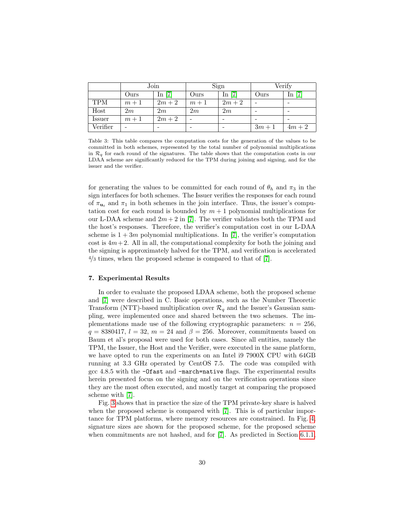|            | Join  |          | Sign  |          | Verify |             |
|------------|-------|----------|-------|----------|--------|-------------|
|            | Ours  | In $[7]$ | Ours  | In $[7]$ | Ours   | $[7]$<br>In |
| <b>TPM</b> | $m+1$ | $2m+2$   | $m+1$ | $2m+2$   |        |             |
| Host       | 2m    | 2m       | 2m    | 2m       |        |             |
| Issuer     | $m+1$ | $2m+2$   |       | -        |        |             |
| Verifier   |       |          |       |          | $3m+1$ | $4m+2$      |

Table 3: This table compares the computation costs for the generation of the values to be committed in both schemes, represented by the total number of polynomial multiplications in  $\mathcal{R}_q$  for each round of the signatures. The table shows that the computation costs in our LDAA scheme are significantly reduced for the TPM during joining and signing, and for the issuer and the verifier.

for generating the values to be committed for each round of  $\theta_h$  and  $\pi_3$  in the sign interfaces for both schemes. The Issuer verifies the responses for each round of  $\pi_{\mathbf{u}_t}$  and  $\pi_1$  in both schemes in the join interface. Thus, the issuer's computation cost for each round is bounded by  $m + 1$  polynomial multiplications for our L-DAA scheme and  $2m + 2$  in [\[7\]](#page-32-1). The verifier validates both the TPM and the host's responses. Therefore, the verifier's computation cost in our L-DAA scheme is  $1 + 3m$  polynomial multiplications. In [\[7\]](#page-32-1), the verifier's computation cost is  $4m+2$ . All in all, the computational complexity for both the joining and the signing is approximately halved for the TPM, and verification is accelerated  $\frac{4}{3}$  times, when the proposed scheme is compared to that of [\[7\]](#page-32-1).

## <span id="page-29-0"></span>7. Experimental Results

In order to evaluate the proposed LDAA scheme, both the proposed scheme and [\[7\]](#page-32-1) were described in C. Basic operations, such as the Number Theoretic Transform (NTT)-based multiplication over  $\mathcal{R}_q$  and the Issuer's Gaussian sampling, were implemented once and shared between the two schemes. The implementations made use of the following cryptographic parameters:  $n = 256$ ,  $q = 8380417$ ,  $l = 32$ ,  $m = 24$  and  $\beta = 256$ . Moreover, commitments based on Baum et al's proposal were used for both cases. Since all entities, namely the TPM, the Issuer, the Host and the Verifier, were executed in the same platform, we have opted to run the experiments on an Intel i9 7900X CPU with 64GB running at 3.3 GHz operated by CentOS 7.5. The code was compiled with gcc 4.8.5 with the -Ofast and -march=native flags. The experimental results herein presented focus on the signing and on the verification operations since they are the most often executed, and mostly target at comparing the proposed scheme with [\[7\]](#page-32-1).

Fig. [3](#page-30-1) shows that in practice the size of the TPM private-key share is halved when the proposed scheme is compared with [\[7\]](#page-32-1). This is of particular importance for TPM platforms, where memory resources are constrained. In Fig. [4,](#page-30-1) signature sizes are shown for the proposed scheme, for the proposed scheme when commitments are not hashed, and for [\[7\]](#page-32-1). As predicted in Section [6.1.1,](#page-28-1)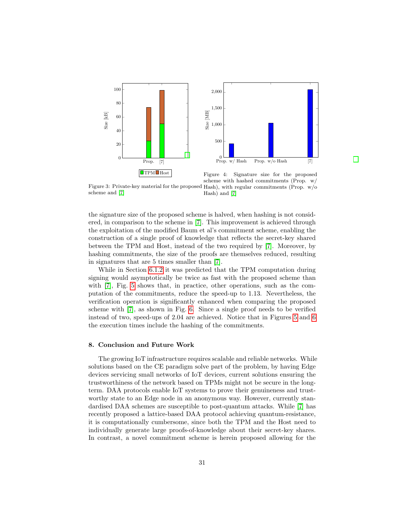<span id="page-30-1"></span>

Figure 3: Private-key material for the proposed Hash), with regular commitments (Prop. w/o scheme and [\[7\]](#page-32-1)

Figure 4: Signature size for the proposed scheme with hashed commitments (Prop. w/ Hash) and [\[7\]](#page-32-1)

the signature size of the proposed scheme is halved, when hashing is not considered, in comparison to the scheme in [\[7\]](#page-32-1). This improvement is achieved through the exploitation of the modified Baum et al's commitment scheme, enabling the construction of a single proof of knowledge that reflects the secret-key shared between the TPM and Host, instead of the two required by [\[7\]](#page-32-1). Moreover, by hashing commitments, the size of the proofs are themselves reduced, resulting in signatures that are 5 times smaller than [\[7\]](#page-32-1).

While in Section [6.1.2](#page-28-2) it was predicted that the TPM computation during signing would asymptotically be twice as fast with the proposed scheme than with [\[7\]](#page-32-1), Fig. [5](#page-31-5) shows that, in practice, other operations, such as the computation of the commitments, reduce the speed-up to 1.13. Nevertheless, the verification operation is significantly enhanced when comparing the proposed scheme with [\[7\]](#page-32-1), as shown in Fig. [6.](#page-31-5) Since a single proof needs to be verified instead of two, speed-ups of 2.04 are achieved. Notice that in Figures [5](#page-31-5) and [6](#page-31-5) the execution times include the hashing of the commitments.

#### <span id="page-30-0"></span>8. Conclusion and Future Work

The growing IoT infrastructure requires scalable and reliable networks. While solutions based on the CE paradigm solve part of the problem, by having Edge devices servicing small networks of IoT devices, current solutions ensuring the trustworthiness of the network based on TPMs might not be secure in the longterm. DAA protocols enable IoT systems to prove their genuineness and trustworthy state to an Edge node in an anonymous way. However, currently standardised DAA schemes are susceptible to post-quantum attacks. While [\[7\]](#page-32-1) has recently proposed a lattice-based DAA protocol achieving quantum-resistance, it is computationally cumbersome, since both the TPM and the Host need to individually generate large proofs-of-knowledge about their secret-key shares. In contrast, a novel commitment scheme is herein proposed allowing for the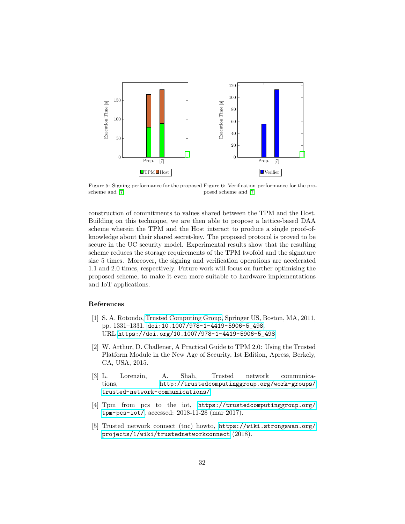<span id="page-31-5"></span>

Figure 5: Signing performance for the proposed Figure 6: Verification performance for the proscheme and [\[7\]](#page-32-1) posed scheme and [\[7\]](#page-32-1)

construction of commitments to values shared between the TPM and the Host. Building on this technique, we are then able to propose a lattice-based DAA scheme wherein the TPM and the Host interact to produce a single proof-ofknowledge about their shared secret-key. The proposed protocol is proved to be secure in the UC security model. Experimental results show that the resulting scheme reduces the storage requirements of the TPM twofold and the signature size 5 times. Moreover, the signing and verification operations are accelerated 1.1 and 2.0 times, respectively. Future work will focus on further optimising the proposed scheme, to make it even more suitable to hardware implementations and IoT applications.

## References

- <span id="page-31-0"></span>[1] S. A. Rotondo, [Trusted Computing Group,](https://doi.org/10.1007/978-1-4419-5906-5_498) Springer US, Boston, MA, 2011, pp. 1331–1331. [doi:10.1007/978-1-4419-5906-5\\_498](http://dx.doi.org/10.1007/978-1-4419-5906-5_498). URL [https://doi.org/10.1007/978-1-4419-5906-5\\_498](https://doi.org/10.1007/978-1-4419-5906-5_498)
- <span id="page-31-1"></span>[2] W. Arthur, D. Challener, A Practical Guide to TPM 2.0: Using the Trusted Platform Module in the New Age of Security, 1st Edition, Apress, Berkely, CA, USA, 2015.
- <span id="page-31-2"></span>[3] L. Lorenzin, A. Shah, Trusted network communications, [http://trustedcomputinggroup.org/work-groups/](http://trustedcomputinggroup.org/work-groups/trusted-network-communications/) [trusted-network-communications/](http://trustedcomputinggroup.org/work-groups/trusted-network-communications/).
- <span id="page-31-3"></span>[4] Tpm from pcs to the iot, [https://trustedcomputinggroup.org/]( https://trustedcomputinggroup.org/tpm-pcs-iot/) [tpm-pcs-iot/]( https://trustedcomputinggroup.org/tpm-pcs-iot/), accessed: 2018-11-28 (mar 2017).
- <span id="page-31-4"></span>[5] Trusted network connect (tnc) howto, [https://wiki.strongswan.org/](https://wiki.strongswan.org/projects/1/wiki/trustednetworkconnect) [projects/1/wiki/trustednetworkconnect](https://wiki.strongswan.org/projects/1/wiki/trustednetworkconnect) (2018).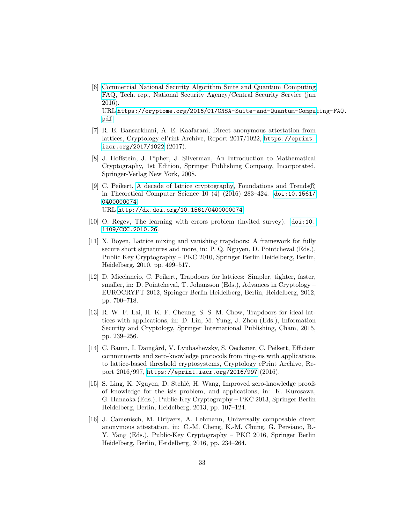- <span id="page-32-0"></span>[6] [Commercial National Security Algorithm Suite and Quantum Computing](https://cryptome.org/2016/01/CNSA-Suite-and-Quantum-Computing-FAQ.pdf) [FAQ,](https://cryptome.org/2016/01/CNSA-Suite-and-Quantum-Computing-FAQ.pdf) Tech. rep., National Security Agency/Central Security Service (jan 2016). URL [https://cryptome.org/2016/01/CNSA-Suite-and-Quantum-Comput](https://cryptome.org/2016/01/CNSA-Suite-and-Quantum-Computing-FAQ.pdf)ing-FAQ. [pdf](https://cryptome.org/2016/01/CNSA-Suite-and-Quantum-Computing-FAQ.pdf)
- <span id="page-32-1"></span>[7] R. E. Bansarkhani, A. E. Kaafarani, Direct anonymous attestation from lattices, Cryptology ePrint Archive, Report 2017/1022, [https://eprint.](https://eprint.iacr.org/2017/1022) [iacr.org/2017/1022](https://eprint.iacr.org/2017/1022) (2017).
- <span id="page-32-2"></span>[8] J. Hoffstein, J. Pipher, J. Silverman, An Introduction to Mathematical Cryptography, 1st Edition, Springer Publishing Company, Incorporated, Springer-Verlag New York, 2008.
- <span id="page-32-3"></span>[9] C. Peikert, [A decade of lattice cryptography,](http://dx.doi.org/10.1561/0400000074) Foundations and Trends <sup>R</sup> in Theoretical Computer Science 10 (4) (2016) 283–424. [doi:10.1561/](http://dx.doi.org/10.1561/0400000074) [0400000074](http://dx.doi.org/10.1561/0400000074). URL <http://dx.doi.org/10.1561/0400000074>
- <span id="page-32-4"></span>[10] O. Regev, The learning with errors problem (invited survey). [doi:10.](http://dx.doi.org/10.1109/CCC.2010.26) [1109/CCC.2010.26](http://dx.doi.org/10.1109/CCC.2010.26).
- <span id="page-32-5"></span>[11] X. Boyen, Lattice mixing and vanishing trapdoors: A framework for fully secure short signatures and more, in: P. Q. Nguyen, D. Pointcheval (Eds.), Public Key Cryptography – PKC 2010, Springer Berlin Heidelberg, Berlin, Heidelberg, 2010, pp. 499–517.
- <span id="page-32-6"></span>[12] D. Micciancio, C. Peikert, Trapdoors for lattices: Simpler, tighter, faster, smaller, in: D. Pointcheval, T. Johansson (Eds.), Advances in Cryptology – EUROCRYPT 2012, Springer Berlin Heidelberg, Berlin, Heidelberg, 2012, pp. 700–718.
- <span id="page-32-8"></span>[13] R. W. F. Lai, H. K. F. Cheung, S. S. M. Chow, Trapdoors for ideal lattices with applications, in: D. Lin, M. Yung, J. Zhou (Eds.), Information Security and Cryptology, Springer International Publishing, Cham, 2015, pp. 239–256.
- <span id="page-32-7"></span>[14] C. Baum, I. Damgård, V. Lyubashevsky, S. Oechsner, C. Peikert, Efficient commitments and zero-knowledge protocols from ring-sis with applications to lattice-based threshold cryptosystems, Cryptology ePrint Archive, Report 2016/997, <https://eprint.iacr.org/2016/997> (2016).
- <span id="page-32-9"></span>[15] S. Ling, K. Nguyen, D. Stehl´e, H. Wang, Improved zero-knowledge proofs of knowledge for the isis problem, and applications, in: K. Kurosawa, G. Hanaoka (Eds.), Public-Key Cryptography – PKC 2013, Springer Berlin Heidelberg, Berlin, Heidelberg, 2013, pp. 107–124.
- <span id="page-32-10"></span>[16] J. Camenisch, M. Drijvers, A. Lehmann, Universally composable direct anonymous attestation, in: C.-M. Cheng, K.-M. Chung, G. Persiano, B.- Y. Yang (Eds.), Public-Key Cryptography – PKC 2016, Springer Berlin Heidelberg, Berlin, Heidelberg, 2016, pp. 234–264.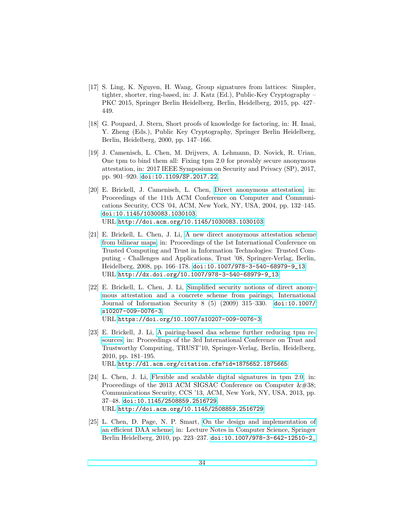- <span id="page-33-0"></span>[17] S. Ling, K. Nguyen, H. Wang, Group signatures from lattices: Simpler, tighter, shorter, ring-based, in: J. Katz (Ed.), Public-Key Cryptography – PKC 2015, Springer Berlin Heidelberg, Berlin, Heidelberg, 2015, pp. 427– 449.
- <span id="page-33-1"></span>[18] G. Poupard, J. Stern, Short proofs of knowledge for factoring, in: H. Imai, Y. Zheng (Eds.), Public Key Cryptography, Springer Berlin Heidelberg, Berlin, Heidelberg, 2000, pp. 147–166.
- <span id="page-33-2"></span>[19] J. Camenisch, L. Chen, M. Drijvers, A. Lehmann, D. Novick, R. Urian, One tpm to bind them all: Fixing tpm 2.0 for provably secure anonymous attestation, in: 2017 IEEE Symposium on Security and Privacy (SP), 2017, pp. 901–920. [doi:10.1109/SP.2017.22](http://dx.doi.org/10.1109/SP.2017.22).
- <span id="page-33-3"></span>[20] E. Brickell, J. Camenisch, L. Chen, [Direct anonymous attestation,](http://doi.acm.org/10.1145/1030083.1030103) in: Proceedings of the 11th ACM Conference on Computer and Communications Security, CCS '04, ACM, New York, NY, USA, 2004, pp. 132–145. [doi:10.1145/1030083.1030103](http://dx.doi.org/10.1145/1030083.1030103). URL <http://doi.acm.org/10.1145/1030083.1030103>
- <span id="page-33-4"></span>[21] E. Brickell, L. Chen, J. Li, [A new direct anonymous attestation scheme](http://dx.doi.org/10.1007/978-3-540-68979-9_13) [from bilinear maps,](http://dx.doi.org/10.1007/978-3-540-68979-9_13) in: Proceedings of the 1st International Conference on Trusted Computing and Trust in Information Technologies: Trusted Computing - Challenges and Applications, Trust '08, Springer-Verlag, Berlin, Heidelberg, 2008, pp. 166–178. [doi:10.1007/978-3-540-68979-9\\_13](http://dx.doi.org/10.1007/978-3-540-68979-9_13). URL [http://dx.doi.org/10.1007/978-3-540-68979-9\\_13](http://dx.doi.org/10.1007/978-3-540-68979-9_13)
- <span id="page-33-5"></span>[22] E. Brickell, L. Chen, J. Li, [Simplified security notions of direct anony](https://doi.org/10.1007/s10207-009-0076-3)[mous attestation and a concrete scheme from pairings,](https://doi.org/10.1007/s10207-009-0076-3) International Journal of Information Security 8 (5) (2009) 315–330. [doi:10.1007/](http://dx.doi.org/10.1007/s10207-009-0076-3) [s10207-009-0076-3](http://dx.doi.org/10.1007/s10207-009-0076-3). URL <https://doi.org/10.1007/s10207-009-0076-3>
- <span id="page-33-6"></span>[23] E. Brickell, J. Li, [A pairing-based daa scheme further reducing tpm re](http://dl.acm.org/citation.cfm?id=1875652.1875665)[sources,](http://dl.acm.org/citation.cfm?id=1875652.1875665) in: Proceedings of the 3rd International Conference on Trust and Trustworthy Computing, TRUST'10, Springer-Verlag, Berlin, Heidelberg, 2010, pp. 181–195. URL <http://dl.acm.org/citation.cfm?id=1875652.1875665>
- <span id="page-33-7"></span>[24] L. Chen, J. Li, [Flexible and scalable digital signatures in tpm 2.0,](http://doi.acm.org/10.1145/2508859.2516729) in: Proceedings of the 2013 ACM SIGSAC Conference on Computer  $\&\#38;$ Communications Security, CCS '13, ACM, New York, NY, USA, 2013, pp. 37–48. [doi:10.1145/2508859.2516729](http://dx.doi.org/10.1145/2508859.2516729). URL <http://doi.acm.org/10.1145/2508859.2516729>
- <span id="page-33-8"></span>[25] L. Chen, D. Page, N. P. Smart, [On the design and implementation of](https://doi.org/10.1007%2F978-3-642-12510-2_16) [an efficient DAA scheme,](https://doi.org/10.1007%2F978-3-642-12510-2_16) in: Lecture Notes in Computer Science, Springer Berlin Heidelberg, 2010, pp. 223–237. [doi:10.1007/978-3-642-12510-2\\_](http://dx.doi.org/10.1007/978-3-642-12510-2_16)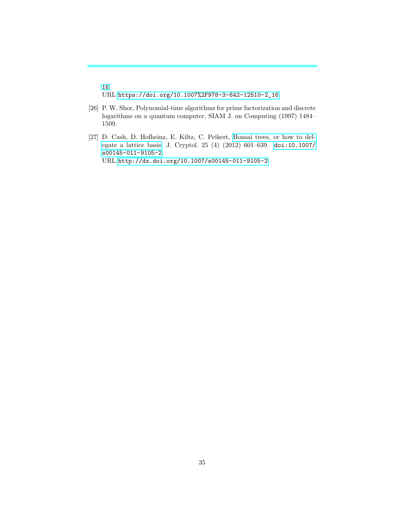[16](http://dx.doi.org/10.1007/978-3-642-12510-2_16). URL [https://doi.org/10.1007%2F978-3-642-12510-2\\_16](https://doi.org/10.1007%2F978-3-642-12510-2_16)

- <span id="page-34-0"></span>[26] P. W. Shor, Polynomial-time algorithms for prime factorization and discrete logarithms on a quantum computer, SIAM J. on Computing (1997) 1484– 1509.
- <span id="page-34-1"></span>[27] D. Cash, D. Hofheinz, E. Kiltz, C. Peikert, [Bonsai trees, or how to del](http://dx.doi.org/10.1007/s00145-011-9105-2)[egate a lattice basis,](http://dx.doi.org/10.1007/s00145-011-9105-2) J. Cryptol. 25 (4) (2012) 601–639. [doi:10.1007/](http://dx.doi.org/10.1007/s00145-011-9105-2) [s00145-011-9105-2](http://dx.doi.org/10.1007/s00145-011-9105-2). URL <http://dx.doi.org/10.1007/s00145-011-9105-2>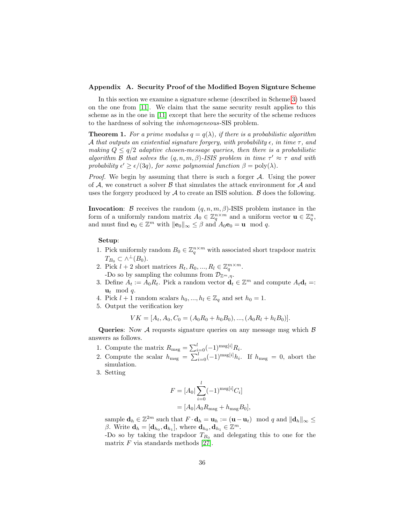#### <span id="page-35-0"></span>Appendix A. Security Proof of the Modified Boyen Signture Scheme

In this section we examine a signature scheme (described in Scheme [3\)](#page-8-0) based on the one from [\[11\]](#page-32-5). We claim that the same security result applies to this scheme as in the one in [\[11\]](#page-32-5) except that here the security of the scheme reduces to the hardness of solving the inhomogeneous-SIS problem.

**Theorem 1.** For a prime modulus  $q = q(\lambda)$ , if there is a probabilistic algorithm A that outputs an existential signature forgery, with probability  $\epsilon$ , in time  $\tau$ , and making  $Q \leq q/2$  adaptive chosen-message queries, then there is a probabilistic algorithm B that solves the  $(q, n, m, \beta)$ -ISIS problem in time  $\tau' \approx \tau$  and with probability  $\epsilon' \geq \epsilon/(3q)$ , for some polynomial function  $\beta = \text{poly}(\lambda)$ .

*Proof.* We begin by assuming that there is such a forger  $A$ . Using the power of  $A$ , we construct a solver  $B$  that simulates the attack environment for  $A$  and uses the forgery produced by  $A$  to create an ISIS solution.  $B$  does the following.

**Invocation:** B receives the random  $(q, n, m, \beta)$ -ISIS problem instance in the form of a uniformly random matrix  $A_0 \in \mathbb{Z}_q^{n \times m}$  and a uniform vector  $\mathbf{u} \in \mathbb{Z}_q^n$ , and must find  $\mathbf{e}_0 \in \mathbb{Z}^m$  with  $\|\mathbf{e}_0\|_{\infty} \leq \beta$  and  $A_0 \mathbf{e}_0 = \mathbf{u} \mod q$ .

#### Setup:

- 1. Pick uniformly random  $B_0 \in \mathbb{Z}_q^{n \times m}$  with associated short trapdoor matrix  $T_{B_0} \subset \wedge^{\perp}(B_0).$
- 2. Pick  $l + 2$  short matrices  $R_t, R_0, ..., R_l \in \mathbb{Z}_q^{m \times m}$ . -Do so by sampling the columns from  $\mathcal{D}_{\mathbb{Z}^m,\eta}$ .
- 3. Define  $A_t := A_0 R_t$ . Pick a random vector  $\mathbf{d}_t \in \mathbb{Z}^m$  and compute  $A_t \mathbf{d}_t =$ :  $\mathbf{u}_t \mod q$ .
- 4. Pick  $l + 1$  random scalars  $h_0, ..., h_l \in \mathbb{Z}_q$  and set  $h_0 = 1$ .
- 5. Output the verification key

$$
VK = [A_t, A_0, C_0 = (A_0R_0 + h_0B_0), ..., (A_0R_l + h_lB_0)].
$$

**Queries:** Now A requests signature queries on any message msg which  $\beta$ answers as follows.

- 1. Compute the matrix  $R_{\text{msg}} = \sum_{i=0}^{l} (-1)^{\text{msg}[i]} R_i$ .
- 2. Compute the scalar  $h_{\text{msg}} = \sum_{i=0}^{l} (-1)^{\text{msg}[i]} h_i$ . If  $h_{\text{msg}} = 0$ , abort the simulation.
- 3. Setting

$$
F = [A_0 | \sum_{i=0}^{l} (-1)^{\text{msg}[i]} C_i]
$$
  
=  $[A_0 | A_0 R_{\text{msg}} + h_{\text{msg}} B_0],$ 

sample  $\mathbf{d}_h \in \mathbb{Z}^{2m}$  such that  $F \cdot \mathbf{d}_h = \mathbf{u}_h := (\mathbf{u} - \mathbf{u}_t) \mod q$  and  $\|\mathbf{d}_h\|_{\infty} \leq$ β. Write  $\mathbf{d}_h = [\mathbf{d}_{h_0}, \mathbf{d}_{h_1}]$ , where  $\mathbf{d}_{h_0}, \mathbf{d}_{h_1} \in \mathbb{Z}^m$ .

-Do so by taking the trapdoor  $T_{B_0}$  and delegating this to one for the matrix  $F$  via standards methods [\[27\]](#page-34-1).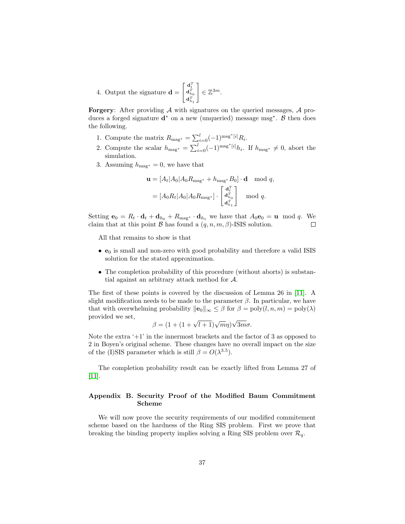4. Output the signature 
$$
\mathbf{d} = \begin{bmatrix} \mathbf{d}_t^T \\ \mathbf{d}_{h_0}^T \\ \mathbf{d}_{h_1}^T \end{bmatrix} \in \mathbb{Z}^{3m}
$$
.

**Forgery:** After providing  $A$  with signatures on the queried messages,  $A$  produces a forged signature  $\mathbf{d}^*$  on a new (unqueried) message msg<sup>\*</sup>.  $\beta$  then does the following.

- 1. Compute the matrix  $R_{\text{msg*}} = \sum_{i=0}^{l} (-1)^{\text{msg*}} [i] R_i$ .
- 2. Compute the scalar  $h_{\text{msg*}} = \sum_{i=0}^{l} (-1)^{\text{msg*}[i]} h_i$ . If  $h_{\text{msg*}} \neq 0$ , abort the simulation.
- 3. Assuming  $h_{\text{msg*}} = 0$ , we have that

$$
\mathbf{u} = [A_t | A_0 | A_0 R_{\text{msg*}} + h_{\text{msg*}} B_0] \cdot \mathbf{d} \mod q,
$$
  
= 
$$
[A_0 R_t | A_0 | A_0 R_{\text{msg*}}] \cdot \begin{bmatrix} \mathbf{d}_t^T \\ \mathbf{d}_{h_0}^T \\ \mathbf{d}_{h_1}^T \end{bmatrix} \mod q.
$$

Setting  $\mathbf{e}_0 = R_t \cdot \mathbf{d}_t + \mathbf{d}_{h_0} + R_{\text{msg}} \cdot \mathbf{d}_{h_1}$  we have that  $A_0 \mathbf{e}_0 = \mathbf{u} \mod q$ . We claim that at this point  $\beta$  has found a  $(q, n, m, \beta)$ -ISIS solution.  $\Box$ 

All that remains to show is that

- $\bullet$   $\mathbf{e}_0$  is small and non-zero with good probability and therefore a valid ISIS solution for the stated approximation.
- The completion probability of this procedure (without aborts) is substantial against an arbitrary attack method for A.

The first of these points is covered by the discussion of Lemma 26 in [\[11\]](#page-32-5). A slight modification needs to be made to the parameter  $\beta$ . In particular, we have that with overwhelming probability  $\|\mathbf{e}_0\|_{\infty} \leq \beta$  for  $\beta = \text{poly}(l, n, m) = \text{poly}(\lambda)$ provided we set, √

$$
\beta = (1 + (1 + \sqrt{l+1})\sqrt{m}\eta)\sqrt{3m}\sigma.
$$

Note the extra  $+1$  in the innermost brackets and the factor of 3 as opposed to 2 in Boyen's original scheme. These changes have no overall impact on the size of the (I)SIS parameter which is still  $\beta = O(\lambda^{3.5})$ .

The completion probability result can be exactly lifted from Lemma 27 of [\[11\]](#page-32-5).

## <span id="page-36-0"></span>Appendix B. Security Proof of the Modified Baum Commitment Scheme

We will now prove the security requirements of our modified commitement scheme based on the hardness of the Ring SIS problem. First we prove that breaking the binding property implies solving a Ring SIS problem over  $\mathcal{R}_q$ .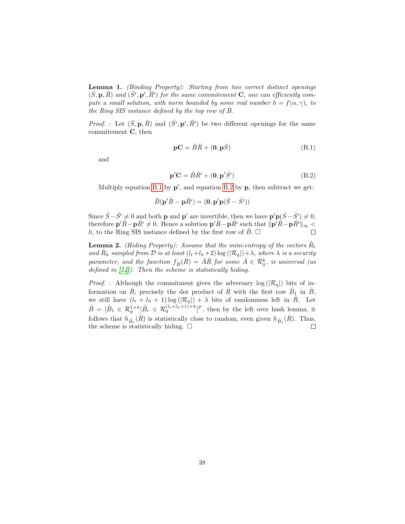Lemma 1. (Binding Property): Starting from two correct distinct openings  $(\hat{S}, \mathbf{p}, \hat{R})$  and  $(\hat{S}', \mathbf{p}', \hat{R}')$  for the same commitement **C**, one can efficiently compute a small solution, with norm bounded by some real number  $h = f(\alpha, \gamma)$ , to the Ring SIS instance defined by the top row of  $B$ .

*Proof.* : Let  $(\hat{S}, \mathbf{p}, \hat{R})$  and  $(\hat{S}', \mathbf{p}', \hat{R}')$  be two different openings for the same commitement C, then

<span id="page-37-0"></span>
$$
\mathbf{p}\mathbf{C} = \hat{B}\hat{R} + (\mathbf{0}, \mathbf{p}\hat{S})
$$
 (B.1)

and

<span id="page-37-1"></span>
$$
\mathbf{p}'\mathbf{C} = \hat{B}\hat{R'} + (\mathbf{0}, \mathbf{p}'\hat{S'})
$$
 (B.2)

Multiply equation [B.1](#page-37-0) by  $p'$ , and equation [B.2](#page-37-1) by  $p$ , then subtract we get:

$$
\hat{B}(\mathbf{p}'\hat{R} - \mathbf{p}\hat{R}') = (\mathbf{0}, \mathbf{p}'\mathbf{p}(\hat{S} - \hat{S}'))
$$

Since  $\hat{S}-\hat{S}' \neq 0$  and both **p** and **p'** are invertible, then we have  $\mathbf{p}'\mathbf{p}(\hat{S}-\hat{S}') \neq 0$ , therefore  ${\bf p}'\hat{R} - {\bf p}\hat{R}' \neq 0$ . Hence a solution  ${\bf p}'\hat{R} - {\bf p}\hat{R}'$  such that  $\|\overline{{\bf p}}'\hat{R} - {\bf p}\hat{R}'\|_{\infty}$ h, to the Ring SIS instance defined by the first row of  $\ddot{B}$ .  $\Box$ 

**Lemma 2.** (Hiding Property): Assume that the mini-entropy of the vectors  $\hat{R}_t$ and  $\hat{R}_h$  sampled from  $\hat{D}$  is at least  $(l_t+l_h+2) \log(|\mathcal{R}_q|)+\lambda$ , where  $\lambda$  is a security parameter, and the function  $f_{\hat{B}}(\hat{R}) = \hat{A}\hat{R}$  for some  $\hat{A} \in \mathcal{R}_q^k$ , is universal (as defined in  $[14]$ ). Then the scheme is statistically hiding.

*Proof.* : Although the commitment gives the adversary  $log(|\mathcal{R}_q|)$  bits of information on  $\hat{R}$ , precisely the dot product of  $\hat{R}$  with the first row  $\hat{B}_1$  in  $\hat{B}$ , we still have  $(l_t + l_h + 1) \log(|\mathcal{R}_q|) + \lambda$  bits of randomness left in  $\hat{R}$ . Let  $\hat{B} = [\hat{B}_1 \in \mathcal{R}_q^{1 \times k} | \hat{B}_r \in \mathcal{R}_q^{(l_t+l_h+1) \times k}]^T$ , then by the left over hash lemma, it follows that  $h_{\hat{B}_r}(\hat{R})$  is statistically close to random, even given  $h_{\hat{B}_1}(\hat{R})$ . Thus, the scheme is statistically hiding.  $\square$  $\Box$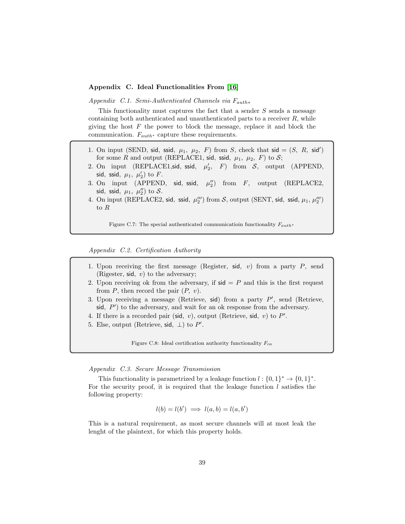#### <span id="page-38-0"></span>Appendix C. Ideal Functionalities From [\[16\]](#page-32-10)

Appendix C.1. Semi-Authenticated Channels via  $F_{auth*}$ 

This functionality must captures the fact that a sender S sends a message containing both authenticated and unauthenticated parts to a receiver  $R$ , while giving the host  $F$  the power to block the message, replace it and block the communication.  $F_{auth*}$  capture these requirements.

- 1. On input (SEND, sid, ssid,  $\mu_1$ ,  $\mu_2$ , F) from S, check that sid = (S, R, sid') for some R and output (REPLACE1, sid, ssid,  $\mu_1$ ,  $\mu_2$ , F) to S;
- 2. On input (REPLACE1, sid, ssid,  $\mu'_2$ , F) from S, output (APPEND, sid, ssid,  $\mu_1$ ,  $\mu_2$ ) to F.
- 3. On input (APPEND, sid, ssid,  $\mu_2''$ ) from  $F$ , output (REPLACE2, sid, ssid,  $\mu_1$ ,  $\mu_2''$ ) to  $S$ .
- 4. On input (REPLACE2, sid, ssid,  $\mu_2'''$ ) from S, output (SENT, sid, ssid,  $\mu_1$ ,  $\mu_2'''$ ) to R

Figure C.7: The special authenticated communication functionality  $F_{auth*}$ 

Appendix C.2. Certification Authority

- 1. Upon receiving the first message (Register, sid,  $v$ ) from a party  $P$ , send (Rigester, sid,  $v$ ) to the adversary;
- 2. Upon receiving ok from the adversary, if  $sid = P$  and this is the first request from  $P$ , then record the pair  $(P, v)$ .
- 3. Upon receiving a message (Retrieve, sid) from a party  $P'$ , send (Retrieve,  $\mathsf{sid}, P'$ ) to the adversary, and wait for an ok response from the adversary.
- 4. If there is a recorded pair (sid,  $v$ ), output (Retrieve, sid,  $v$ ) to  $P'$ .
- 5. Else, output (Retrieve, sid,  $\perp$ ) to P'.

Figure C.8: Ideal certification authority functionality  $F_{ca}$ 

Appendix C.3. Secure Message Transmission

This functionality is parametrized by a leakage function  $l: \{0,1\}^* \to \{0,1\}^*$ . For the security proof, it is required that the leakage function  $l$  satisfies the following property:

$$
l(b) = l(b') \implies l(a, b) = l(a, b')
$$

This is a natural requirement, as most secure channels will at most leak the lenght of the plaintext, for which this property holds.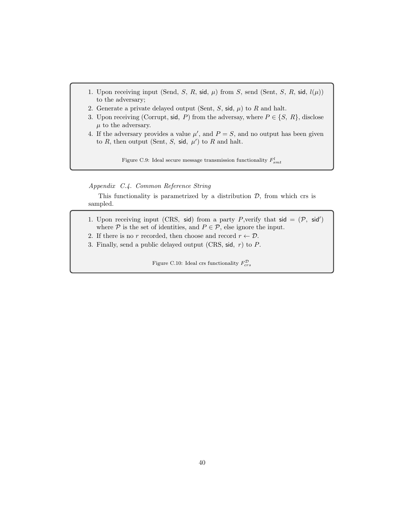- 1. Upon receiving input (Send, S, R, sid,  $\mu$ ) from S, send (Sent, S, R, sid,  $l(\mu)$ ) to the adversary;
- 2. Generate a private delayed output (Sent,  $S$ , sid,  $\mu$ ) to  $R$  and halt.
- 3. Upon receiving (Corrupt, sid, P) from the adversay, where  $P \in \{S, R\}$ , disclose  $\mu$  to the adversary.
- 4. If the adversary provides a value  $\mu'$ , and  $P = S$ , and no output has been given to R, then output (Sent, S, sid,  $\mu'$ ) to R and halt.

Figure C.9: Ideal secure message transmission functionality  $F_{smt}^l$ 

Appendix C.4. Common Reference String

This functionality is parametrized by a distribution  $D$ , from which crs is sampled.

- 1. Upon receiving input (CRS, sid) from a party P, verify that  $sid = (P, sid')$ where  $P$  is the set of identities, and  $P \in \mathcal{P}$ , else ignore the input.
- 2. If there is no r recorded, then choose and record  $r \leftarrow \mathcal{D}$ .
- 3. Finally, send a public delayed output (CRS, sid,  $r$ ) to  $P$ .

Figure C.10: Ideal crs functionality  $F_{crs}^{\mathcal{D}}$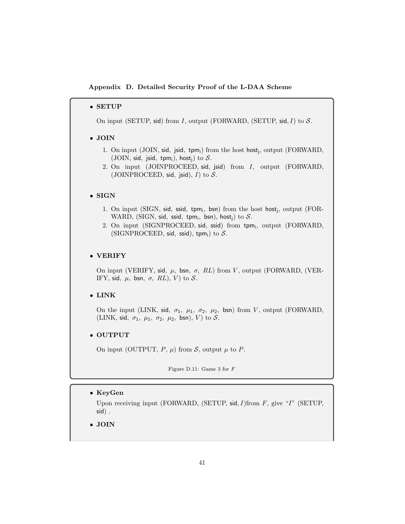<span id="page-40-0"></span>Appendix D. Detailed Security Proof of the L-DAA Scheme

#### • SETUP

On input (SETUP, sid) from I, output (FORWARD, (SETUP, sid, I) to  $S$ .

## • JOIN

- 1. On input (JOIN, sid, jsid, tpm<sub>i</sub>) from the host host<sub>j</sub>, output (FORWARD, (JOIN, sid, jsid, tpm<sub>i</sub>), host<sub>i</sub>) to  $S$ .
- 2. On input (JOINPROCEED, sid, jsid) from I, output (FORWARD, (JOINPROCEED, sid, jsid),  $I$ ) to  $S$ .

## • SIGN

- 1. On input (SIGN, sid, ssid, tpm<sub>i</sub>, bsn) from the host host<sub>j</sub>, output (FOR-WARD, (SIGN, sid, ssid, tpm<sub>i</sub>, bsn), host<sub>j</sub>) to  $S$ .
- 2. On input (SIGNPROCEED, sid, ssid) from tpm;, output (FORWARD, (SIGNPROCEED, sid, ssid), tpm;) to  $S$ .

## • VERIFY

On input (VERIFY, sid,  $\mu$ , bsn,  $\sigma$ , RL) from V, output (FORWARD, (VER-IFY, sid,  $\mu$ , bsn,  $\sigma$ , RL), V to S.

## • LINK

On the input (LINK, sid,  $\sigma_1$ ,  $\mu_1$ ,  $\sigma_2$ ,  $\mu_2$ , bsn) from V, output (FORWARD, (LINK, sid,  $\sigma_1$ ,  $\mu_1$ ,  $\sigma_2$ ,  $\mu_2$ , bsn), V) to S.

## • OUTPUT

On input (OUTPUT,  $P$ ,  $\mu$ ) from  $S$ , output  $\mu$  to  $P$ .

Figure D.11: Game 3 for F

## • KeyGen

Upon receiving input (FORWARD, (SETUP,  $sid, I$ )from  $F$ , give "I" (SETUP, sid) .

• JOIN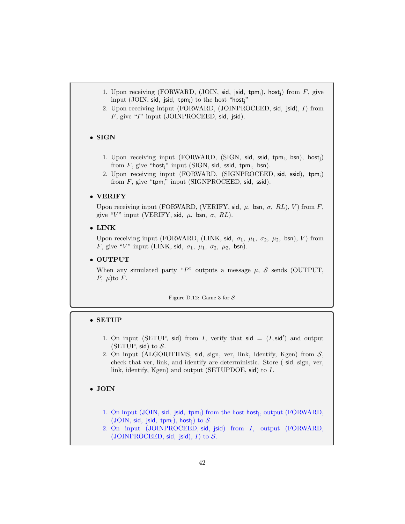- 1. Upon receiving (FORWARD, (JOIN, sid, jsid, tpm<sub>i</sub>), host<sub>i</sub>) from  $F$ , give input (JOIN, sid, jsid, tpm;) to the host "host;"
- 2. Upon receiving intput (FORWARD, (JOINPROCEED, sid, jsid), I) from F, give "I" input (JOINPROCEED, sid, jsid).

## • SIGN

- 1. Upon receiving input (FORWARD, (SIGN, sid, ssid, tpm;, bsn), host;) from  $F$ , give "host<sub>j</sub>" input (SIGN, sid, ssid, tpm<sub>i</sub>, bsn).
- 2. Upon receiving input (FORWARD, (SIGNPROCEED, sid, ssid), tpm;) from  $F$ , give "tpm<sub>i</sub>" input (SIGNPROCEED, sid, ssid).

## • VERIFY

Upon receiving input (FORWARD, (VERIFY, sid,  $\mu$ , bsn,  $\sigma$ , RL), V) from F, give "V" input (VERIFY, sid,  $\mu$ , bsn,  $\sigma$ , RL).

• LINK

Upon receiving input (FORWARD, (LINK, sid,  $\sigma_1$ ,  $\mu_1$ ,  $\sigma_2$ ,  $\mu_2$ , bsn), V) from F, give "V" input (LINK, sid,  $\sigma_1$ ,  $\mu_1$ ,  $\sigma_2$ ,  $\mu_2$ , bsn).

#### • OUTPUT

When any simulated party "P" outputs a message  $\mu$ , S sends (OUTPUT, P,  $\mu$ )to F.

Figure D.12: Game 3 for  $S$ 

## • SETUP

- 1. On input (SETUP, sid) from I, verify that  $sid = (I, sid')$  and output (SETUP, sid) to  $S$ .
- 2. On input (ALGORITHMS, sid, sign, ver, link, identify, Kgen) from S, check that ver, link, and identify are deterministic. Store ( sid, sign, ver, link, identify, Kgen) and output (SETUPDOE, sid) to I.

# • JOIN

- 1. On input (JOIN, sid, jsid, tpm<sub>i</sub>) from the host host<sub>j</sub>, output (FORWARD, (JOIN, sid, jsid, tpm<sub>i</sub>), host<sub>i</sub>) to  $S$ .
- 2. On input (JOINPROCEED, sid, jsid) from I, output (FORWARD, (JOINPROCEED, sid, jsid),  $I$ ) to  $S$ .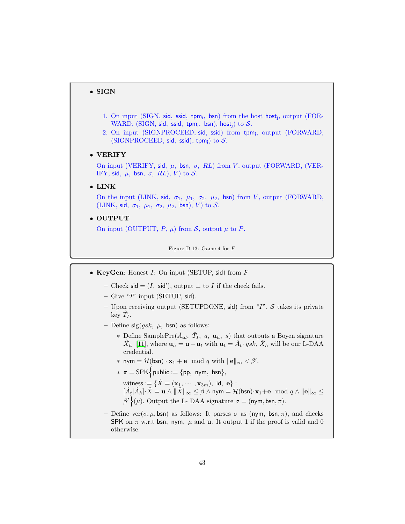# • SIGN

- 1. On input (SIGN, sid, ssid, tpm;, bsn) from the host host;, output (FOR-WARD, (SIGN, sid, ssid, tpm<sub>i</sub>, bsn), host<sub>j</sub>) to  $S$ .
- 2. On input (SIGNPROCEED, sid, ssid) from tpm;, output (FORWARD, (SIGNPROCEED, sid, ssid), tpm<sub>i</sub>) to  $S$ .

#### • VERIFY

On input (VERIFY, sid,  $\mu$ , bsn,  $\sigma$ , RL) from V, output (FORWARD, (VER-IFY, sid,  $\mu$ , bsn,  $\sigma$ , RL), V) to S.

• LINK

On the input (LINK, sid,  $\sigma_1$ ,  $\mu_1$ ,  $\sigma_2$ ,  $\mu_2$ , bsn) from V, output (FORWARD, (LINK, sid,  $\sigma_1$ ,  $\mu_1$ ,  $\sigma_2$ ,  $\mu_2$ , bsn), V) to S.

• OUTPUT

On input (OUTPUT,  $P$ ,  $\mu$ ) from  $S$ , output  $\mu$  to  $P$ .

Figure D.13: Game 4 for F

- KeyGen: Honest  $I:$  On input (SETUP, sid) from  $F$ 
	- Check sid =  $(I, \text{ sid}')$ , output  $\perp$  to I if the check fails.
	- Give " $I$ " input (SETUP, sid).
	- Upon receiving output (SETUPDONE, sid) from " $I$ ",  $S$  takes its private key  $\hat{T}_I$ .
	- Define sig( $qsk$ ,  $\mu$ , bsn) as follows:
		- ∗ Define SamplePre $(\hat{A}_{id}, \hat{T}_I, q, \mathbf{u}_h, s)$  that outputs a Boyen signature  $\hat{X}_h$  [\[11\]](#page-32-5), where  $\mathbf{u}_h = \mathbf{u} - \mathbf{u}_t$  with  $\mathbf{u}_t = \hat{A}_t \cdot gsk$ ,  $\hat{X}_h$  will be our L-DAA credential.
		- \* nym =  $\mathcal{H}(\mathsf{bsn}) \cdot \mathbf{x}_1 + \mathbf{e} \mod q$  with  $\|\mathbf{e}\|_{\infty} < \beta'.$
		- $* \pi = \mathsf{SPK}\left\{\mathsf{public} := \{\mathsf{pp}, \mathsf{nym}, \mathsf{bsn}\},\right\}$ 
			- witness  $:=\{\hat{X}=(\mathbf{x}_1,\cdots,\mathbf{x}_{3m}),\,\,\mathsf{id},\,\,\mathbf{e}\}$  :  $[\hat{A}_t|\hat{A}_h]\cdot\hat{X} = \mathbf{u}\wedge\|\hat{X}\|_{\infty}\leq\beta\wedge\mathsf{nym} = \mathcal{H}(\mathsf{bsn})\cdot\mathbf{x}_1+\mathbf{e}\!\mod q\wedge\|\mathbf{e}\|_{\infty}\leq\beta\|\mathbf{e}\|_{\infty}$  $\beta'$  ( $\mu$ ). Output the L-DAA signature  $\sigma = (\mathsf{nym}, \mathsf{bsn}, \pi)$ .
	- Define ver( $\sigma, \mu$ , bsn) as follows: It parses  $\sigma$  as (nym, bsn,  $\pi$ ), and checks SPK on  $\pi$  w.r.t bsn, nym,  $\mu$  and **u**. It output 1 if the proof is valid and 0 otherwise.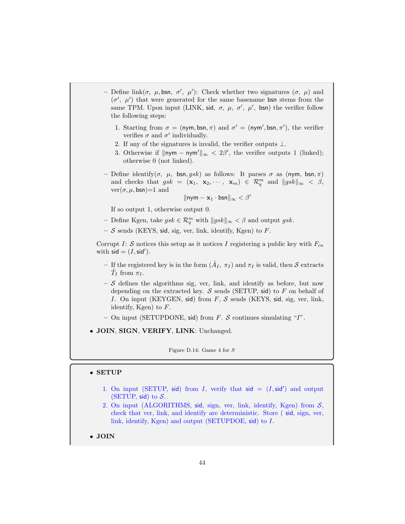- Define link(σ, μ, bsn, σ', μ'): Check whether two signatures (σ, μ) and  $(\sigma', \mu')$  that were generated for the same basename bsn stems from the same TPM. Upon input (LINK, sid,  $\sigma$ ,  $\mu$ ,  $\sigma'$ ,  $\mu'$ , bsn) the verifier follow the following steps:
	- 1. Starting from  $\sigma = (\text{nym}, \text{bsn}, \pi)$  and  $\sigma' = (\text{nym}', \text{bsn}, \pi')$ , the verifier verifies  $\sigma$  and  $\sigma'$  individually.
	- 2. If any of the signatures is invalid, the verifier outputs  $\bot$ .
	- 3. Otherwise if  $\|\mathsf{nym} \mathsf{nym}'\|_{\infty} < 2\beta'$ , the verifier outputs 1 (linked); otherwise 0 (not linked).
- Define identify( $\sigma$ ,  $\mu$ , bsn, gsk) as follows: It parses  $\sigma$  as (nym, bsn,  $\pi$ ) and checks that  $gsk = (\mathbf{x}_1, \ \mathbf{x}_2, \cdots, \ \mathbf{x}_m) \in \mathcal{R}_q^m$  and  $||gsk||_{\infty} < \beta$ ,  $ver(\sigma, \mu, \text{bsn}) = 1$  and

$$
\|\mathsf{nym}-\mathbf{x}_1\cdot \mathsf{bsn}\|_\infty<\beta'
$$

If so output 1, otherwise output 0.

- Define Kgen, take  $gsk \in \mathcal{R}_q^m$  with  $||gsk||_{\infty} < \beta$  and output  $gsk$ .
- $-$  S sends (KEYS, sid, sig, ver, link, identify, Kgen) to F.

Corrupt I: S notices this setup as it notices I registering a public key with  $F_{ca}$ with  $\mathsf{sid} = (I, \mathsf{sid}').$ 

- If the registered key is in the form  $(\hat{A}_I, \pi_I)$  and  $\pi_I$  is valid, then  $S$  extracts  $\hat{T}_I$  from  $\pi_I$ .
- $-$  S defines the algorithms sig, ver, link, and identify as before, but now depending on the extracted key.  $S$  sends (SETUP, sid) to  $F$  on behalf of I. On input (KEYGEN, sid) from  $F$ ,  $S$  sends (KEYS, sid, sig, ver, link, identify, Kgen) to  $F$ .
- On input (SETUPDONE, sid) from F. S continues simulating " $I$ ".
- JOIN, SIGN, VERIFY, LINK: Unchanged.

Figure D.14: Game 4 for S

#### • SETUP

- 1. On input (SETUP, sid) from I, verify that  $sid = (I, sid')$  and output (SETUP, sid) to  $S$ .
- 2. On input (ALGORITHMS, sid, sign, ver, link, identify, Kgen) from  $S$ , check that ver, link, and identify are deterministic. Store ( sid, sign, ver, link, identify, Kgen) and output (SETUPDOE, sid) to I.

• JOIN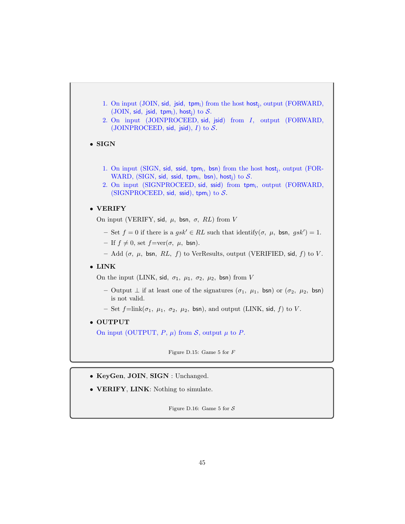

- KeyGen, JOIN, SIGN : Unchanged.
- VERIFY, LINK: Nothing to simulate.

Figure D.16: Game 5 for  $S$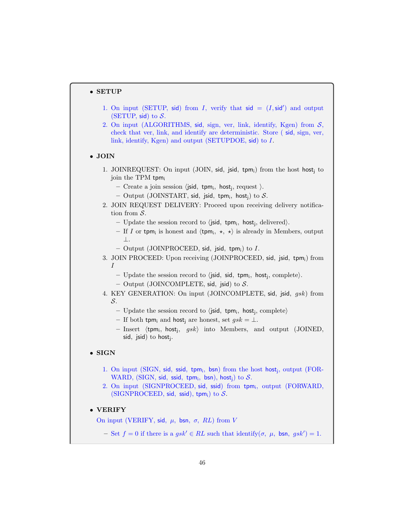## • SETUP

- 1. On input (SETUP, sid) from I, verify that  $sid = (I, sid')$  and output (SETUP, sid) to  $S$ .
- 2. On input (ALGORITHMS, sid, sign, ver, link, identify, Kgen) from  $S$ , check that ver, link, and identify are deterministic. Store ( sid, sign, ver, link, identify, Kgen) and output (SETUPDOE, sid) to I.
- JOIN
	- 1. JOINREQUEST: On input (JOIN, sid, jsid, tpm;) from the host host; to join the TPM tpm;
		- $-$  Create a join session  $\langle$ jsid, tpm<sub>i</sub>, host<sub>j</sub>, request  $\rangle$ .
		- $-$  Output (JOINSTART, sid, jsid, tpm<sub>i</sub>, host<sub>j</sub>) to  $\mathcal{S}.$
	- 2. JOIN REQUEST DELIVERY: Proceed upon receiving delivery notification from S.
		- Update the session record to  $\langle$  jsid, tpm<sub>i</sub>, host<sub>j</sub>, delivered $\rangle$ .
		- If I or tpm<sub>i</sub> is honest and  $\langle$ tpm<sub>i</sub>,  $\star$ ,  $\star$  is already in Members, output ⊥.
		- $-$  Output (JOINPROCEED, sid, jsid, tpm<sub>i</sub>) to  $I$ .
	- 3. JOIN PROCEED: Upon receiving (JOINPROCEED, sid, jsid, tpm;) from I
		- Update the session record to  $\langle$  jsid, sid, tpm<sub>i</sub>, host<sub>j</sub>, complete $\rangle$ .
		- Output (JOINCOMPLETE, sid, jsid) to  $S$ .
	- 4. KEY GENERATION: On input (JOINCOMPLETE, sid, jsid, gsk) from S.
		- Update the session record to  $\langle$  jsid, tpm<sub>i</sub>, host<sub>j</sub>, complete $\rangle$
		- If both tpm<sub>i</sub> and host<sub>i</sub> are honest, set  $gsk = \bot$ .
		- $-$  Insert  $\langle$ tpm<sub>i</sub>, host<sub>j</sub>, gsk $\rangle$  into Members, and output (JOINED, sid, jsid) to host<sub>j</sub>.

# • SIGN

- 1. On input (SIGN, sid, ssid, tpm<sub>i</sub>, bsn) from the host host<sub>j</sub>, output (FOR-WARD, (SIGN, sid, ssid, tpm<sub>i</sub>, bsn), host<sub>j</sub>) to  $S$ .
- 2. On input (SIGNPROCEED, sid, ssid) from tpm<sup>i</sup> , output (FORWARD, (SIGNPROCEED, sid, ssid), tpm; to  $S$ .

## • VERIFY

On input (VERIFY, sid,  $\mu$ , bsn,  $\sigma$ , RL) from V

 $-$  Set  $f = 0$  if there is a  $gsk' \in RL$  such that identify( $\sigma$ ,  $\mu$ , bsn,  $gsk'$ ) = 1.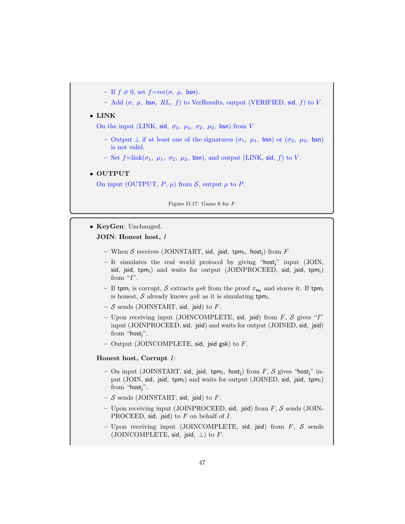- If  $f \neq 0$ , set  $f=\text{ver}(\sigma, \mu, \text{bsn}).$
- Add  $(\sigma, \mu, \text{bsn}, RL, f)$  to VerResults, output (VERIFIED, sid, f) to V.

## • LINK

On the input (LINK, sid,  $\sigma_1$ ,  $\mu_1$ ,  $\sigma_2$ ,  $\mu_2$ , bsn) from V

- Output ⊥ if at least one of the signatures  $(σ_1, μ_1, bsn)$  or  $(σ_2, μ_2, bsn)$ is not valid.
- Set  $f=\text{link}(\sigma_1, \mu_1, \sigma_2, \mu_2, \text{bsn})$ , and output (LINK, sid, f) to V.

#### • OUTPUT

On input (OUTPUT,  $P$ ,  $\mu$ ) from  $S$ , output  $\mu$  to  $P$ .

Figure D.17: Game 6 for F

• KeyGen: Unchanged.

JOIN: Honest host, I

- $-$  When  $\cal S$  receives (JOINSTART, sid, jsid, tpm<sub>i</sub>, host<sub>j</sub>) from  $F$
- $-$  It simulates the real world protocol by giving "host;" input (JOIN, sid, jsid, tpm;) and waits for output (JOINPROCEED, sid, jsid, tpm;) from  $\lq T$ .
- If tpm<sub>i</sub> is corrupt,  $\mathcal S$  extracts gsk from the proof  $\pi_{\mathbf u_t}$  and stores it. If tpm<sub>i</sub> is honest, S already knows  $gsk$  as it is simulating tpm.
- $-$  S sends (JOINSTART, sid, jsid) to F.
- Upon receiving input (JOINCOMPLETE, sid, jsid) from  $F$ ,  $S$  gives "I" input (JOINPROCEED, sid, jsid) and waits for output (JOINED, sid, jsid) from "host $i$ ".
- Output (JOINCOMPLETE, sid, jsid gsk) to  $F$ .

## Honest host, Corrupt I:

- On input (JOINSTART, sid, jsid, tpm<sub>i</sub>, host<sub>j</sub>) from  $F$ ,  $S$  gives "host<sub>j</sub>" input (JOIN, sid, jsid, tpm<sub>i</sub>) and waits for output (JOINED, sid, jsid, tpm<sub>i</sub>) from "host $i$ ".
- $-$  S sends (JOINSTART, sid, jsid) to F.
- Upon receiving input (JOINPROCEED, sid, jsid) from  $F$ ,  $S$  sends (JOIN-PROCEED, sid, jsid) to  $F$  on behalf of  $I$ .
- Upon receiving input (JOINCOMPLETE, sid, jsid) from  $F$ ,  $S$  sends (JOINCOMPLETE, sid, jsid,  $\perp$ ) to F.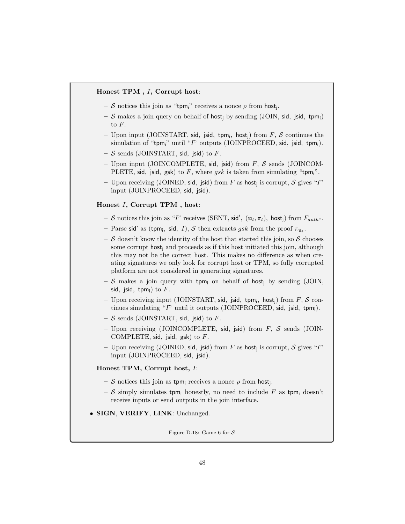## Honest TPM , I, Corrupt host:

- $-$  S notices this join as "tpm<sub>i</sub>" receives a nonce  $\rho$  from host<sub>j</sub>.
- S makes a join query on behalf of host<sub>i</sub> by sending (JOIN, sid, jsid, tpm<sub>i</sub>) to F.
- Upon input (JOINSTART, sid, jsid, tpm<sub>i</sub>, host<sub>j</sub>) from  $F$ ,  $S$  continues the simulation of "tpm;" until " $I$ " outputs (JOINPROCEED, sid, jsid, tpm;).
- $-$  S sends (JOINSTART, sid, jsid) to F.
- Upon input (JOINCOMPLETE, sid, jsid) from  $F$ ,  $S$  sends (JOINCOM-PLETE, sid, jsid, gsk) to F, where  $gsk$  is taken from simulating "tpm<sub>i</sub>".
- Upon receiving (JOINED, sid, jsid) from F as host<sub>j</sub> is corrupt, S gives "I" input (JOINPROCEED, sid, jsid).

#### Honest I, Corrupt TPM , host:

- $-$  S notices this join as "I" receives (SENT, sid',  $(\mathbf{u}_t, \pi_t)$ , host<sub>j</sub>) from  $F_{auth^*}$ .
- Parse sid' as (tpm<sub>i</sub>, sid, I), S then extracts gsk from the proof  $\pi_{\mathbf{u}_t}$ .
- $-$  S doesn't know the identity of the host that started this join, so S chooses some corrupt host; and proceeds as if this host initiated this join, although this may not be the correct host. This makes no difference as when creating signatures we only look for corrupt host or TPM, so fully corrupted platform are not considered in generating signatures.
- S makes a join query with tpm; on behalf of host; by sending (JOIN, sid, jsid, tpm;) to  $F$ .
- Upon receiving input (JOINSTART, sid, jsid, tpm;, host;) from F, S continues simulating " $I$ " until it outputs (JOINPROCEED, sid, jsid, tpm<sub>i</sub>).
- $-$  S sends (JOINSTART, sid, jsid) to F.
- Upon receiving (JOINCOMPLETE, sid, jsid) from  $F$ ,  $S$  sends (JOIN-COMPLETE, sid, jsid, gsk) to  $F$ .
- Upon receiving (JOINED, sid, jsid) from F as host<sub>j</sub> is corrupt, S gives "I" input (JOINPROCEED, sid, jsid).

## Honest TPM, Corrupt host, I:

- $-$  S notices this join as tpm<sub>i</sub> receives a nonce  $\rho$  from host<sub>j</sub>.
- S simply simulates tpm; honestly, no need to include F as tpm; doesn't receive inputs or send outputs in the join interface.
- SIGN, VERIFY, LINK: Unchanged.

Figure D.18: Game 6 for  $S$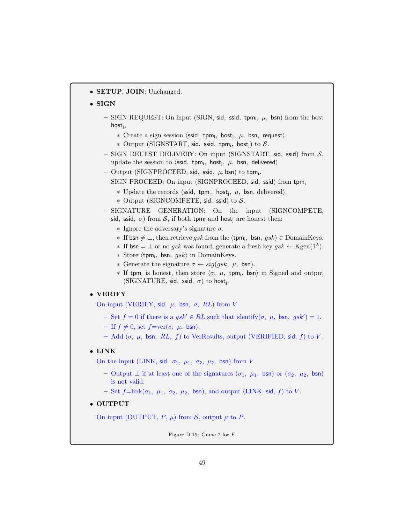• SETUP, JOIN: Unchanged.

# • SIGN

- $-$  SIGN REQUEST: On input (SIGN, sid, ssid, tpm;,  $\mu$ , bsn) from the host host<sup>j</sup> ,
	- $*$  Create a sign session  $\langle \textsf{ssid}, \textsf{tpm}_i, \textsf{host}_j, \mu, \textsf{bsn}, \textsf{request} \rangle$ .
	- \* Output (SIGNSTART, sid, ssid, tpm;, host;) to  $S$ .
- $-$  SIGN REUEST DELIVERY: On input (SIGNSTART, sid, ssid) from  $S$ , update the session to  $\langle$ ssid, tpm<sub>i</sub>, host<sub>j</sub>,  $\mu$ , bsn, delivered $\rangle$ .
- $-$  Output (SIGNPROCEED, sid, ssid,  $\mu$ , bsn) to tpm<sub>i</sub>.
- SIGN PROCEED: On input (SIGNPROCEED, sid, ssid) from tpm<sup>i</sup>
	- \* Update the records  $\langle \text{ssid}, \text{tpm}_i, \text{host}_j, \mu, \text{bsn}, \text{delivered} \rangle$ .
	- ∗ Output (SIGNCOMPETE, sid, ssid) to S.
- SIGNATURE GENERATION: On the input (SIGNCOMPETE, sid, ssid,  $\sigma$ ) from S, if both tpm<sub>i</sub> and host<sub>i</sub> are honest then:
	- $\ast$  Ignore the adversary's signature  $\sigma$ .
	- ∗ If bsn  $\neq \bot$ , then retrieve gsk from the  $\langle \text{tpm}_i, \text{bsn}, \text{gsk} \rangle \in \text{DomainKeys.}$
	- $\ast$  If bsn = ⊥ or no gsk was found, generate a fresh key gsk  $\leftarrow$  Kgen(1<sup> $\lambda$ </sup>).
	- \* Store  $\langle$ tpm<sub>i</sub>, bsn, gsk $\rangle$  in DomainKeys.
	- ∗ Generate the signature σ ← sig(gsk, µ, bsn).
	- $∗$  If tpm<sub>i</sub> is honest, then store  $\langle σ, µ,$  tpm<sub>i</sub>, bsn) in Signed and output (SIGNATURE, sid, ssid,  $\sigma$ ) to host<sub>j</sub>.

## • VERIFY

On input (VERIFY, sid,  $\mu$ , bsn,  $\sigma$ , RL) from V

- $-$  Set  $f = 0$  if there is a  $gsk' \in RL$  such that identify( $\sigma$ ,  $\mu$ , bsn,  $gsk'$ ) = 1.
- If  $f \neq 0$ , set  $f=ver(\sigma, \mu, \text{bsn}).$
- Add (σ, μ, bsn, RL, f) to VerResults, output (VERIFIED, sid, f) to V.

## • LINK

On the input (LINK, sid,  $\sigma_1$ ,  $\mu_1$ ,  $\sigma_2$ ,  $\mu_2$ , bsn) from V

- Output  $\perp$  if at least one of the signatures  $(\sigma_1, \mu_1, \text{bsn})$  or  $(\sigma_2, \mu_2, \text{bsn})$ is not valid.
- Set  $f=\text{link}(\sigma_1, \mu_1, \sigma_2, \mu_2, \text{bsn})$ , and output (LINK, sid, f) to V.

## • OUTPUT

On input (OUTPUT,  $P$ ,  $\mu$ ) from  $S$ , output  $\mu$  to  $P$ .

Figure D.19: Game 7 for F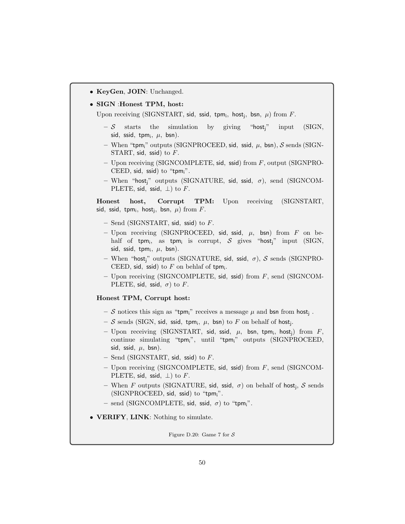• KeyGen, JOIN: Unchanged.

#### • SIGN :Honest TPM, host:

Upon receiving (SIGNSTART, sid, ssid, tpm;, host<sub>j</sub>, bsn,  $\mu$ ) from F.

- $-\mathcal{S}$  starts the simulation by giving "host;" input (SIGN, sid, ssid, tpm $_i$ ,  $\mu$ , bsn).
- When "tpm<sub>i</sub>" outputs (SIGNPROCEED, sid, ssid,  $\mu$ , bsn), S sends (SIGN-START, sid, ssid) to F.
- Upon receiving (SIGNCOMPLETE, sid, ssid) from F, output (SIGNPRO-CEED, sid, ssid) to "tpm;".
- When "host<sub>i</sub>" outputs (SIGNATURE, sid, ssid,  $\sigma$ ), send (SIGNCOM-PLETE, sid, ssid,  $\perp$ ) to F.

Honest host, Corrupt TPM: Upon receiving (SIGNSTART, sid, ssid, tpm<sub>i</sub>, host<sub>j</sub>, bsn,  $\mu$ ) from F.

- $-$  Send (SIGNSTART, sid, ssid) to F.
- Upon receiving (SIGNPROCEED, sid, ssid,  $\mu$ , bsn) from  $F$  on behalf of tpm<sub>i</sub>, as tpm<sub>i</sub> is corrupt,  $\cal S$  gives "host<sub>j</sub>" input (SIGN, sid, ssid, tp $m_i, \mu, \text{ bsn}$ ).
- When "host<sub>i</sub>" outputs (SIGNATURE, sid, ssid,  $\sigma$ ), S sends (SIGNPRO-CEED, sid, ssid) to  $F$  on behlaf of tpm<sub>i</sub>.
- Upon receiving (SIGNCOMPLETE, sid, ssid) from F, send (SIGNCOM-PLETE, sid, ssid,  $\sigma$ ) to F.

## Honest TPM, Corrupt host:

- $\cal S$  notices this sign as "tpm<sub>i</sub>" receives a message  $\mu$  and bsn from host<sub>j</sub>.
- $-$  S sends (SIGN, sid, ssid, tpm<sub>i</sub>,  $\mu$ , bsn) to F on behalf of host<sub>j</sub>.
- $-$  Upon receiving (SIGNSTART, sid, ssid,  $\mu$ , bsn, tpm<sub>i</sub>, host<sub>j</sub>) from  $F$ , continue simulating "tpm<sub>i</sub>", until "tpm<sub>i</sub>" outputs (SIGNPROCEED, sid, ssid,  $\mu$ , bsn).
- $-$  Send (SIGNSTART, sid, ssid) to F.
- Upon receiving (SIGNCOMPLETE, sid, ssid) from F, send (SIGNCOM-PLETE, sid, ssid,  $\perp$ ) to F.
- When *F* outputs (SIGNATURE, sid, ssid,  $\sigma$ ) on behalf of host<sub>j</sub>, *S* sends (SIGNPROCEED, sid, ssid) to "tpm<sub>i</sub>".
- send (SIGNCOMPLETE, sid, ssid,  $\sigma$ ) to "tpm<sub>i</sub>".
- **VERIFY, LINK:** Nothing to simulate.

Figure D.20: Game 7 for  $S$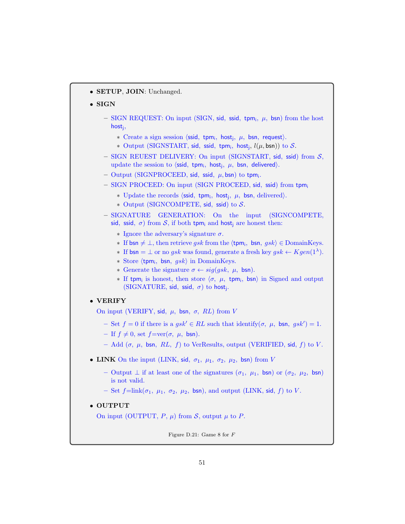• SETUP, JOIN: Unchanged.

## • SIGN

- $-$  SIGN REQUEST: On input (SIGN, sid, ssid, tpm;,  $\mu$ , bsn) from the host host<sup>j</sup> ,
	- $*$  Create a sign session  $\langle \textsf{ssid}, \textsf{tpm}_i, \textsf{host}_j, \mu, \textsf{bsn}, \textsf{request} \rangle$ .
	- \* Output (SIGNSTART, sid, ssid, tpm;, host;,  $l(\mu, \text{bsn})$ ) to  $S$ .
- SIGN REUEST DELIVERY: On input (SIGNSTART, sid, ssid) from  $S$ , update the session to  $\langle \textsf{ssid}, \textsf{tpm}_i, \textsf{host}_j, \mu, \textsf{bsn}, \textsf{delivered} \rangle$ .
- $-$  Output (SIGNPROCEED, sid, ssid,  $\mu$ , bsn) to tpm<sub>i</sub>.
- SIGN PROCEED: On input (SIGN PROCEED, sid, ssid) from tpm<sup>i</sup>
	- \* Update the records  $\langle \text{ssid}, \text{tpm}_i, \text{host}_j, \mu, \text{bsn}, \text{delivered} \rangle$ .
	- ∗ Output (SIGNCOMPETE, sid, ssid) to S.

# – SIGNATURE GENERATION: On the input (SIGNCOMPETE, sid, ssid,  $\sigma$ ) from S, if both tpm<sub>i</sub> and host<sub>i</sub> are honest then:

- $\ast$  Ignore the adversary's signature  $\sigma$ .
- ∗ If bsn  $\neq \bot$ , then retrieve gsk from the  $\langle \text{tpm}_i, \text{bsn}, \text{gsk} \rangle \in \text{DomainKeys.}$
- **∗** If  $bsn = \bot$  or no gsk was found, generate a fresh key gsk  $\leftarrow Kgen(1^{\lambda})$ .
- \* Store  $\langle$ tpm<sub>i</sub>, bsn, gsk $\rangle$  in DomainKeys.
- ∗ Generate the signature σ ← sig(gsk, µ, bsn).
- $∗$  If tpm<sub>i</sub> is honest, then store  $\langle σ, µ,$  tpm<sub>i</sub>, bsn) in Signed and output  $(SIGNATURE, sid, ssid, \sigma)$  to host<sub>j</sub>.

## • VERIFY

On input (VERIFY, sid,  $\mu$ , bsn,  $\sigma$ , RL) from V

- $-$  Set  $f = 0$  if there is a  $gsk' \in RL$  such that identify( $\sigma$ ,  $\mu$ , bsn,  $gsk'$ ) = 1.
- If  $f \neq 0$ , set  $f=ver(\sigma, \mu, \text{bsn}).$
- Add (σ, μ, bsn, RL, f) to VerResults, output (VERIFIED, sid, f) to V.
- LINK On the input (LINK, sid,  $\sigma_1$ ,  $\mu_1$ ,  $\sigma_2$ ,  $\mu_2$ , bsn) from V
	- Output  $\perp$  if at least one of the signatures  $(\sigma_1, \mu_1, \text{bsn})$  or  $(\sigma_2, \mu_2, \text{bsn})$ is not valid.
	- Set  $f=\text{link}(\sigma_1, \mu_1, \sigma_2, \mu_2, \text{bsn})$ , and output (LINK, sid, f) to V.

## • OUTPUT

On input (OUTPUT,  $P$ ,  $\mu$ ) from  $S$ , output  $\mu$  to  $P$ .

Figure D.21: Game 8 for F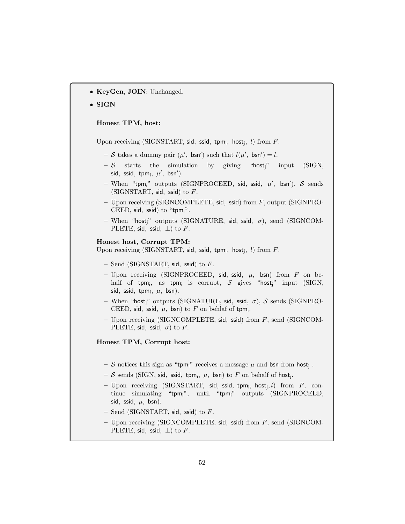• KeyGen, JOIN: Unchanged.

#### • SIGN

## Honest TPM, host:

Upon receiving (SIGNSTART, sid, ssid, tpm;, host;,  $l$ ) from  $F$ .

- $-S$  takes a dummy pair  $(\mu', \text{bsn'})$  such that  $l(\mu', \text{bsn'}) = l$ .
- $-\mathcal{S}$  starts the simulation by giving "host<sub>i</sub>" input (SIGN, sid, ssid, tpm<sub>i</sub>,  $\mu'$ , bsn').
- When "tpm;" outputs (SIGNPROCEED, sid, ssid,  $\mu'$ , bsn'),  $\mathcal S$  sends (SIGNSTART, sid, ssid) to  $F$ .
- $-$  Upon receiving (SIGNCOMPLETE, sid, ssid) from  $F$ , output (SIGNPRO-CEED, sid, ssid) to "tpm<sub>i</sub>".
- When "host<sub>i</sub>" outputs (SIGNATURE, sid, ssid,  $\sigma$ ), send (SIGNCOM-PLETE, sid, ssid,  $\perp$ ) to F.

#### Honest host, Corrupt TPM:

Upon receiving (SIGNSTART, sid, ssid, tpm;, host<sub>j</sub>,  $l$ ) from  $F$ .

- $-$  Send (SIGNSTART, sid, ssid) to F.
- Upon receiving (SIGNPROCEED, sid, ssid,  $\mu$ , bsn) from F on behalf of tpm<sub>i</sub>, as tpm<sub>i</sub> is corrupt,  $\cal S$  gives "host<sub>j</sub>" input (SIGN, sid, ssid, tp $m_i, \mu, \text{ bsn}$ ).
- When "host<sub>i</sub>" outputs (SIGNATURE, sid, ssid,  $\sigma$ ), S sends (SIGNPRO-CEED, sid, ssid,  $\mu$ , bsn) to F on behlaf of tpm<sub>i</sub>.
- Upon receiving (SIGNCOMPLETE, sid, ssid) from F, send (SIGNCOM-PLETE, sid, ssid,  $\sigma$ ) to F.

## Honest TPM, Corrupt host:

- S notices this sign as "tpm<sub>i</sub>" receives a message  $\mu$  and bsn from host<sub>j</sub>.
- $-$  S sends (SIGN, sid, ssid, tpm<sub>i</sub>,  $\mu$ , bsn) to F on behalf of host<sub>j</sub>.
- Upon receiving (SIGNSTART, sid, ssid, tpm;, host;, l) from  $F$ , continue simulating "tpm<sub>i</sub>", until "tpm<sub>i</sub>" outputs (SIGNPROCEED, sid, ssid,  $\mu$ , bsn).
- $-$  Send (SIGNSTART, sid, ssid) to  $F$ .
- Upon receiving (SIGNCOMPLETE, sid, ssid) from F, send (SIGNCOM-PLETE, sid, ssid,  $\perp$ ) to F.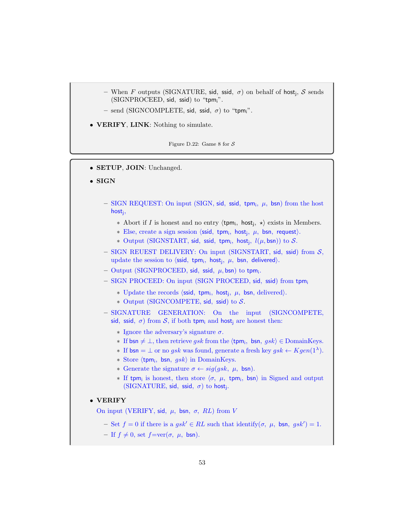- When *F* outputs (SIGNATURE, sid, ssid,  $\sigma$ ) on behalf of host<sub>j</sub>, *S* sends (SIGNPROCEED, sid, ssid) to "tpmi".
- send (SIGNCOMPLETE, sid, ssid,  $\sigma$ ) to "tpm<sub>i</sub>".
- VERIFY, LINK: Nothing to simulate.

Figure D.22: Game 8 for  $S$ 

- SETUP, JOIN: Unchanged.
- SIGN
	- $-$  SIGN REQUEST: On input (SIGN, sid, ssid, tpm;,  $\mu$ , bsn) from the host host<sup>j</sup> ,
		- ∗ Abort if *I* is honest and no entry  $\langle$ tpm<sub>i</sub>, host<sub>j</sub>, \* $\rangle$  exists in Members.
		- \* Else, create a sign session  $\langle \text{ssid}, \text{ tym}_i, \text{host}_j, \mu, \text{bsn}, \text{request} \rangle$ .
		- \* Output (SIGNSTART, sid, ssid, tpm;, host;,  $l(\mu, \textsf{bsn})$ ) to  $S$ .
	- $-$  SIGN REUEST DELIVERY: On input (SIGNSTART, sid, ssid) from  $S$ , update the session to  $\langle \textsf{ssid}, \textsf{tpm}_i, \textsf{host}_j, \mu, \textsf{bsn}, \textsf{delivered} \rangle$ .
	- $-$  Output (SIGNPROCEED, sid, ssid,  $\mu$ , bsn) to tpm<sub>i</sub>.
	- SIGN PROCEED: On input (SIGN PROCEED, sid, ssid) from tpm<sup>i</sup>
		- \* Update the records  $\langle \text{ssid}, \text{ tpm}_i, \text{ host}_j, \mu, \text{bsn}, \text{ delivered} \rangle$ .
		- ∗ Output (SIGNCOMPETE, sid, ssid) to S.
	- SIGNATURE GENERATION: On the input (SIGNCOMPETE, sid, ssid,  $\sigma$ ) from S, if both tpm<sub>i</sub> and host<sub>i</sub> are honest then:
		- $\ast$  Ignore the adversary's signature  $\sigma$ .
		- ∗ If bsn  $\neq \bot$ , then retrieve gsk from the  $\langle$ tpm<sub>i</sub>, bsn, gsk $\rangle \in$  DomainKeys.
		- **∗** If  $bsn = \bot$  or no gsk was found, generate a fresh key gsk  $\leftarrow Kgen(1^{\lambda})$ .
		- \* Store  $\langle$ tpm<sub>i</sub>, bsn, gsk $\rangle$  in DomainKeys.
		- ∗ Generate the signature σ ← sig(gsk, µ, bsn).
		- $∗$  If tpm<sub>i</sub> is honest, then store  $\langle σ, µ,$  tpm<sub>i</sub>, bsn) in Signed and output  $(SIGNATURE, sid, ssid, \sigma)$  to host<sub>j</sub>.

## • VERIFY

- On input (VERIFY, sid,  $\mu$ , bsn,  $\sigma$ , RL) from V
	- $-$  Set  $f = 0$  if there is a  $gsk' \in RL$  such that identify $(\sigma, \mu, \text{bsn}, gsk') = 1$ .
	- If  $f \neq 0$ , set  $f=\text{ver}(\sigma, \mu, \text{bsn}).$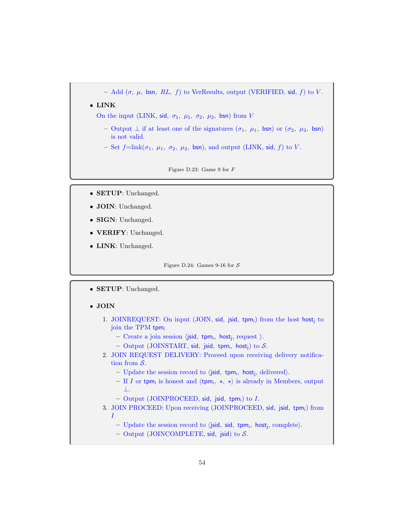– Add  $(\sigma, \mu, \text{bsn}, RL, f)$  to VerResults, output (VERIFIED, sid, f) to V.

• LINK

On the input (LINK, sid,  $\sigma_1$ ,  $\mu_1$ ,  $\sigma_2$ ,  $\mu_2$ , bsn) from V

- Output ⊥ if at least one of the signatures  $(σ<sub>1</sub>, μ<sub>1</sub>, bsn)$  or  $(σ<sub>2</sub>, μ<sub>2</sub>, bsn)$ is not valid.
- Set  $f=\text{link}(\sigma_1, \mu_1, \sigma_2, \mu_2, \text{bsn})$ , and output (LINK, sid, f) to V.

Figure D.23: Game 9 for F

- SETUP: Unchanged.
- JOIN: Unchanged.
- SIGN: Unchanged.
- VERIFY: Unchanged.
- LINK: Unchanged.

Figure D.24: Games 9-16 for  $S$ 

• SETUP: Unchanged.

# • JOIN

- 1. JOINREQUEST: On input (JOIN, sid, jsid, tpm;) from the host host; to join the TPM tpm;
	- $-$  Create a join session  $\langle$ jsid, tpm<sub>i</sub>, host<sub>j</sub>, request  $\rangle$ .
	- $-$  Output (JOINSTART, sid, jsid, tpm<sub>i</sub>, host<sub>j</sub>) to  $\mathcal{S}.$
- 2. JOIN REQUEST DELIVERY: Proceed upon receiving delivery notification from S.
	- Update the session record to  $\langle$  jsid, tpm<sub>i</sub>, host<sub>j</sub>, delivered $\rangle$ .
	- If I or tpm<sub>i</sub> is honest and  $\langle$ tpm<sub>i</sub>,  $\star$ ,  $\star$  is already in Members, output ⊥.
	- $-$  Output (JOINPROCEED, sid, jsid, tpm<sub>i</sub>) to *I*.
- 3. JOIN PROCEED: Upon receiving (JOINPROCEED, sid, jsid, tpm;) from I
	- Update the session record to  $\langle$  jsid, sid, tpm<sub>i</sub>, host<sub>j</sub>, complete $\rangle$ .
	- Output (JOINCOMPLETE, sid, jsid) to  $S$ .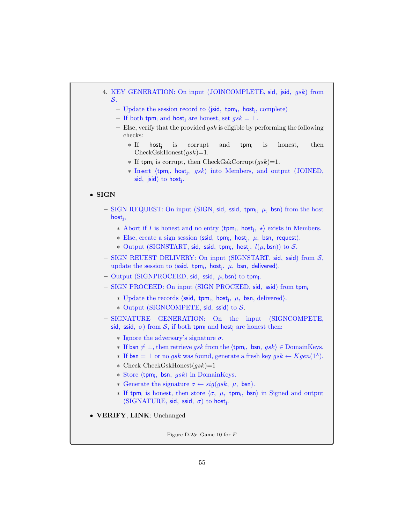# 4. KEY GENERATION: On input (JOINCOMPLETE, sid, jsid, gsk) from S.

- Update the session record to  $\langle$ jsid, tpm<sub>i</sub>, host<sub>j</sub>, complete $\rangle$
- If both tpm<sub>i</sub> and host<sub>i</sub> are honest, set  $qsk = \perp$ .
- Else, verify that the provided  $gsk$  is eligible by performing the following checks:
	- ∗ If host<sup>j</sup> is corrupt and tpm; is honest, then  $CheckGskHonest(gsk)=1.$
	- ∗ If tpm<sub>i</sub> is corrupt, then CheckGskCorrupt $(gsk)$ =1.
	- ∗ Insert (tpm<sub>i</sub>, host<sub>j</sub>, gsk) into Members, and output (JOINED, sid, jsid) to host<sub>j</sub>.

## • SIGN

- $-$  SIGN REQUEST: On input (SIGN, sid, ssid, tpm;,  $\mu$ , bsn) from the host host<sup>j</sup> ,
	- ∗ Abort if *I* is honest and no entry  $\langle$ tpm<sub>i</sub>, host<sub>j</sub>, \* $\rangle$  exists in Members.
	- $*$  Else, create a sign session  $\langle \textsf{ssid}, \textsf{tpm}_i, \textsf{host}_j, \mu, \textsf{bsn}, \textsf{request} \rangle$ .
	- \* Output (SIGNSTART, sid, ssid, tpm;, hostj,  $l(\mu, \textsf{bsn})$ ) to  $\mathcal{S}.$
- $-$  SIGN REUEST DELIVERY: On input (SIGNSTART, sid, ssid) from  $S$ , update the session to  $\langle \textsf{ssid}, \textsf{tpm}_i, \textsf{host}_j, \mu, \textsf{bsn}, \textsf{delivered} \rangle$ .
- $-$  Output (SIGNPROCEED, sid, ssid,  $\mu$ , bsn) to tpm<sub>i</sub>.
- SIGN PROCEED: On input (SIGN PROCEED, sid, ssid) from tpm<sup>i</sup>
	- \* Update the records  $\langle \text{ssid}, \text{tpm}_i, \text{host}_j, \mu, \text{bsn}, \text{delivered} \rangle$ .
	- ∗ Output (SIGNCOMPETE, sid, ssid) to S.
- SIGNATURE GENERATION: On the input (SIGNCOMPETE, sid, ssid,  $\sigma$ ) from S, if both tpm<sub>i</sub> and host<sub>i</sub> are honest then:
	- $\ast$  Ignore the adversary's signature  $\sigma$ .
	- ∗ If bsn  $\neq \bot$ , then retrieve gsk from the  $\langle \text{tpm}_i, \text{bsn}, \text{gsk} \rangle \in \text{DomainKeys.}$
	- **∗** If  $bsn = \bot$  or no gsk was found, generate a fresh key gsk  $\leftarrow Kgen(1^{\lambda})$ .
	- ∗ Check CheckGskHonest(gsk)=1
	- \* Store  $\langle$ tpm<sub>i</sub>, bsn, gsk $\rangle$  in DomainKeys.
	- ∗ Generate the signature σ ← sig(gsk, µ, bsn).
	- $∗$  If tpm<sub>i</sub> is honest, then store  $\langle σ, µ,$  tpm<sub>i</sub>, bsn) in Signed and output  $(SIGNATURE, sid, ssid, \sigma)$  to host<sub>j</sub>.
- VERIFY, LINK: Unchanged

Figure D.25: Game 10 for F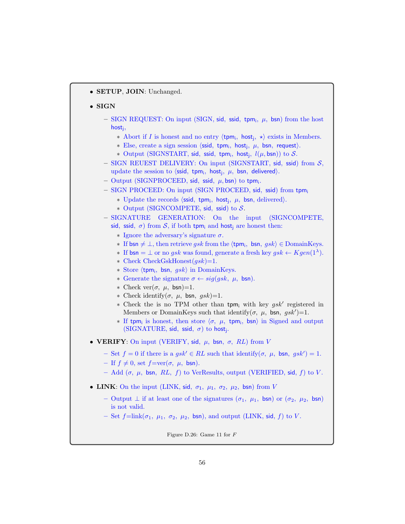• SETUP, JOIN: Unchanged.

#### • SIGN

- $-$  SIGN REQUEST: On input (SIGN, sid, ssid, tpm;,  $\mu$ , bsn) from the host host<sup>j</sup> ,
	- ∗ Abort if *I* is honest and no entry  $\langle$ tpm<sub>i</sub>, host<sub>j</sub>, \* $\rangle$  exists in Members.
	- $*$  Else, create a sign session  $\langle \textsf{ssid}, \textsf{tpm}_i, \textsf{host}_j, \mu, \textsf{bsn}, \textsf{request} \rangle$ .
	- \* Output (SIGNSTART, sid, ssid, tpm;, host<sub>j</sub>,  $l(\mu, \textsf{bsn}))$  to  $\mathcal{S}.$
- SIGN REUEST DELIVERY: On input (SIGNSTART, sid, ssid) from  $S$ , update the session to  $\langle$ ssid, tpm<sub>i</sub>, host<sub>j</sub>,  $\mu$ , bsn, delivered $\rangle$ .
- $-$  Output (SIGNPROCEED, sid, ssid,  $\mu$ , bsn) to tpm<sub>i</sub>.
- SIGN PROCEED: On input (SIGN PROCEED, sid, ssid) from tpm<sup>i</sup>
	- ∗ Update the records  $\langle \text{ssid}, \text{ tpm}_i, \text{ host}_j, \mu, \text{bsn}, \text{ delivered} \rangle$ .
	- ∗ Output (SIGNCOMPETE, sid, ssid) to S.
- SIGNATURE GENERATION: On the input (SIGNCOMPETE, sid, ssid,  $\sigma$ ) from S, if both tpm<sub>i</sub> and host<sub>i</sub> are honest then:
	- $\ast$  Ignore the adversary's signature  $\sigma$ .
	- ∗ If bsn  $\neq \bot$ , then retrieve gsk from the  $\langle$ tpm<sub>i</sub>, bsn, gsk $\rangle \in$  DomainKeys.
	- **∗** If  $bsn = \bot$  or no gsk was found, generate a fresh key  $gsk \leftarrow Kgen(1^{\lambda})$ .
	- $\ast$  Check CheckGskHonest( $gsk$ )=1.
	- \* Store  $\langle$ tpm<sub>i</sub>, bsn, gsk $\rangle$  in DomainKeys.
	- ∗ Generate the signature σ ← sig(gsk, µ, bsn).
	- ∗ Check ver(σ, µ, bsn)=1.
	- ∗ Check identify(σ, µ, bsn, gsk)=1.
	- ∗ Check the is no TPM other than tpm<sub>i</sub> with key gsk' registered in Members or DomainKeys such that identify $(\sigma, \mu, \text{bsn}, gsk')=1$ .
	- $∗$  If tpm<sub>i</sub> is honest, then store  $\langle σ, µ,$  tpm<sub>i</sub>, bsn) in Signed and output (SIGNATURE, sid, ssid,  $\sigma$ ) to host<sub>j</sub>.
- VERIFY: On input (VERIFY, sid,  $\mu$ , bsn,  $\sigma$ , RL) from V
	- $-$  Set  $f = 0$  if there is a  $gsk' \in RL$  such that identify( $\sigma$ ,  $\mu$ , bsn,  $gsk'$ ) = 1.
	- If  $f \neq 0$ , set  $f=\text{ver}(\sigma, \mu, \text{bsn}).$
	- Add (σ, μ, bsn, RL, f) to VerResults, output (VERIFIED, sid, f) to V.
- LINK: On the input (LINK, sid,  $\sigma_1$ ,  $\mu_1$ ,  $\sigma_2$ ,  $\mu_2$ , bsn) from V
	- Output  $\perp$  if at least one of the signatures  $(\sigma_1, \mu_1, \text{bsn})$  or  $(\sigma_2, \mu_2, \text{bsn})$ is not valid.
	- Set  $f=\text{link}(\sigma_1, \mu_1, \sigma_2, \mu_2, \text{bsn})$ , and output (LINK, sid, f) to V.

Figure D.26: Game 11 for F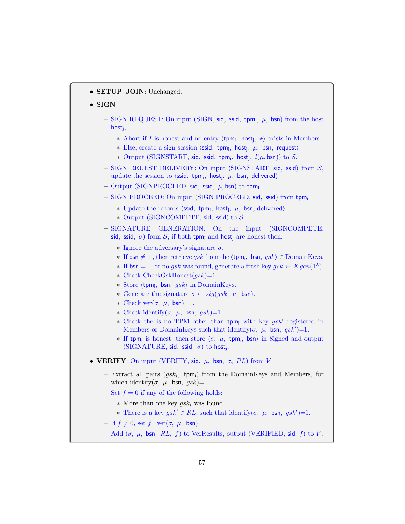• SETUP, JOIN: Unchanged.

## • SIGN

- $-$  SIGN REQUEST: On input (SIGN, sid, ssid, tpm;,  $\mu$ , bsn) from the host host<sup>j</sup> ,
	- ∗ Abort if *I* is honest and no entry  $\langle$ tpm<sub>i</sub>, host<sub>j</sub>, \* $\rangle$  exists in Members.
	- \* Else, create a sign session  $\langle \text{ssid}, \text{ tym}_i, \text{host}_j, \mu, \text{bsn}, \text{request} \rangle$ .
	- \* Output (SIGNSTART, sid, ssid, tpm;, host;,  $l(\mu, \textsf{bsn})$ ) to  $S$ .
- $-$  SIGN REUEST DELIVERY: On input (SIGNSTART, sid, ssid) from  $S$ , update the session to  $\langle \textsf{ssid}, \textsf{tpm}_i, \textsf{host}_j, \mu, \textsf{bsn}, \textsf{delivered} \rangle$ .
- $-$  Output (SIGNPROCEED, sid, ssid,  $\mu$ , bsn) to tpm<sub>i</sub>.
- SIGN PROCEED: On input (SIGN PROCEED, sid, ssid) from tpm<sup>i</sup>
	- \* Update the records  $\langle \text{ssid}, \text{tpm}_i, \text{host}_j, \mu, \text{bsn}, \text{delivered} \rangle$ .
	- ∗ Output (SIGNCOMPETE, sid, ssid) to S.
- SIGNATURE GENERATION: On the input (SIGNCOMPETE, sid, ssid,  $\sigma$ ) from S, if both tpm<sub>i</sub> and host<sub>i</sub> are honest then:
	- $\ast$  Ignore the adversary's signature  $\sigma$ .
	- ∗ If bsn  $\neq \bot$ , then retrieve gsk from the  $\langle$ tpm<sub>i</sub>, bsn, gsk $\rangle \in$  DomainKeys.
	- **∗** If  $bsn = \bot$  or no gsk was found, generate a fresh key gsk  $\leftarrow Kgen(1^{\lambda})$ .
	- ∗ Check CheckGskHonest(gsk)=1.
	- \* Store  $\langle$ tpm<sub>i</sub>, bsn, gsk $\rangle$  in DomainKeys.
	- ∗ Generate the signature σ ← sig(gsk, µ, bsn).
	- \* Check ver( $\sigma$ ,  $\mu$ , bsn)=1.
	- ∗ Check identify(σ, µ, bsn, gsk)=1.
	- ∗ Check the is no TPM other than tpm<sub>i</sub> with key gsk' registered in Members or DomainKeys such that identify $(\sigma, \mu, \text{bsn}, gsk')=1$ .
	- $∗$  If tpm<sub>i</sub> is honest, then store  $\langle σ, μ,$  tpm<sub>i</sub>, bsn) in Signed and output (SIGNATURE, sid, ssid,  $\sigma$ ) to host<sub>j</sub>.

#### • VERIFY: On input (VERIFY, sid,  $\mu$ , bsn,  $\sigma$ , RL) from V

- Extract all pairs  $(gsk_i, \text{ tym}_i)$  from the DomainKeys and Members, for which identify( $\sigma$ ,  $\mu$ , bsn,  $gsk$ )=1.
- Set  $f = 0$  if any of the following holds:
	- $*$  More than one key  $gsk_i$  was found.
	- <sup>∗</sup> There is a key  $gsk' \in RL$ , such that identify(σ, μ, bsn, gsk')=1.
- If  $f \neq 0$ , set  $f=ver(\sigma, \mu, \text{bsn}).$
- Add (σ, μ, bsn, RL, f) to VerResults, output (VERIFIED, sid, f) to V.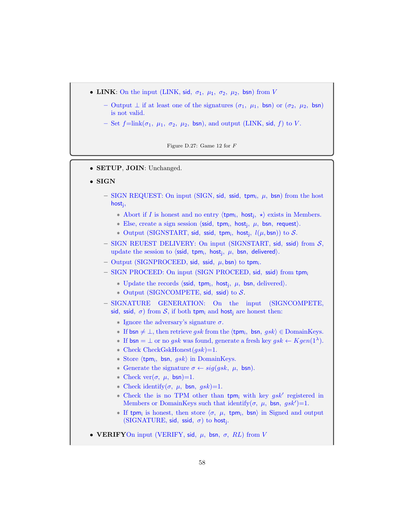- LINK: On the input (LINK, sid,  $\sigma_1$ ,  $\mu_1$ ,  $\sigma_2$ ,  $\mu_2$ , bsn) from V
	- Output  $\perp$  if at least one of the signatures  $(\sigma_1, \mu_1, \text{bsn})$  or  $(\sigma_2, \mu_2, \text{bsn})$ is not valid.
	- Set  $f=\text{link}(\sigma_1, \mu_1, \sigma_2, \mu_2, \text{bsn})$ , and output (LINK, sid, f) to V.

Figure D.27: Game 12 for F

- SETUP, JOIN: Unchanged.
- SIGN
	- $-$  SIGN REQUEST: On input (SIGN, sid, ssid, tpm;,  $\mu$ , bsn) from the host host<sub>j</sub>,
		- \* Abort if I is honest and no entry  $\langle \text{tpm}_i, \text{host}_j, \star \rangle$  exists in Members.
		- \* Else, create a sign session  $\langle \text{ssid}, \text{ tym}_i, \text{host}_j, \mu, \text{bsn}, \text{request} \rangle$ .
		- \* Output (SIGNSTART, sid, ssid, tpm;, host;,  $l(\mu, \textsf{bsn})$ ) to  $S$ .
	- $-$  SIGN REUEST DELIVERY: On input (SIGNSTART, sid, ssid) from  $S$ , update the session to  $\langle \textsf{ssid}, \textsf{tpm}_i, \textsf{host}_j, \mu, \textsf{bsn}, \textsf{delivered} \rangle$ .
	- $-$  Output (SIGNPROCEED, sid, ssid,  $\mu$ , bsn) to tpm<sub>i</sub>.
	- SIGN PROCEED: On input (SIGN PROCEED, sid, ssid) from tpm<sup>i</sup>
		- \* Update the records  $\langle \text{ssid}, \text{tpm}_i, \text{host}_j, \mu, \text{bsn}, \text{delivered} \rangle$ .
		- ∗ Output (SIGNCOMPETE, sid, ssid) to S.
	- SIGNATURE GENERATION: On the input (SIGNCOMPETE, sid, ssid,  $\sigma$ ) from S, if both tpm<sub>i</sub> and host<sub>i</sub> are honest then:
		- $\ast$  Ignore the adversary's signature  $\sigma$ .
		- ∗ If bsn  $\neq \bot$ , then retrieve gsk from the  $\langle$ tpm<sub>i</sub>, bsn, gsk $\rangle \in$  DomainKeys.
		- **∗** If  $bsn = \bot$  or no gsk was found, generate a fresh key gsk  $\leftarrow Kgen(1^{\lambda})$ .
		- $\star$  Check CheckGskHonest( $gsk$ )=1.
		- \* Store  $\langle$ tpm<sub>i</sub>, bsn, gsk $\rangle$  in DomainKeys.
		- ∗ Generate the signature σ ← sig(gsk, µ, bsn).
		- \* Check ver $(\sigma, \mu, \text{bsn})$ =1.
		- ∗ Check identify(σ, µ, bsn, gsk)=1.
		- ∗ Check the is no TPM other than tpm<sub>i</sub> with key gsk' registered in Members or DomainKeys such that identify $(\sigma, \mu, \text{bsn}, gsk')=1$ .
		- $∗$  If tpm<sub>i</sub> is honest, then store  $\langle σ, µ,$  tpm<sub>i</sub>, bsn) in Signed and output  $(SIGNATURE, sid, ssid, \sigma)$  to host<sub>j</sub>.
- VERIFYOn input (VERIFY, sid,  $\mu$ , bsn,  $\sigma$ , RL) from V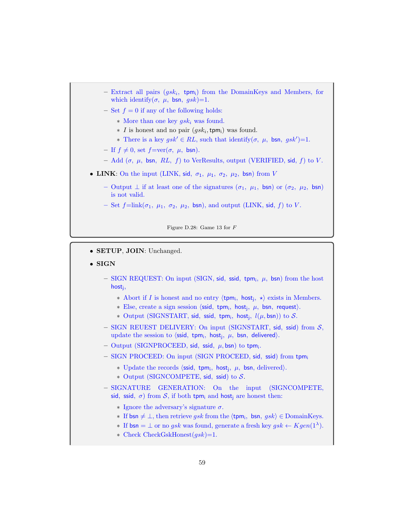- $-$  Extract all pairs  $(gsk_i, \text{ tym}_i)$  from the DomainKeys and Members, for which identify( $\sigma$ ,  $\mu$ , bsn,  $gsk$ )=1.
- Set  $f = 0$  if any of the following holds:
	- $*$  More than one key  $qsk_i$  was found.
	- $*$  I is honest and no pair  $(gsk_i, \text{tpm}_i)$  was found.
	- <sup>∗</sup> There is a key  $gsk' \in RL$ , such that identify(*σ*, *μ*, bsn,  $gsk'$ )=1.
- If  $f \neq 0$ , set  $f=\text{ver}(\sigma, \mu, \text{bsn}).$
- Add  $(σ, μ, bsn, RL, f)$  to VerResults, output (VERIFIED, sid, f) to V.
- LINK: On the input (LINK, sid,  $\sigma_1$ ,  $\mu_1$ ,  $\sigma_2$ ,  $\mu_2$ , bsn) from V
	- Output  $\perp$  if at least one of the signatures  $(\sigma_1, \mu_1, \text{bsn})$  or  $(\sigma_2, \mu_2, \text{bsn})$ is not valid.
	- Set  $f=\text{link}(\sigma_1, \mu_1, \sigma_2, \mu_2, \text{bsn})$ , and output (LINK, sid, f) to V.

Figure D.28: Game 13 for F

- SETUP, JOIN: Unchanged.
- SIGN
	- $-$  SIGN REQUEST: On input (SIGN, sid, ssid, tpm;,  $\mu$ , bsn) from the host host<sup>j</sup> ,
		- ∗ Abort if *I* is honest and no entry  $\langle$ tpm<sub>i</sub>, host<sub>j</sub>, \* $\rangle$  exists in Members.
		- $*$  Else, create a sign session  $\langle \textsf{ssid}, \textsf{tpm}_i, \textsf{host}_j, \mu, \textsf{bsn}, \textsf{request} \rangle$ .
		- \* Output (SIGNSTART, sid, ssid, tpm;, host;,  $l(\mu, \textsf{bsn})$ ) to  $S$ .
	- $-$  SIGN REUEST DELIVERY: On input (SIGNSTART, sid, ssid) from  $S$ , update the session to  $\langle \textsf{ssid}, \textsf{tpm}_i, \textsf{host}_j, \mu, \textsf{bsn}, \textsf{delivered} \rangle$ .
	- $-$  Output (SIGNPROCEED, sid, ssid,  $\mu$ , bsn) to tpm<sub>i</sub>.
	- SIGN PROCEED: On input (SIGN PROCEED, sid, ssid) from tpm<sup>i</sup>
		- \* Update the records  $\langle \text{ssid}, \text{tpm}_i, \text{host}_j, \mu, \text{bsn}, \text{delivered} \rangle$ .
		- ∗ Output (SIGNCOMPETE, sid, ssid) to S.
	- SIGNATURE GENERATION: On the input (SIGNCOMPETE, sid, ssid,  $\sigma$ ) from S, if both tpm<sub>i</sub> and host<sub>i</sub> are honest then:
		- $\ast$  Ignore the adversary's signature  $\sigma$ .
		- ∗ If bsn  $\neq \bot$ , then retrieve gsk from the  $\langle$ tpm<sub>i</sub>, bsn, gsk $\rangle \in$  DomainKeys.
		- **∗** If  $bsn = \bot$  or no gsk was found, generate a fresh key gsk  $\leftarrow Kgen(1^{\lambda})$ .
		- ∗ Check CheckGskHonest(gsk)=1.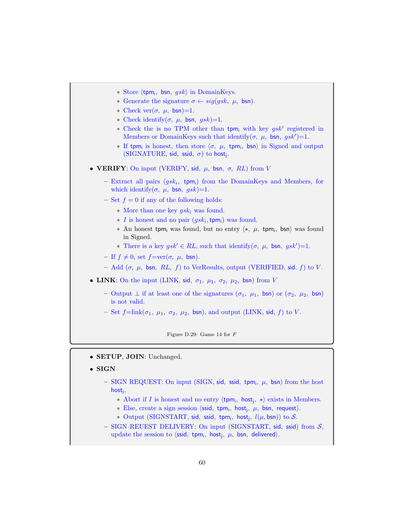\* Store  $\langle$ tpm<sub>i</sub>, bsn, gsk $\rangle$  in DomainKeys. ∗ Generate the signature σ ← sig(gsk, µ, bsn). ∗ Check ver(σ, µ, bsn)=1. \* Check identify( $\sigma$ ,  $\mu$ , bsn,  $gsk$ )=1. ∗ Check the is no TPM other than tpm<sub>i</sub> with key  $gsk'$  registered in Members or DomainKeys such that identify $(\sigma, \mu, \text{bsn}, gsk')=1$ .  $∗$  If tpm<sub>i</sub> is honest, then store  $\langle σ, μ,$  tpm<sub>i</sub>, bsn) in Signed and output (SIGNATURE, sid, ssid,  $\sigma$ ) to host<sub>j</sub>. • VERIFY: On input (VERIFY, sid,  $\mu$ , bsn,  $\sigma$ , RL) from V  $-$  Extract all pairs  $(gsk_i, \text{ tym}_i)$  from the DomainKeys and Members, for which identify( $\sigma$ ,  $\mu$ , bsn,  $gsk$ )=1. – Set  $f = 0$  if any of the following holds:  $*$  More than one key  $gsk_i$  was found.  $\star$  I is honest and no pair  $(gsk_i, \text{tpm}_i)$  was found. \* An honest tpm; was found, but no entry  $\langle \star, \mu, \text{ tym}_i, \text{bsn} \rangle$  was found in Signed. <sup>∗</sup> There is a key  $gsk' \in RL$ , such that identify(σ, μ, bsn, gsk')=1. – If  $f \neq 0$ , set  $f=\text{ver}(\sigma, \mu, \text{bsn}).$ – Add (σ, μ, bsn, RL, f) to VerResults, output (VERIFIED, sid, f) to V. • LINK: On the input (LINK, sid,  $\sigma_1$ ,  $\mu_1$ ,  $\sigma_2$ ,  $\mu_2$ , bsn) from V – Output  $\perp$  if at least one of the signatures  $(\sigma_1, \mu_1, \text{bsn})$  or  $(\sigma_2, \mu_2, \text{bsn})$ is not valid. – Set  $f=\text{link}(\sigma_1, \mu_1, \sigma_2, \mu_2, \text{bsn})$ , and output (LINK, sid, f) to V.

Figure D.29: Game 14 for F

- SETUP, JOIN: Unchanged.
- SIGN
	- $-$  SIGN REQUEST: On input (SIGN, sid, ssid, tpm;,  $\mu$ , bsn) from the host host<sub>j</sub>,
		- \* Abort if I is honest and no entry  $\langle$ tpm<sub>i</sub>, host<sub>j</sub>, \* $\rangle$  exists in Members.
		- \* Else, create a sign session  $\langle \textsf{ssid}, \textsf{tpm}_i, \textsf{host}_j, \mu, \textsf{bsn}, \textsf{request} \rangle$ .
		- \* Output (SIGNSTART, sid, ssid, tpm;, host;,  $l(\mu, \textsf{bsn})$ ) to  $S$ .
	- $-$  SIGN REUEST DELIVERY: On input (SIGNSTART, sid, ssid) from  $S$ , update the session to  $\langle \textsf{ssid}, \textsf{tpm}_i, \textsf{host}_j, \mu, \textsf{bsn}, \textsf{delivered} \rangle$ .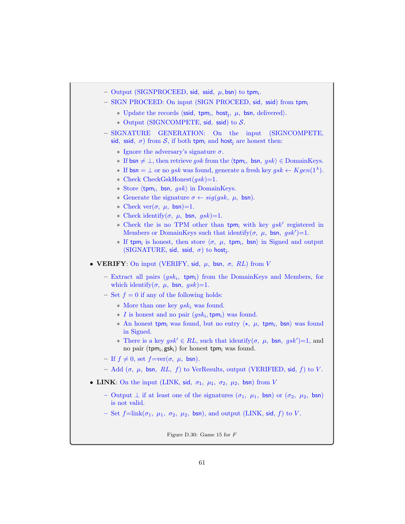- $-$  Output (SIGNPROCEED, sid, ssid,  $\mu$ , bsn) to tpm<sub>i</sub>.
- SIGN PROCEED: On input (SIGN PROCEED, sid, ssid) from tpm<sup>i</sup>
	- \* Update the records  $\langle \text{ssid}, \text{tpm}_i, \text{host}_j, \mu, \text{bsn}, \text{delivered} \rangle$ .
	- ∗ Output (SIGNCOMPETE, sid, ssid) to S.
- SIGNATURE GENERATION: On the input (SIGNCOMPETE, sid, ssid,  $\sigma$ ) from S, if both tpm<sub>i</sub> and host<sub>i</sub> are honest then:
	- $\ast$  Ignore the adversary's signature  $\sigma$ .
	- ∗ If bsn  $\neq \bot$ , then retrieve gsk from the  $\langle$ tpm<sub>i</sub>, bsn, gsk $\rangle \in$  DomainKeys.
	- **∗** If  $bsn = \bot$  or no gsk was found, generate a fresh key  $gsk \leftarrow Kgen(1^{\lambda})$ .
	- ∗ Check CheckGskHonest(gsk)=1.
	- \* Store  $\langle$ tpm<sub>i</sub>, bsn, gsk $\rangle$  in DomainKeys.
	- ∗ Generate the signature σ ← sig(gsk, µ, bsn).
	- ∗ Check ver(σ, µ, bsn)=1.
	- ∗ Check identify(σ, µ, bsn, gsk)=1.
	- ∗ Check the is no TPM other than tpm<sub>i</sub> with key gsk' registered in Members or DomainKeys such that identify $(\sigma, \mu, \text{bsn}, gsk')=1$ .
	- $∗$  If tpm<sub>i</sub> is honest, then store  $\langle σ, µ,$  tpm<sub>i</sub>, bsn) in Signed and output  $(SIGNATURE, sid, ssid, \sigma)$  to host<sub>j</sub>.

• VERIFY: On input (VERIFY, sid,  $\mu$ , bsn,  $\sigma$ , RL) from V

- $-$  Extract all pairs  $(gsk_i, \text{ tym}_i)$  from the DomainKeys and Members, for which identify( $\sigma$ ,  $\mu$ , bsn,  $gsk$ )=1.
- Set  $f = 0$  if any of the following holds:
	- $*$  More than one key  $gsk_i$  was found.
	- $\star$  *I* is honest and no pair  $(gsk_i, \text{tpm}_i)$  was found.
	- \* An honest tpm<sub>i</sub> was found, but no entry  $\langle \star, \mu, \text{ tym}_i, \text{bsn} \rangle$  was found in Signed.
	- <sup>∗</sup> There is a key *gsk'* ∈ RL, such that identify( $\sigma$ ,  $\mu$ , bsn, *gsk'*)=1, and no pair (tpm<sub>i</sub>, gsk<sub>i</sub>) for honest tpm<sub>i</sub> was found.
- If  $f \neq 0$ , set  $f=\text{ver}(\sigma, \mu, \text{bsn}).$
- Add ( $\sigma$ ,  $\mu$ , bsn, RL, f) to VerResults, output (VERIFIED, sid, f) to V.
- LINK: On the input (LINK, sid,  $\sigma_1$ ,  $\mu_1$ ,  $\sigma_2$ ,  $\mu_2$ , bsn) from V
	- Output  $\perp$  if at least one of the signatures  $(\sigma_1, \mu_1, \text{bsn})$  or  $(\sigma_2, \mu_2, \text{bsn})$ is not valid.
	- Set  $f=\text{link}(\sigma_1, \mu_1, \sigma_2, \mu_2, \text{bsn})$ , and output (LINK, sid, f) to V.

Figure D.30: Game 15 for F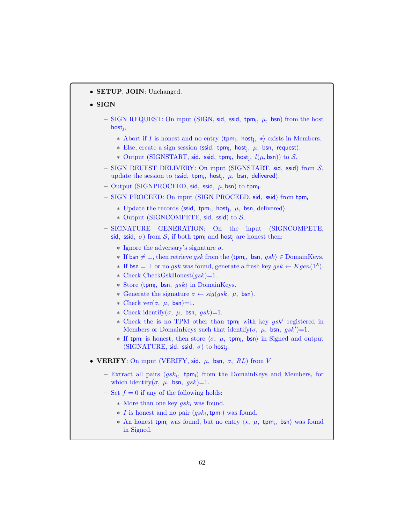• SETUP, JOIN: Unchanged.

## • SIGN

- $-$  SIGN REQUEST: On input (SIGN, sid, ssid, tpm;,  $\mu$ , bsn) from the host host<sup>j</sup> ,
	- ∗ Abort if *I* is honest and no entry  $\langle$ tpm<sub>i</sub>, host<sub>j</sub>, \* $\rangle$  exists in Members.
	- \* Else, create a sign session  $\langle \text{ssid}, \text{ tym}_i, \text{host}_j, \mu, \text{bsn}, \text{request} \rangle$ .
	- \* Output (SIGNSTART, sid, ssid, tpm;, host;,  $l(\mu, \textsf{bsn})$ ) to  $S$ .
- $-$  SIGN REUEST DELIVERY: On input (SIGNSTART, sid, ssid) from  $S$ , update the session to  $\langle \textsf{ssid}, \textsf{tpm}_i, \textsf{host}_j, \mu, \textsf{bsn}, \textsf{delivered} \rangle$ .
- $-$  Output (SIGNPROCEED, sid, ssid,  $\mu$ , bsn) to tpm<sub>i</sub>.
- SIGN PROCEED: On input (SIGN PROCEED, sid, ssid) from tpm<sup>i</sup>
	- \* Update the records  $\langle \text{ssid}, \text{tpm}_i, \text{host}_j, \mu, \text{bsn}, \text{delivered} \rangle$ .
	- ∗ Output (SIGNCOMPETE, sid, ssid) to S.
- SIGNATURE GENERATION: On the input (SIGNCOMPETE, sid, ssid,  $\sigma$ ) from S, if both tpm<sub>i</sub> and host<sub>i</sub> are honest then:
	- $\ast$  Ignore the adversary's signature  $\sigma$ .
	- ∗ If bsn  $\neq \bot$ , then retrieve gsk from the  $\langle$ tpm<sub>i</sub>, bsn, gsk $\rangle \in$  DomainKeys.
	- **∗** If  $bsn = \bot$  or no gsk was found, generate a fresh key gsk  $\leftarrow Kgen(1^{\lambda})$ .
	- ∗ Check CheckGskHonest(gsk)=1.
	- \* Store  $\langle$ tpm<sub>i</sub>, bsn, gsk $\rangle$  in DomainKeys.
	- ∗ Generate the signature σ ← sig(gsk, µ, bsn).
	- \* Check ver( $\sigma$ ,  $\mu$ , bsn)=1.
	- ∗ Check identify(σ, µ, bsn, gsk)=1.
	- ∗ Check the is no TPM other than tpm<sub>i</sub> with key gsk' registered in Members or DomainKeys such that identify $(\sigma, \mu, \text{bsn}, gsk')=1$ .
	- $∗$  If tpm<sub>i</sub> is honest, then store  $\langle σ, μ,$  tpm<sub>i</sub>, bsn) in Signed and output (SIGNATURE, sid, ssid,  $\sigma$ ) to host<sub>j</sub>.
- VERIFY: On input (VERIFY, sid,  $\mu$ , bsn,  $\sigma$ , RL) from V
	- $-$  Extract all pairs  $(gsk_i, \text{ tym}_i)$  from the DomainKeys and Members, for which identify( $\sigma$ ,  $\mu$ , bsn,  $gsk$ )=1.
	- Set  $f = 0$  if any of the following holds:
		- $*$  More than one key  $gsk_i$  was found.
		- $\star$  I is honest and no pair  $(gsk_i, \text{tpm}_i)$  was found.
		- \* An honest tpm<sub>i</sub> was found, but no entry  $\langle \star, \mu, \text{ tym}_i, \text{bsn} \rangle$  was found in Signed.